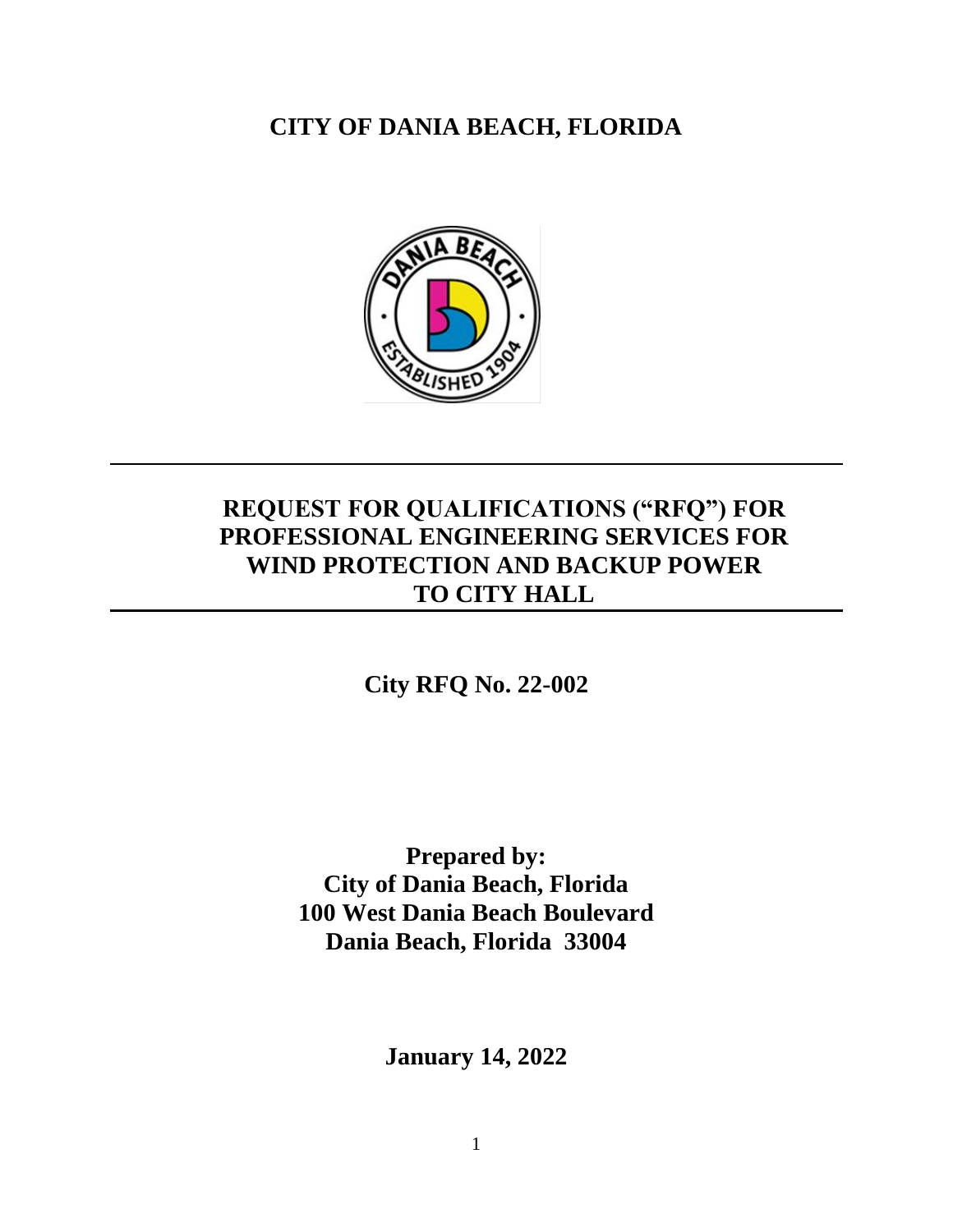**CITY OF DANIA BEACH, FLORIDA**



# **REQUEST FOR QUALIFICATIONS ("RFQ") FOR PROFESSIONAL ENGINEERING SERVICES FOR WIND PROTECTION AND BACKUP POWER TO CITY HALL**

## **City RFQ No. 22-002**

**Prepared by: City of Dania Beach, Florida 100 West Dania Beach Boulevard Dania Beach, Florida 33004**

**January 14, 2022**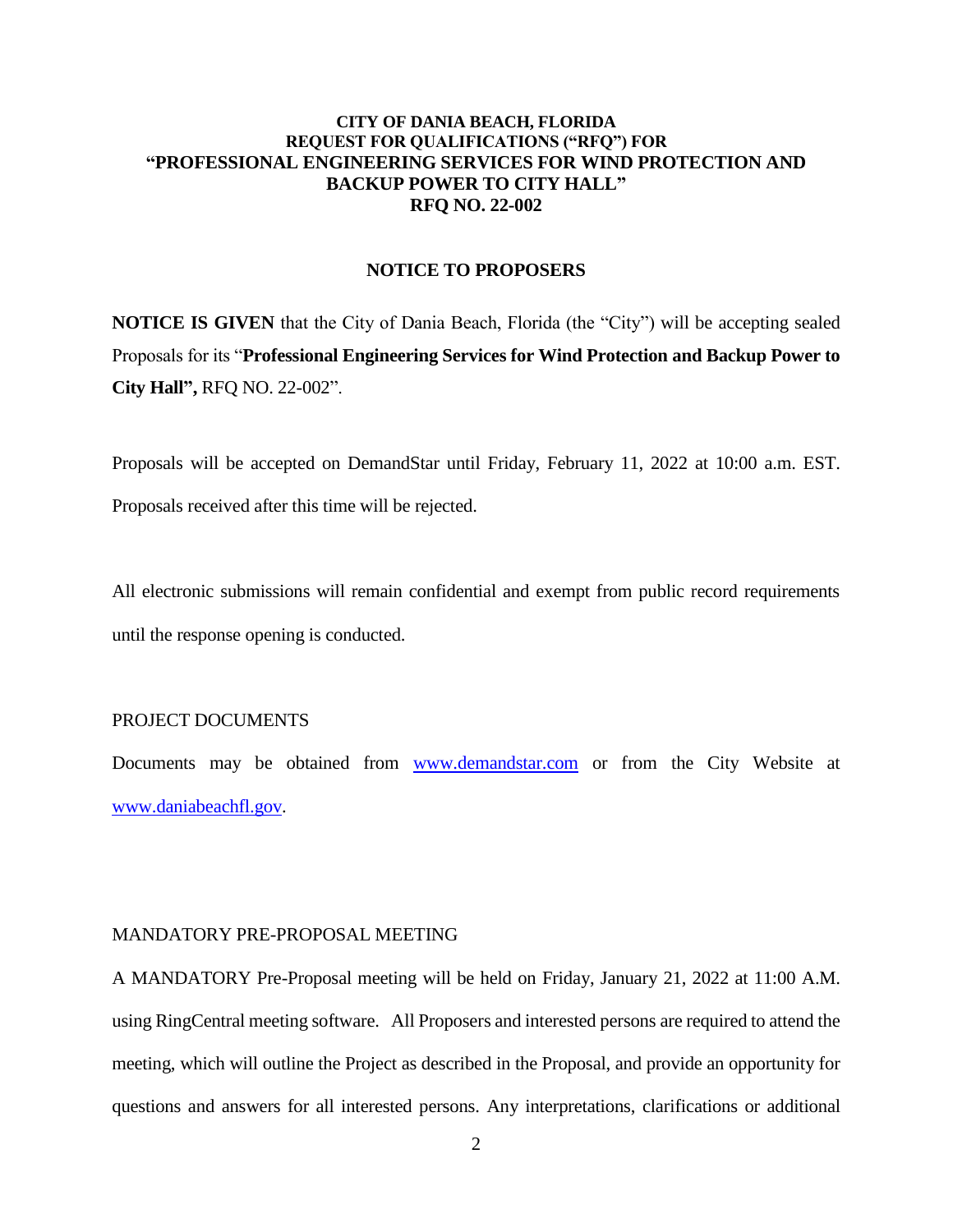#### **CITY OF DANIA BEACH, FLORIDA REQUEST FOR QUALIFICATIONS ("RFQ") FOR "PROFESSIONAL ENGINEERING SERVICES FOR WIND PROTECTION AND BACKUP POWER TO CITY HALL" RFQ NO. 22-002**

#### **NOTICE TO PROPOSERS**

**NOTICE IS GIVEN** that the City of Dania Beach, Florida (the "City") will be accepting sealed Proposals for its "**Professional Engineering Services for Wind Protection and Backup Power to City Hall",** RFQ NO. 22-002".

Proposals will be accepted on DemandStar until Friday, February 11, 2022 at 10:00 a.m. EST.

Proposals received after this time will be rejected.

All electronic submissions will remain confidential and exempt from public record requirements until the response opening is conducted.

### PROJECT DOCUMENTS

Documents may be obtained from [www.demandstar.com](http://www.demandstar.com/) or from the City Website at [www.daniabeachfl.gov.](http://www.daniabeachfl.gov/)

#### MANDATORY PRE-PROPOSAL MEETING

A MANDATORY Pre-Proposal meeting will be held on Friday, January 21, 2022 at 11:00 A.M. using RingCentral meeting software. All Proposers and interested persons are required to attend the meeting, which will outline the Project as described in the Proposal, and provide an opportunity for questions and answers for all interested persons. Any interpretations, clarifications or additional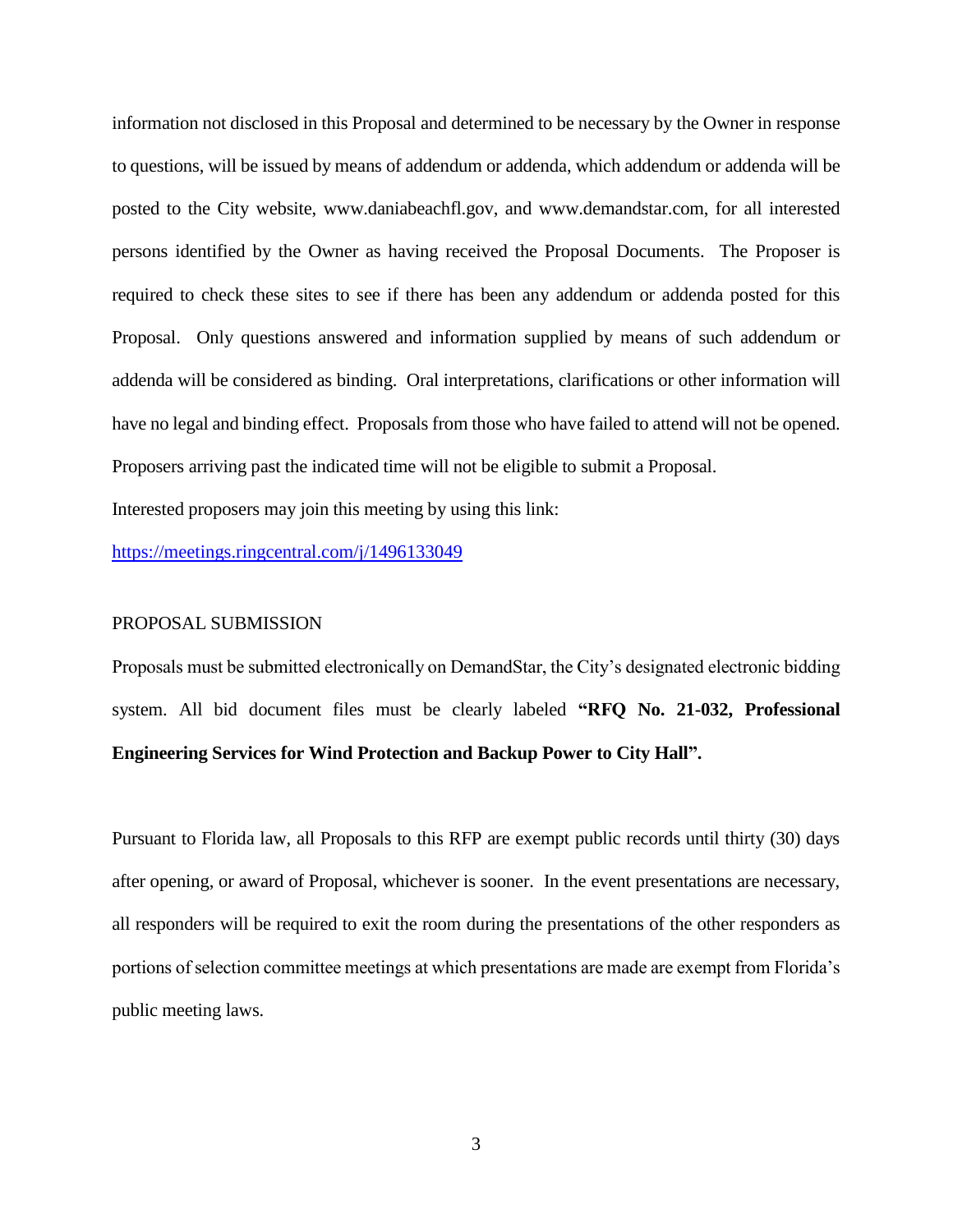information not disclosed in this Proposal and determined to be necessary by the Owner in response to questions, will be issued by means of addendum or addenda, which addendum or addenda will be posted to the City website, www.daniabeachfl.gov, and www.demandstar.com, for all interested persons identified by the Owner as having received the Proposal Documents. The Proposer is required to check these sites to see if there has been any addendum or addenda posted for this Proposal. Only questions answered and information supplied by means of such addendum or addenda will be considered as binding. Oral interpretations, clarifications or other information will have no legal and binding effect. Proposals from those who have failed to attend will not be opened. Proposers arriving past the indicated time will not be eligible to submit a Proposal.

Interested proposers may join this meeting by using this link:

<https://meetings.ringcentral.com/j/1496133049>

#### PROPOSAL SUBMISSION

Proposals must be submitted electronically on DemandStar, the City's designated electronic bidding system. All bid document files must be clearly labeled **"RFQ No. 21-032, Professional Engineering Services for Wind Protection and Backup Power to City Hall".**

Pursuant to Florida law, all Proposals to this RFP are exempt public records until thirty (30) days after opening, or award of Proposal, whichever is sooner. In the event presentations are necessary, all responders will be required to exit the room during the presentations of the other responders as portions of selection committee meetings at which presentations are made are exempt from Florida's public meeting laws.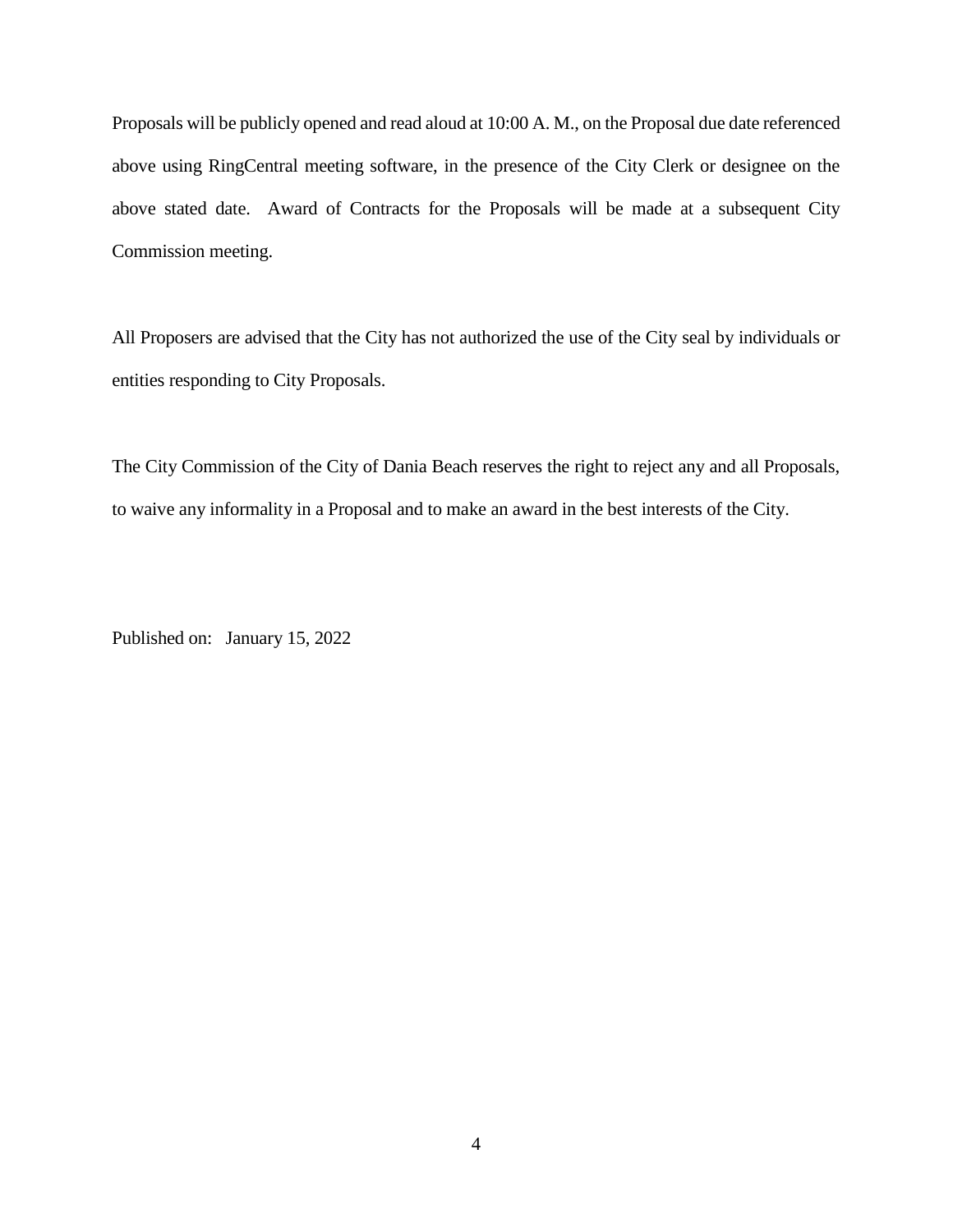Proposals will be publicly opened and read aloud at 10:00 A. M., on the Proposal due date referenced above using RingCentral meeting software, in the presence of the City Clerk or designee on the above stated date. Award of Contracts for the Proposals will be made at a subsequent City Commission meeting.

All Proposers are advised that the City has not authorized the use of the City seal by individuals or entities responding to City Proposals.

The City Commission of the City of Dania Beach reserves the right to reject any and all Proposals, to waive any informality in a Proposal and to make an award in the best interests of the City.

Published on: January 15, 2022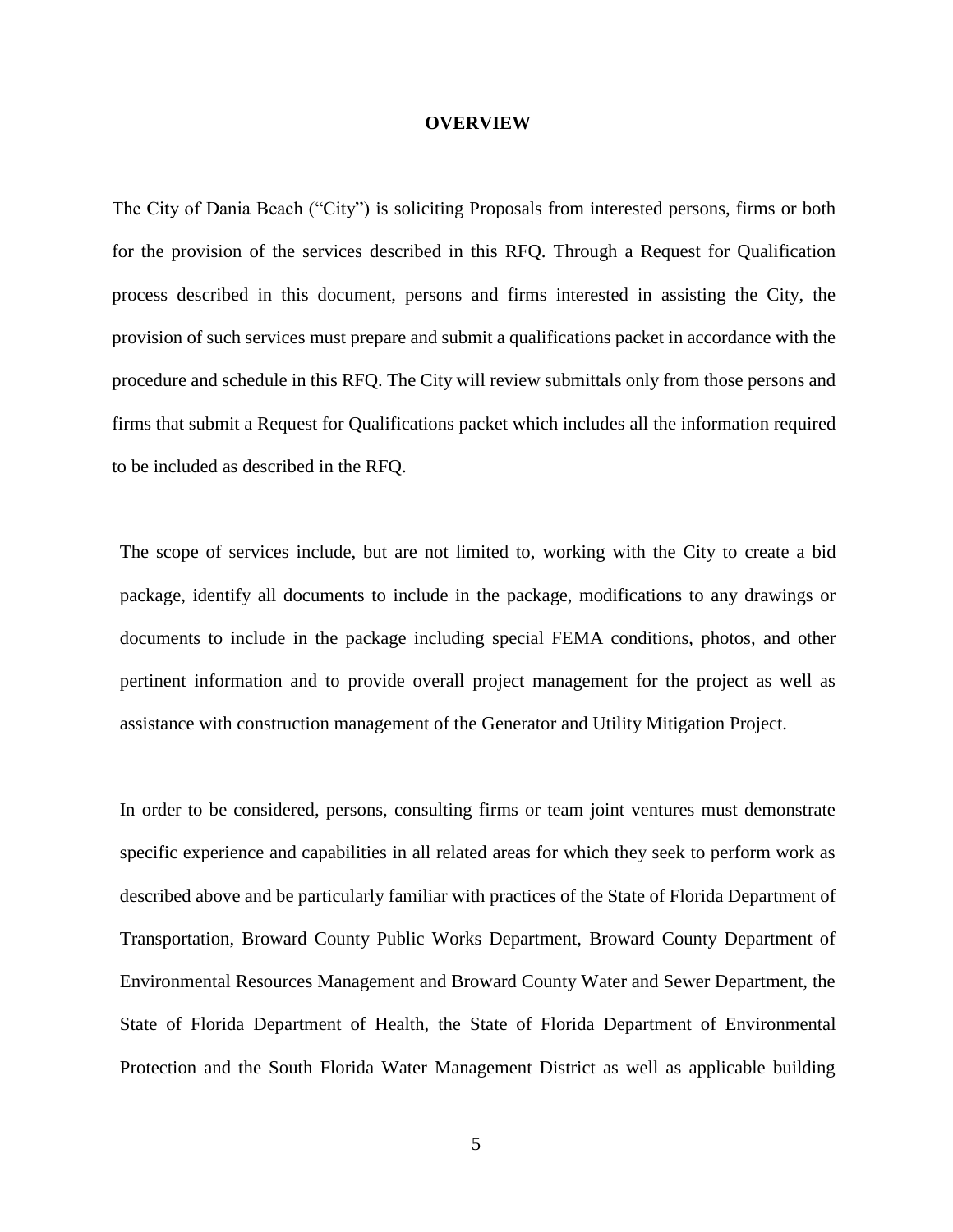#### **OVERVIEW**

The City of Dania Beach ("City") is soliciting Proposals from interested persons, firms or both for the provision of the services described in this RFQ. Through a Request for Qualification process described in this document, persons and firms interested in assisting the City, the provision of such services must prepare and submit a qualifications packet in accordance with the procedure and schedule in this RFQ. The City will review submittals only from those persons and firms that submit a Request for Qualifications packet which includes all the information required to be included as described in the RFQ.

The scope of services include, but are not limited to, working with the City to create a bid package, identify all documents to include in the package, modifications to any drawings or documents to include in the package including special FEMA conditions, photos, and other pertinent information and to provide overall project management for the project as well as assistance with construction management of the Generator and Utility Mitigation Project.

In order to be considered, persons, consulting firms or team joint ventures must demonstrate specific experience and capabilities in all related areas for which they seek to perform work as described above and be particularly familiar with practices of the State of Florida Department of Transportation, Broward County Public Works Department, Broward County Department of Environmental Resources Management and Broward County Water and Sewer Department, the State of Florida Department of Health, the State of Florida Department of Environmental Protection and the South Florida Water Management District as well as applicable building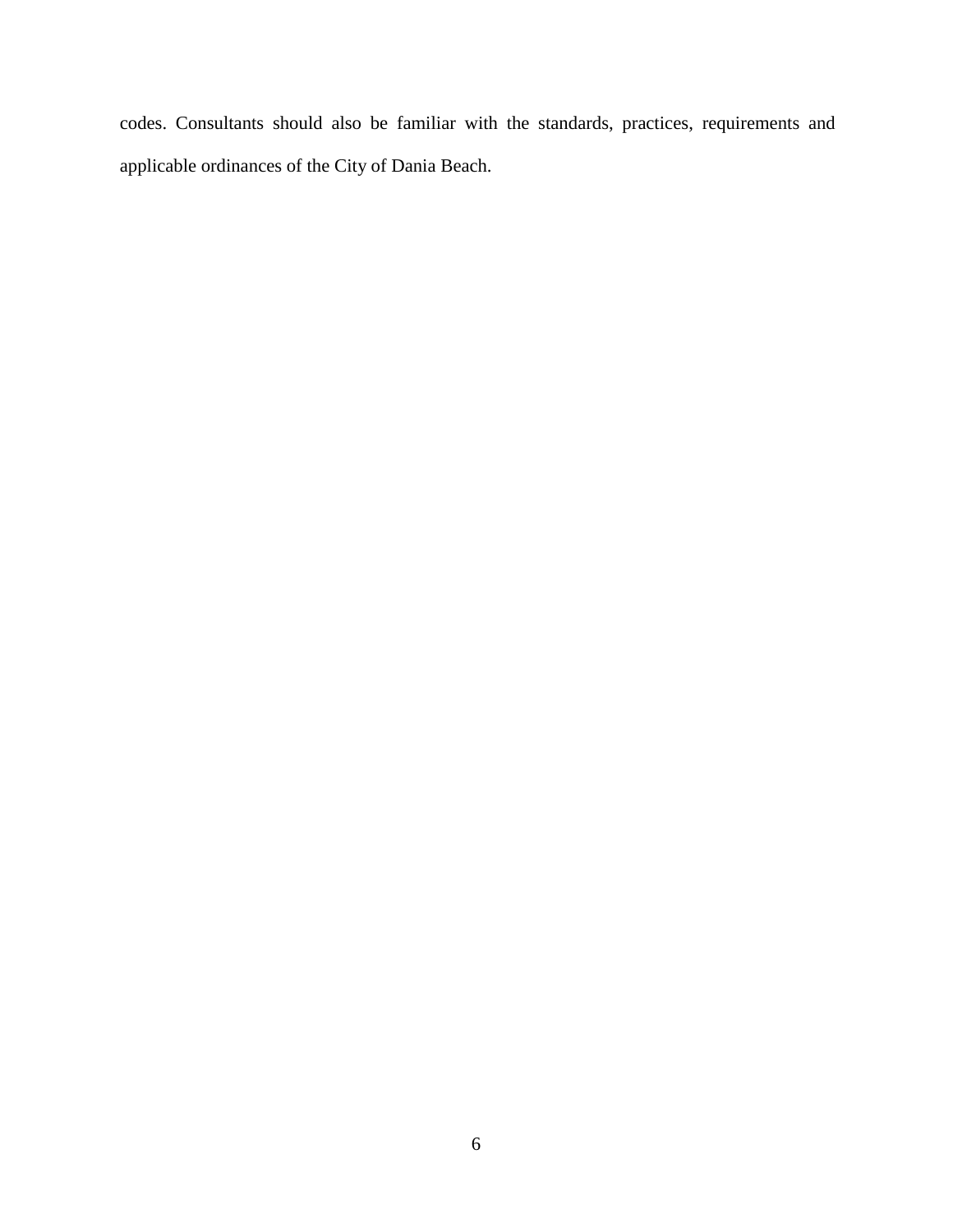codes. Consultants should also be familiar with the standards, practices, requirements and applicable ordinances of the City of Dania Beach.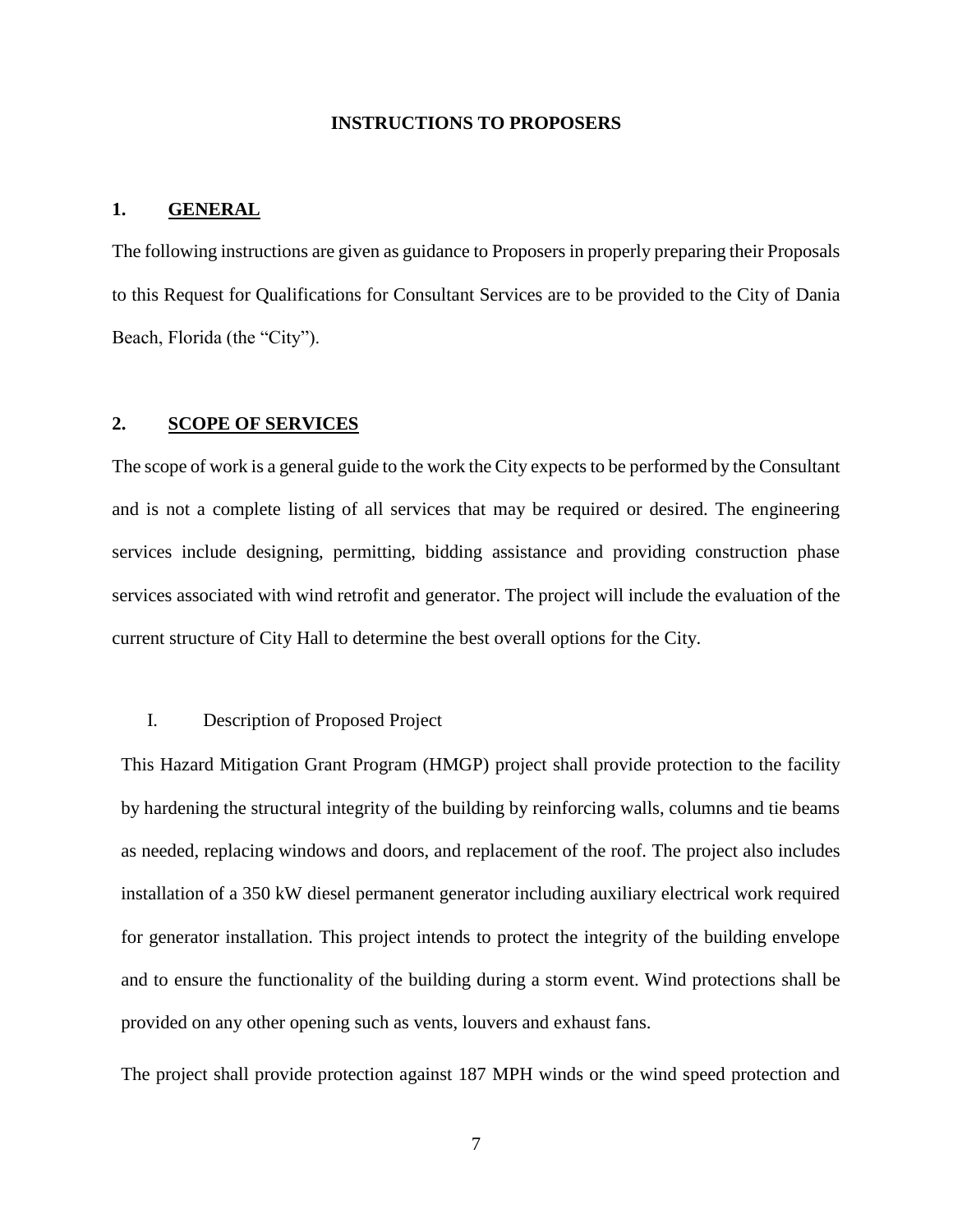#### **INSTRUCTIONS TO PROPOSERS**

#### **1. GENERAL**

The following instructions are given as guidance to Proposers in properly preparing their Proposals to this Request for Qualifications for Consultant Services are to be provided to the City of Dania Beach, Florida (the "City").

#### **2. SCOPE OF SERVICES**

The scope of work is a general guide to the work the City expects to be performed by the Consultant and is not a complete listing of all services that may be required or desired. The engineering services include designing, permitting, bidding assistance and providing construction phase services associated with wind retrofit and generator. The project will include the evaluation of the current structure of City Hall to determine the best overall options for the City.

#### I. Description of Proposed Project

This Hazard Mitigation Grant Program (HMGP) project shall provide protection to the facility by hardening the structural integrity of the building by reinforcing walls, columns and tie beams as needed, replacing windows and doors, and replacement of the roof. The project also includes installation of a 350 kW diesel permanent generator including auxiliary electrical work required for generator installation. This project intends to protect the integrity of the building envelope and to ensure the functionality of the building during a storm event. Wind protections shall be provided on any other opening such as vents, louvers and exhaust fans.

The project shall provide protection against 187 MPH winds or the wind speed protection and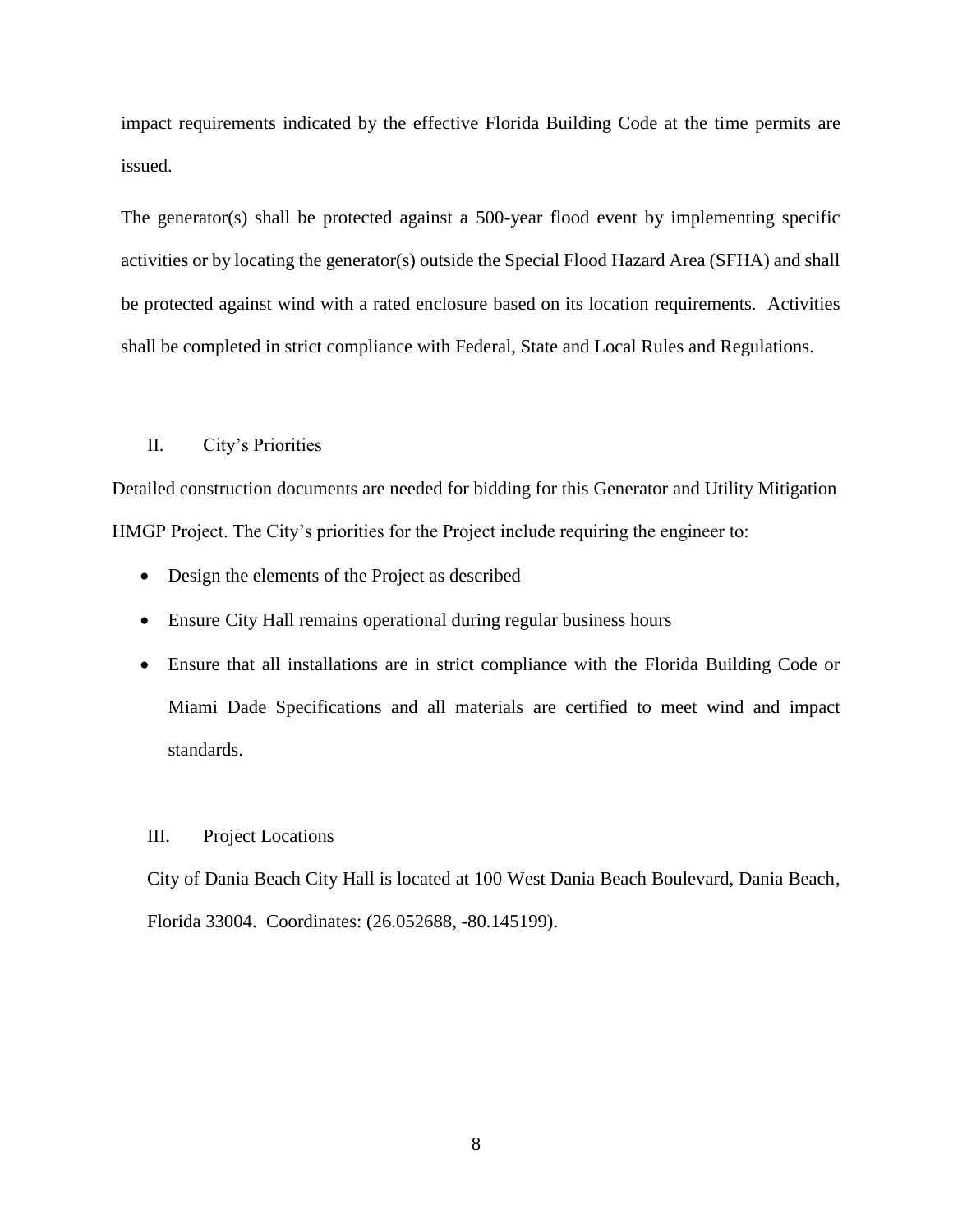impact requirements indicated by the effective Florida Building Code at the time permits are issued.

The generator(s) shall be protected against a 500-year flood event by implementing specific activities or by locating the generator(s) outside the Special Flood Hazard Area (SFHA) and shall be protected against wind with a rated enclosure based on its location requirements. Activities shall be completed in strict compliance with Federal, State and Local Rules and Regulations.

#### II. City's Priorities

Detailed construction documents are needed for bidding for this Generator and Utility Mitigation HMGP Project. The City's priorities for the Project include requiring the engineer to:

- Design the elements of the Project as described
- Ensure City Hall remains operational during regular business hours
- Ensure that all installations are in strict compliance with the Florida Building Code or Miami Dade Specifications and all materials are certified to meet wind and impact standards.

#### III. Project Locations

City of Dania Beach City Hall is located at 100 West Dania Beach Boulevard, Dania Beach, Florida 33004. Coordinates: (26.052688, -80.145199).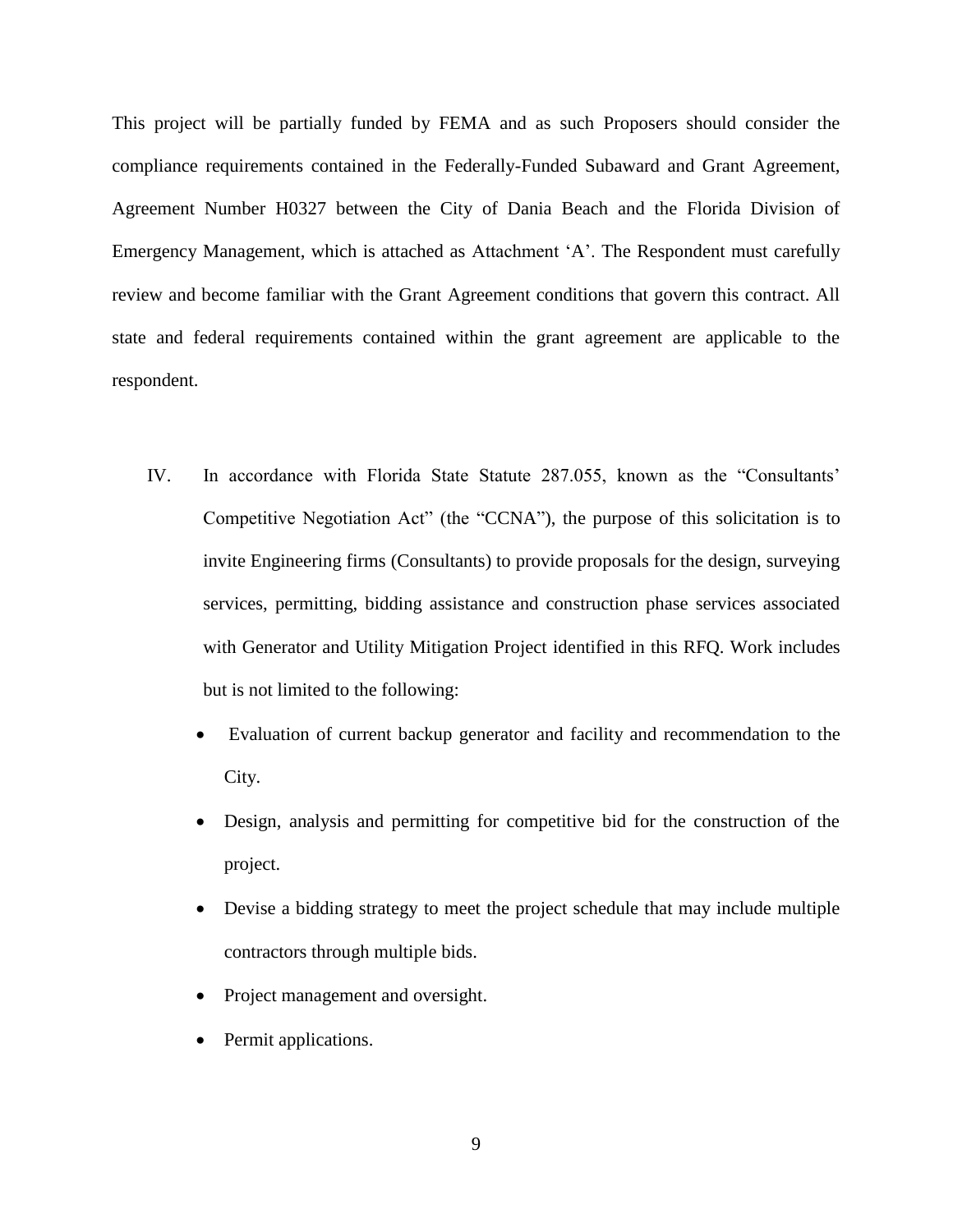This project will be partially funded by FEMA and as such Proposers should consider the compliance requirements contained in the Federally-Funded Subaward and Grant Agreement, Agreement Number H0327 between the City of Dania Beach and the Florida Division of Emergency Management, which is attached as Attachment 'A'. The Respondent must carefully review and become familiar with the Grant Agreement conditions that govern this contract. All state and federal requirements contained within the grant agreement are applicable to the respondent.

- IV. In accordance with Florida State Statute 287.055, known as the "Consultants' Competitive Negotiation Act" (the "CCNA"), the purpose of this solicitation is to invite Engineering firms (Consultants) to provide proposals for the design, surveying services, permitting, bidding assistance and construction phase services associated with Generator and Utility Mitigation Project identified in this RFQ. Work includes but is not limited to the following:
	- Evaluation of current backup generator and facility and recommendation to the City.
	- Design, analysis and permitting for competitive bid for the construction of the project.
	- Devise a bidding strategy to meet the project schedule that may include multiple contractors through multiple bids.
	- Project management and oversight.
	- Permit applications.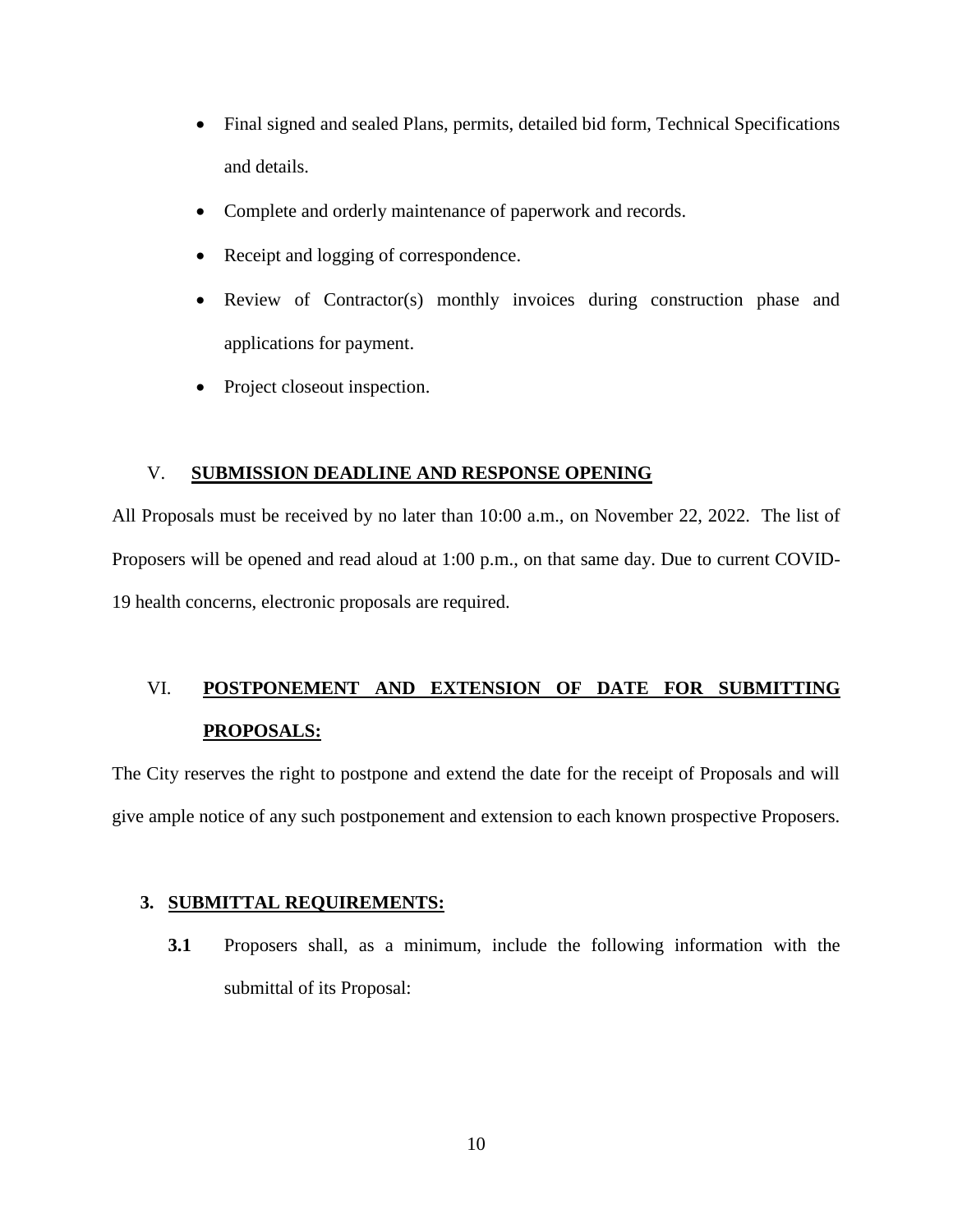- Final signed and sealed Plans, permits, detailed bid form, Technical Specifications and details.
- Complete and orderly maintenance of paperwork and records.
- Receipt and logging of correspondence.
- Review of Contractor(s) monthly invoices during construction phase and applications for payment.
- Project closeout inspection.

#### V. **SUBMISSION DEADLINE AND RESPONSE OPENING**

All Proposals must be received by no later than 10:00 a.m., on November 22, 2022. The list of Proposers will be opened and read aloud at 1:00 p.m., on that same day. Due to current COVID-19 health concerns, electronic proposals are required.

# VI. **POSTPONEMENT AND EXTENSION OF DATE FOR SUBMITTING PROPOSALS:**

The City reserves the right to postpone and extend the date for the receipt of Proposals and will give ample notice of any such postponement and extension to each known prospective Proposers.

#### **3. SUBMITTAL REQUIREMENTS:**

**3.1** Proposers shall, as a minimum, include the following information with the submittal of its Proposal: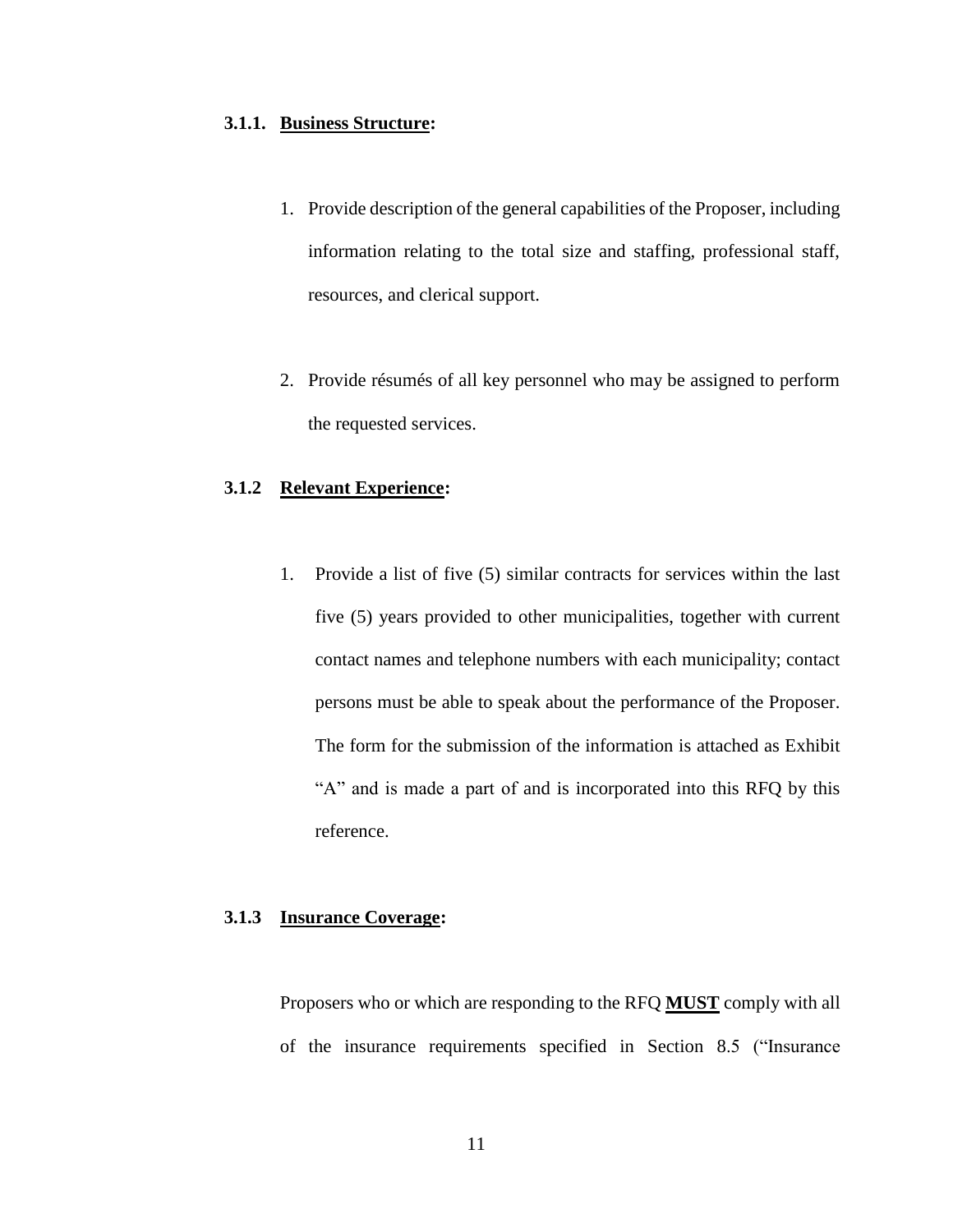#### **3.1.1. Business Structure:**

- 1. Provide description of the general capabilities of the Proposer, including information relating to the total size and staffing, professional staff, resources, and clerical support.
- 2. Provide résumés of all key personnel who may be assigned to perform the requested services.

#### **3.1.2 Relevant Experience:**

1. Provide a list of five (5) similar contracts for services within the last five (5) years provided to other municipalities, together with current contact names and telephone numbers with each municipality; contact persons must be able to speak about the performance of the Proposer. The form for the submission of the information is attached as Exhibit "A" and is made a part of and is incorporated into this RFQ by this reference.

## **3.1.3 Insurance Coverage:**

Proposers who or which are responding to the RFQ **MUST** comply with all of the insurance requirements specified in Section 8.5 ("Insurance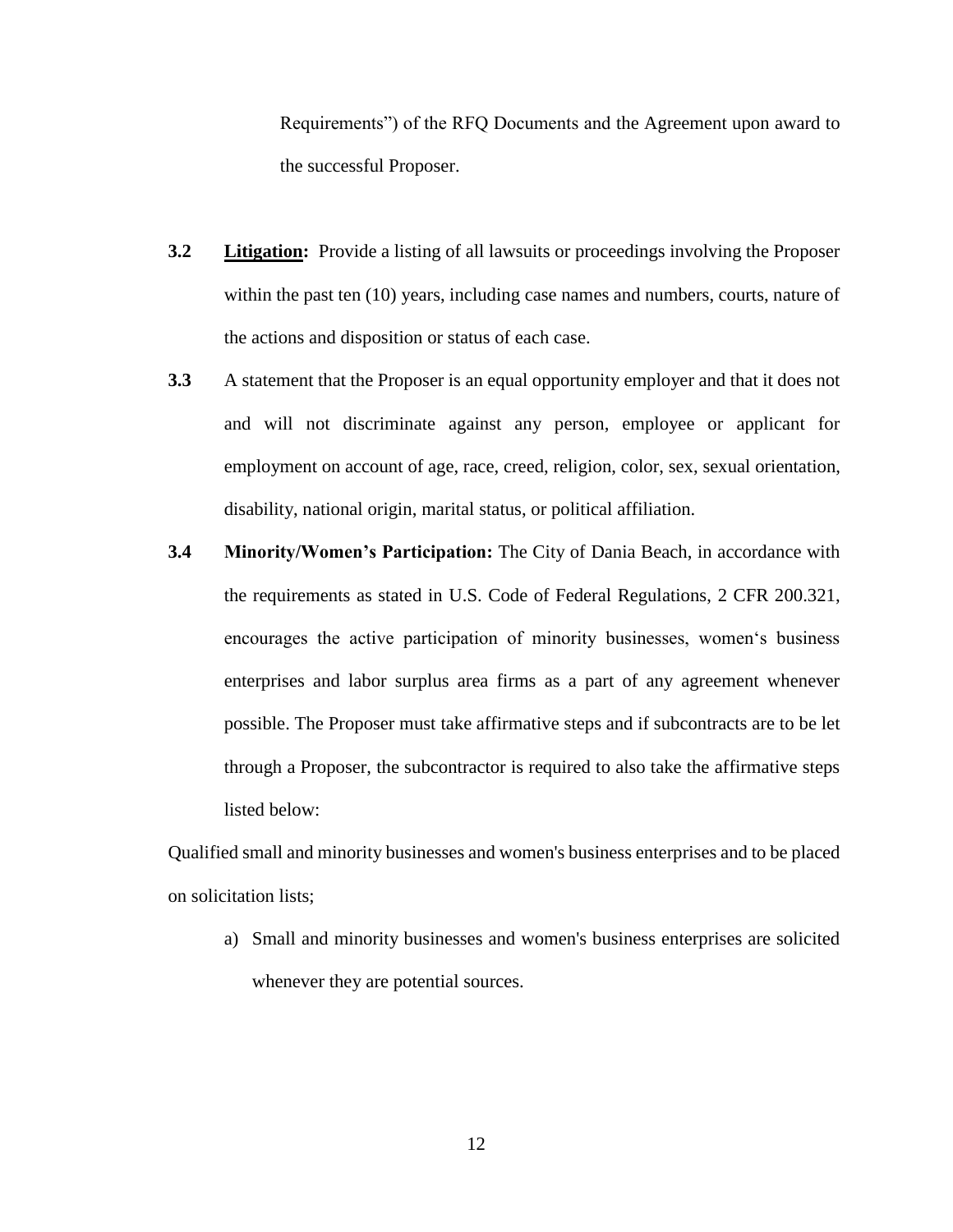Requirements") of the RFQ Documents and the Agreement upon award to the successful Proposer.

- **3.2 Litigation:** Provide a listing of all lawsuits or proceedings involving the Proposer within the past ten (10) years, including case names and numbers, courts, nature of the actions and disposition or status of each case.
- **3.3** A statement that the Proposer is an equal opportunity employer and that it does not and will not discriminate against any person, employee or applicant for employment on account of age, race, creed, religion, color, sex, sexual orientation, disability, national origin, marital status, or political affiliation.
- **3.4 Minority/Women's Participation:** The City of Dania Beach, in accordance with the requirements as stated in U.S. Code of Federal Regulations, 2 CFR 200.321, encourages the active participation of minority businesses, women's business enterprises and labor surplus area firms as a part of any agreement whenever possible. The Proposer must take affirmative steps and if subcontracts are to be let through a Proposer, the subcontractor is required to also take the affirmative steps listed below:

Qualified small and minority businesses and women's business enterprises and to be placed on solicitation lists;

a) Small and minority businesses and women's business enterprises are solicited whenever they are potential sources.

12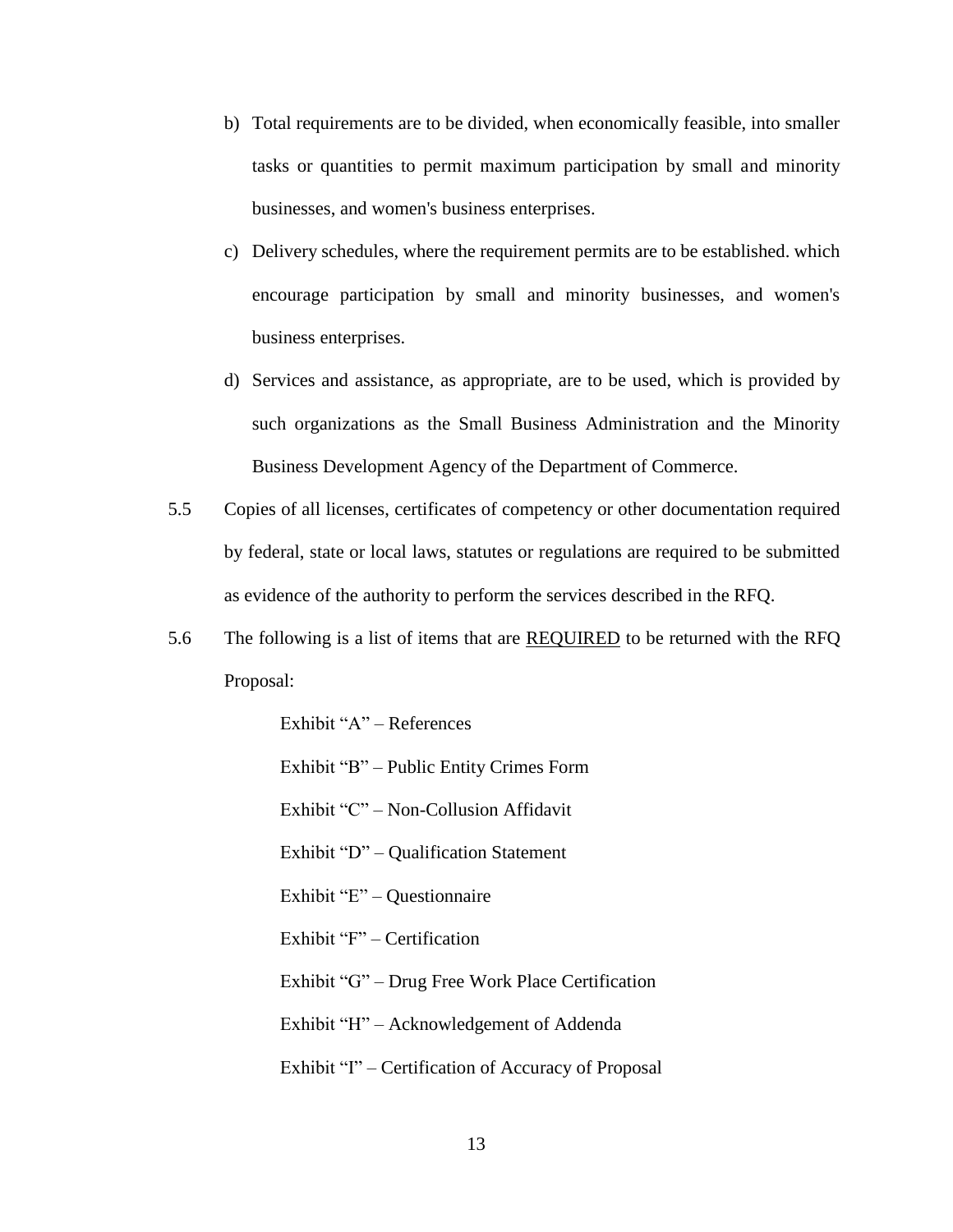- b) Total requirements are to be divided, when economically feasible, into smaller tasks or quantities to permit maximum participation by small and minority businesses, and women's business enterprises.
- c) Delivery schedules, where the requirement permits are to be established. which encourage participation by small and minority businesses, and women's business enterprises.
- d) Services and assistance, as appropriate, are to be used, which is provided by such organizations as the Small Business Administration and the Minority Business Development Agency of the Department of Commerce.
- 5.5 Copies of all licenses, certificates of competency or other documentation required by federal, state or local laws, statutes or regulations are required to be submitted as evidence of the authority to perform the services described in the RFQ.
- 5.6 The following is a list of items that are REQUIRED to be returned with the RFQ Proposal:

Exhibit "A" – References

Exhibit "B" – Public Entity Crimes Form

Exhibit "C" – Non-Collusion Affidavit

Exhibit "D" – Qualification Statement

Exhibit "E" – Questionnaire

Exhibit "F" – Certification

Exhibit "G" – Drug Free Work Place Certification

Exhibit "H" – Acknowledgement of Addenda

Exhibit "I" – Certification of Accuracy of Proposal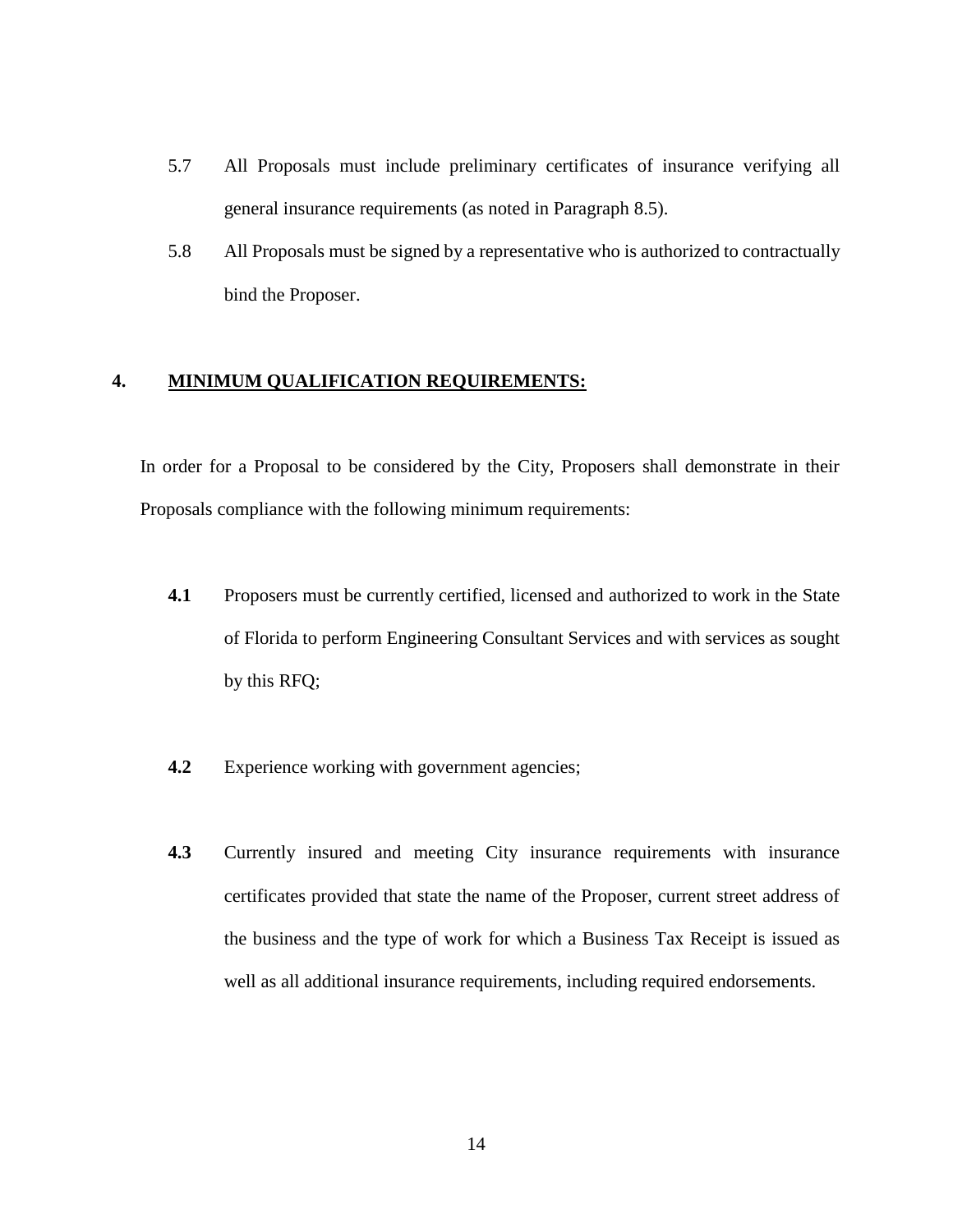- 5.7 All Proposals must include preliminary certificates of insurance verifying all general insurance requirements (as noted in Paragraph 8.5).
- 5.8 All Proposals must be signed by a representative who is authorized to contractually bind the Proposer.

## **4. MINIMUM QUALIFICATION REQUIREMENTS:**

In order for a Proposal to be considered by the City, Proposers shall demonstrate in their Proposals compliance with the following minimum requirements:

- **4.1** Proposers must be currently certified, licensed and authorized to work in the State of Florida to perform Engineering Consultant Services and with services as sought by this RFQ;
- **4.2** Experience working with government agencies;
- **4.3** Currently insured and meeting City insurance requirements with insurance certificates provided that state the name of the Proposer, current street address of the business and the type of work for which a Business Tax Receipt is issued as well as all additional insurance requirements, including required endorsements.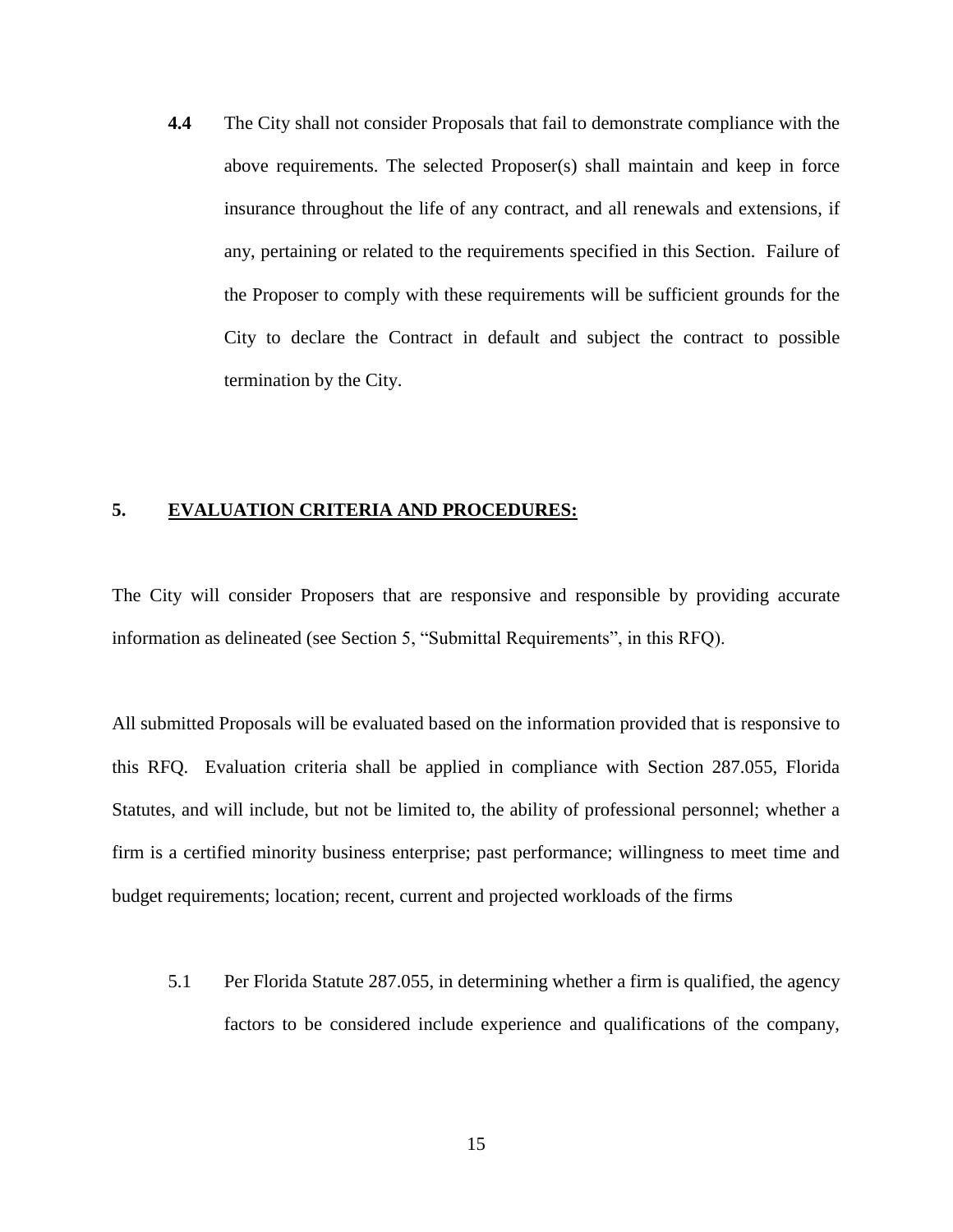**4.4** The City shall not consider Proposals that fail to demonstrate compliance with the above requirements. The selected Proposer(s) shall maintain and keep in force insurance throughout the life of any contract, and all renewals and extensions, if any, pertaining or related to the requirements specified in this Section. Failure of the Proposer to comply with these requirements will be sufficient grounds for the City to declare the Contract in default and subject the contract to possible termination by the City.

#### **5. EVALUATION CRITERIA AND PROCEDURES:**

The City will consider Proposers that are responsive and responsible by providing accurate information as delineated (see Section 5, "Submittal Requirements", in this RFQ).

All submitted Proposals will be evaluated based on the information provided that is responsive to this RFQ. Evaluation criteria shall be applied in compliance with Section 287.055, Florida Statutes, and will include, but not be limited to, the ability of professional personnel; whether a firm is a certified minority business enterprise; past performance; willingness to meet time and budget requirements; location; recent, current and projected workloads of the firms

5.1 Per Florida Statute 287.055, in determining whether a firm is qualified, the agency factors to be considered include experience and qualifications of the company,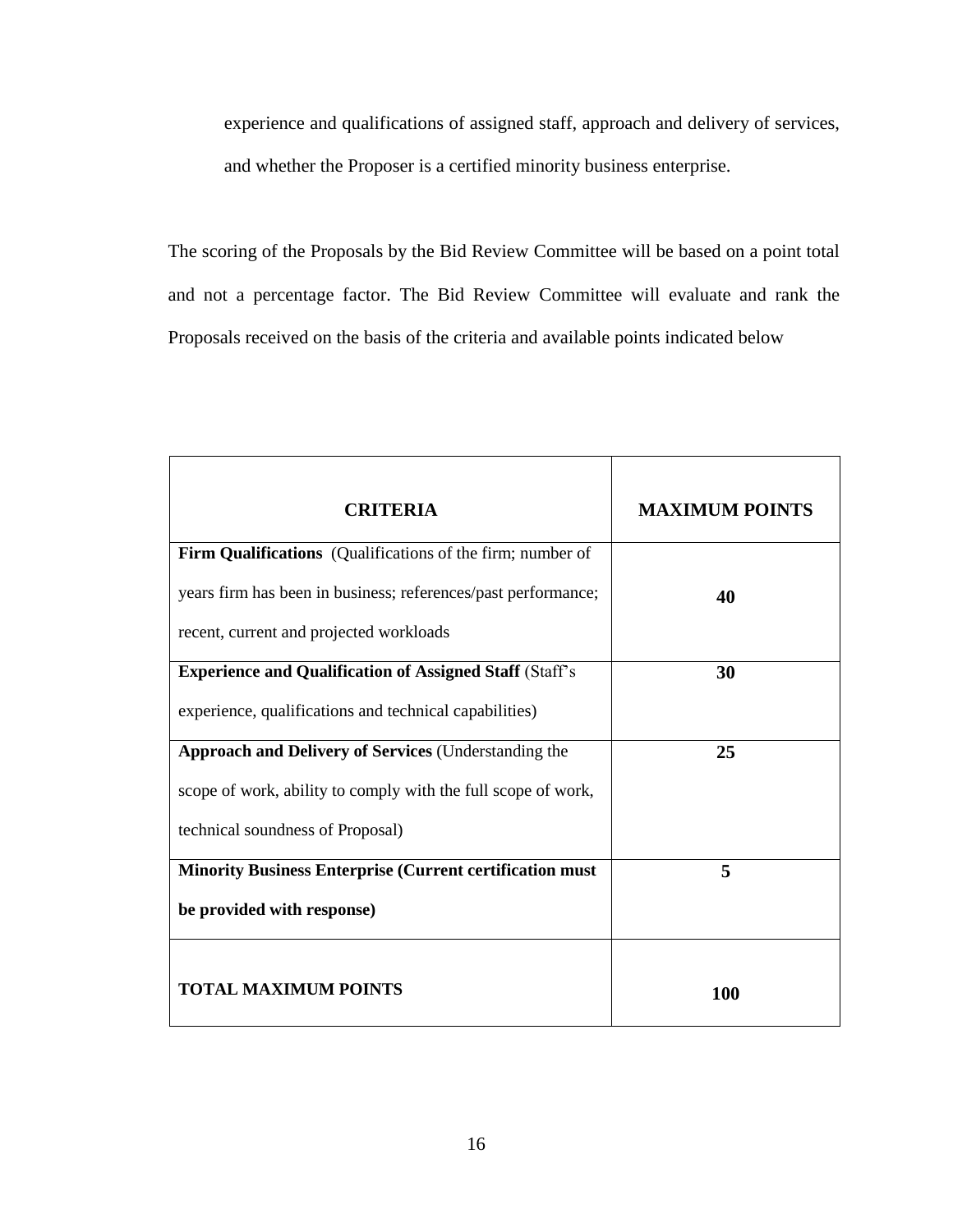experience and qualifications of assigned staff, approach and delivery of services, and whether the Proposer is a certified minority business enterprise.

The scoring of the Proposals by the Bid Review Committee will be based on a point total and not a percentage factor. The Bid Review Committee will evaluate and rank the Proposals received on the basis of the criteria and available points indicated below

| <b>CRITERIA</b>                                                 | <b>MAXIMUM POINTS</b> |
|-----------------------------------------------------------------|-----------------------|
| Firm Qualifications (Qualifications of the firm; number of      |                       |
| years firm has been in business; references/past performance;   | 40                    |
| recent, current and projected workloads                         |                       |
| <b>Experience and Qualification of Assigned Staff (Staff's</b>  | 30                    |
| experience, qualifications and technical capabilities)          |                       |
| <b>Approach and Delivery of Services (Understanding the</b>     | 25                    |
| scope of work, ability to comply with the full scope of work,   |                       |
| technical soundness of Proposal)                                |                       |
| <b>Minority Business Enterprise (Current certification must</b> | 5                     |
| be provided with response)                                      |                       |
| <b>TOTAL MAXIMUM POINTS</b>                                     | 100                   |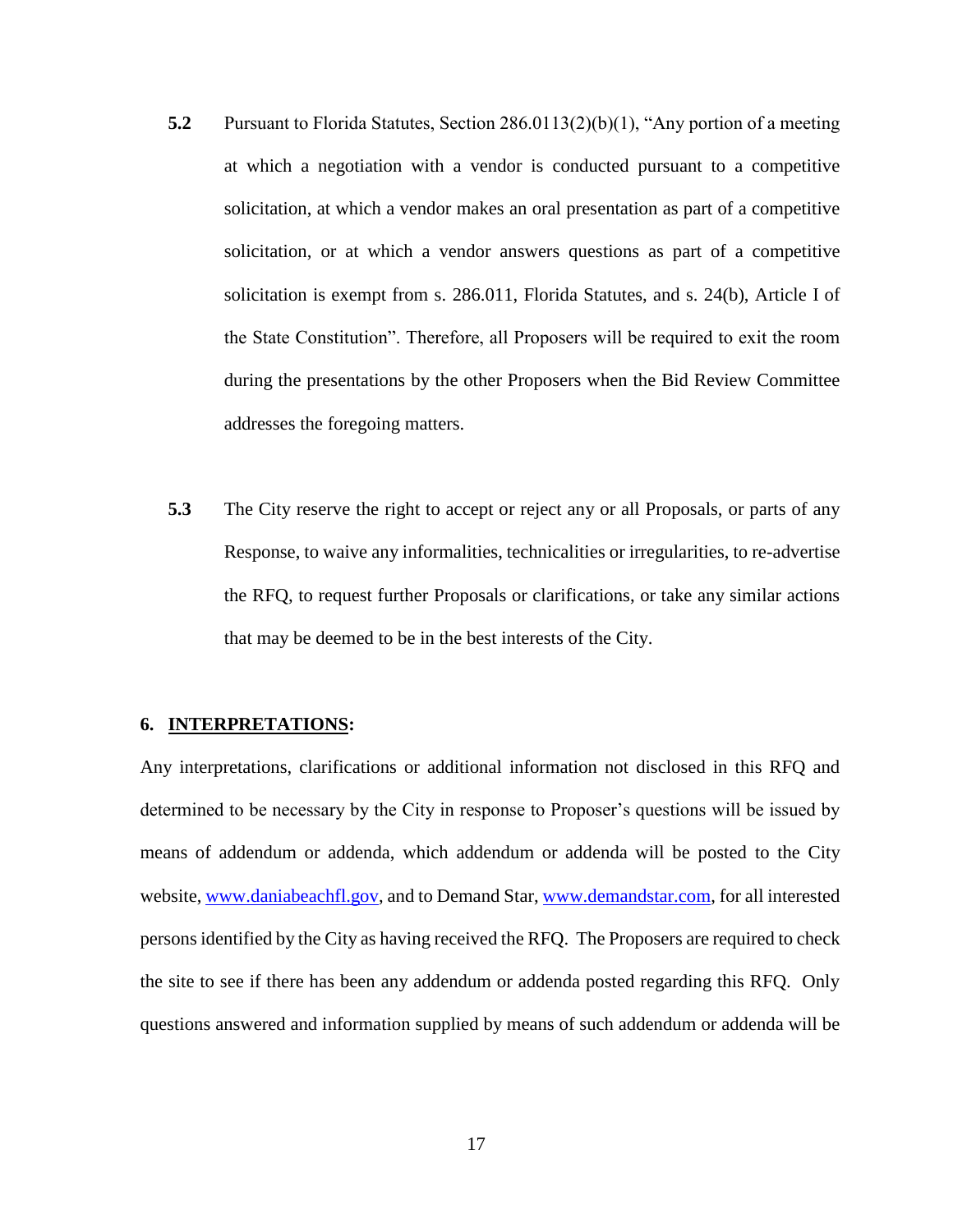- **5.2** Pursuant to Florida Statutes, Section 286.0113(2)(b)(1), "Any portion of a meeting at which a negotiation with a vendor is conducted pursuant to a competitive solicitation, at which a vendor makes an oral presentation as part of a competitive solicitation, or at which a vendor answers questions as part of a competitive solicitation is exempt from s. [286.011,](http://www.leg.state.fl.us/Statutes/index.cfm?App_mode=Display_Statute&Search_String=&URL=0200-0299/0286/Sections/0286.011.html) Florida Statutes, and s. 24(b), Article I of the State Constitution". Therefore, all Proposers will be required to exit the room during the presentations by the other Proposers when the Bid Review Committee addresses the foregoing matters.
- **5.3** The City reserve the right to accept or reject any or all Proposals, or parts of any Response, to waive any informalities, technicalities or irregularities, to re-advertise the RFQ, to request further Proposals or clarifications, or take any similar actions that may be deemed to be in the best interests of the City.

#### **6. INTERPRETATIONS:**

Any interpretations, clarifications or additional information not disclosed in this RFQ and determined to be necessary by the City in response to Proposer's questions will be issued by means of addendum or addenda, which addendum or addenda will be posted to the City website, [www.daniabeachfl.gov,](http://www.daniabeachfl.gov/) and to Demand Star, [www.demandstar.com,](http://www.demandstar.com/) for all interested persons identified by the City as having received the RFQ. The Proposers are required to check the site to see if there has been any addendum or addenda posted regarding this RFQ. Only questions answered and information supplied by means of such addendum or addenda will be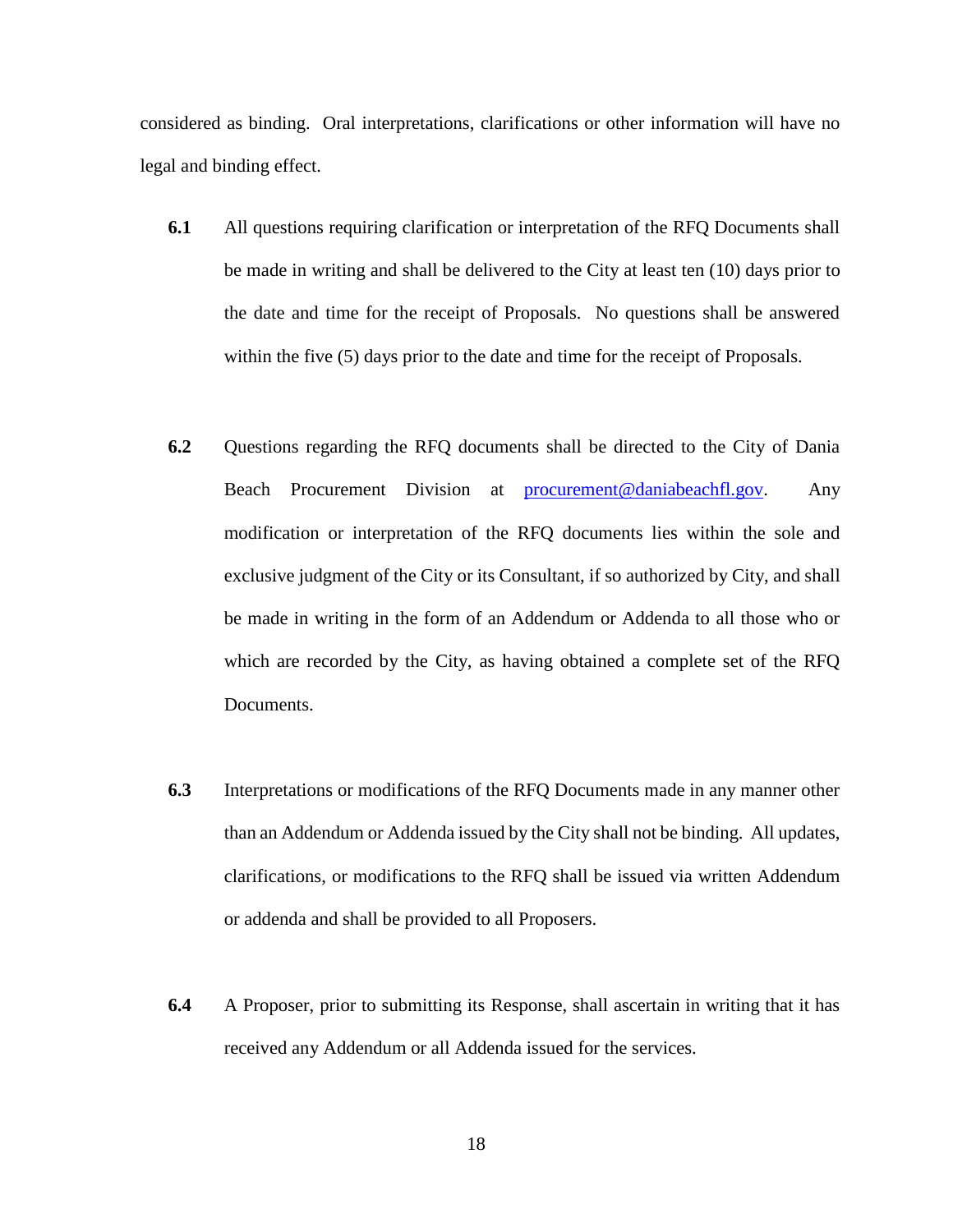considered as binding. Oral interpretations, clarifications or other information will have no legal and binding effect.

- **6.1** All questions requiring clarification or interpretation of the RFQ Documents shall be made in writing and shall be delivered to the City at least ten (10) days prior to the date and time for the receipt of Proposals. No questions shall be answered within the five (5) days prior to the date and time for the receipt of Proposals.
- **6.2** Questions regarding the RFQ documents shall be directed to the City of Dania Beach Procurement Division at [procurement@daniabeachfl.gov.](mailto:procurement@daniabeachfl.gov) Any modification or interpretation of the RFQ documents lies within the sole and exclusive judgment of the City or its Consultant, if so authorized by City, and shall be made in writing in the form of an Addendum or Addenda to all those who or which are recorded by the City, as having obtained a complete set of the RFQ Documents.
- **6.3** Interpretations or modifications of the RFQ Documents made in any manner other than an Addendum or Addenda issued by the City shall not be binding. All updates, clarifications, or modifications to the RFQ shall be issued via written Addendum or addenda and shall be provided to all Proposers.
- **6.4** A Proposer, prior to submitting its Response, shall ascertain in writing that it has received any Addendum or all Addenda issued for the services.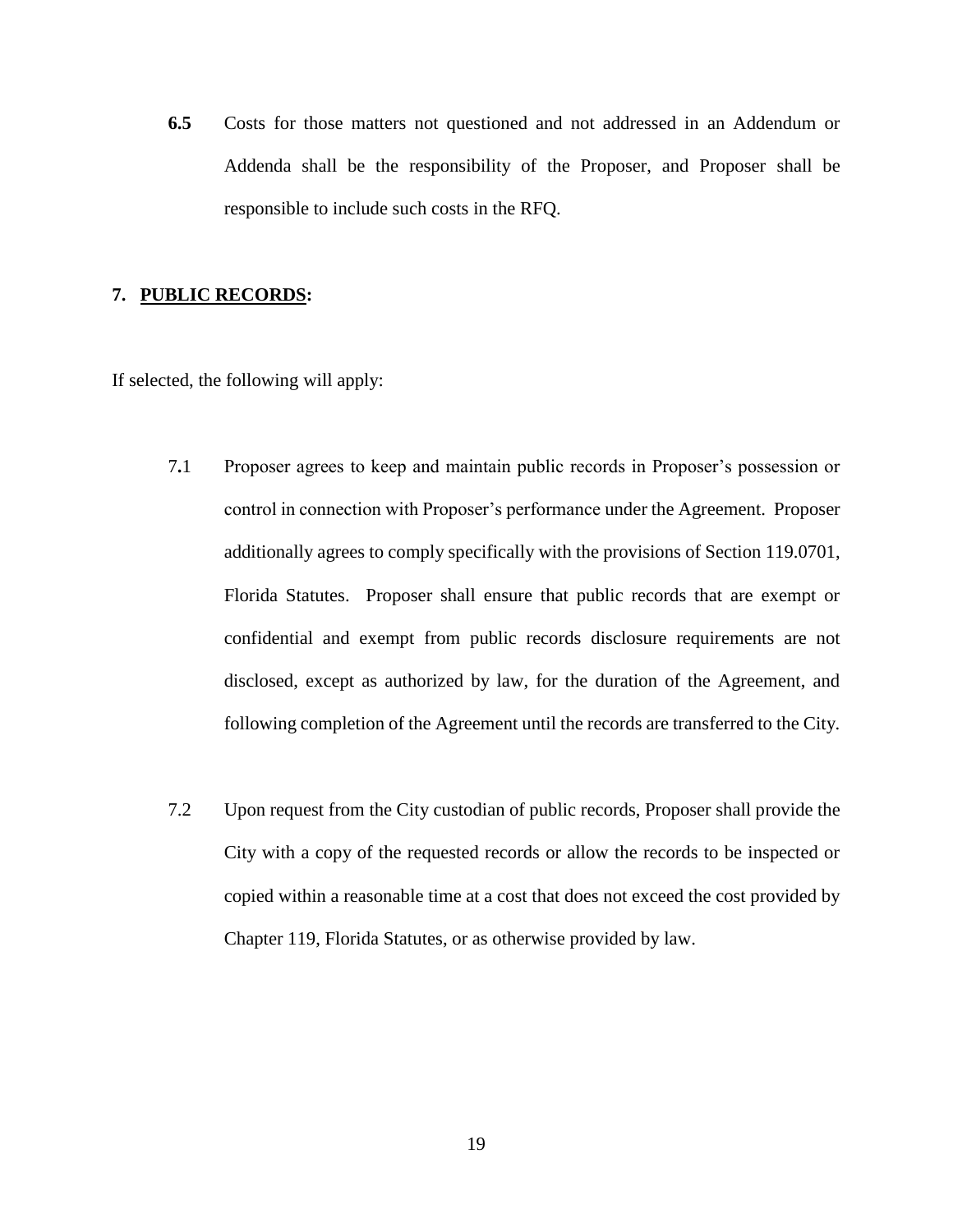**6.5** Costs for those matters not questioned and not addressed in an Addendum or Addenda shall be the responsibility of the Proposer, and Proposer shall be responsible to include such costs in the RFQ.

#### **7. PUBLIC RECORDS:**

If selected, the following will apply:

- 7**.**1 Proposer agrees to keep and maintain public records in Proposer's possession or control in connection with Proposer's performance under the Agreement. Proposer additionally agrees to comply specifically with the provisions of Section 119.0701, Florida Statutes. Proposer shall ensure that public records that are exempt or confidential and exempt from public records disclosure requirements are not disclosed, except as authorized by law, for the duration of the Agreement, and following completion of the Agreement until the records are transferred to the City.
- 7.2 Upon request from the City custodian of public records, Proposer shall provide the City with a copy of the requested records or allow the records to be inspected or copied within a reasonable time at a cost that does not exceed the cost provided by Chapter 119, Florida Statutes, or as otherwise provided by law.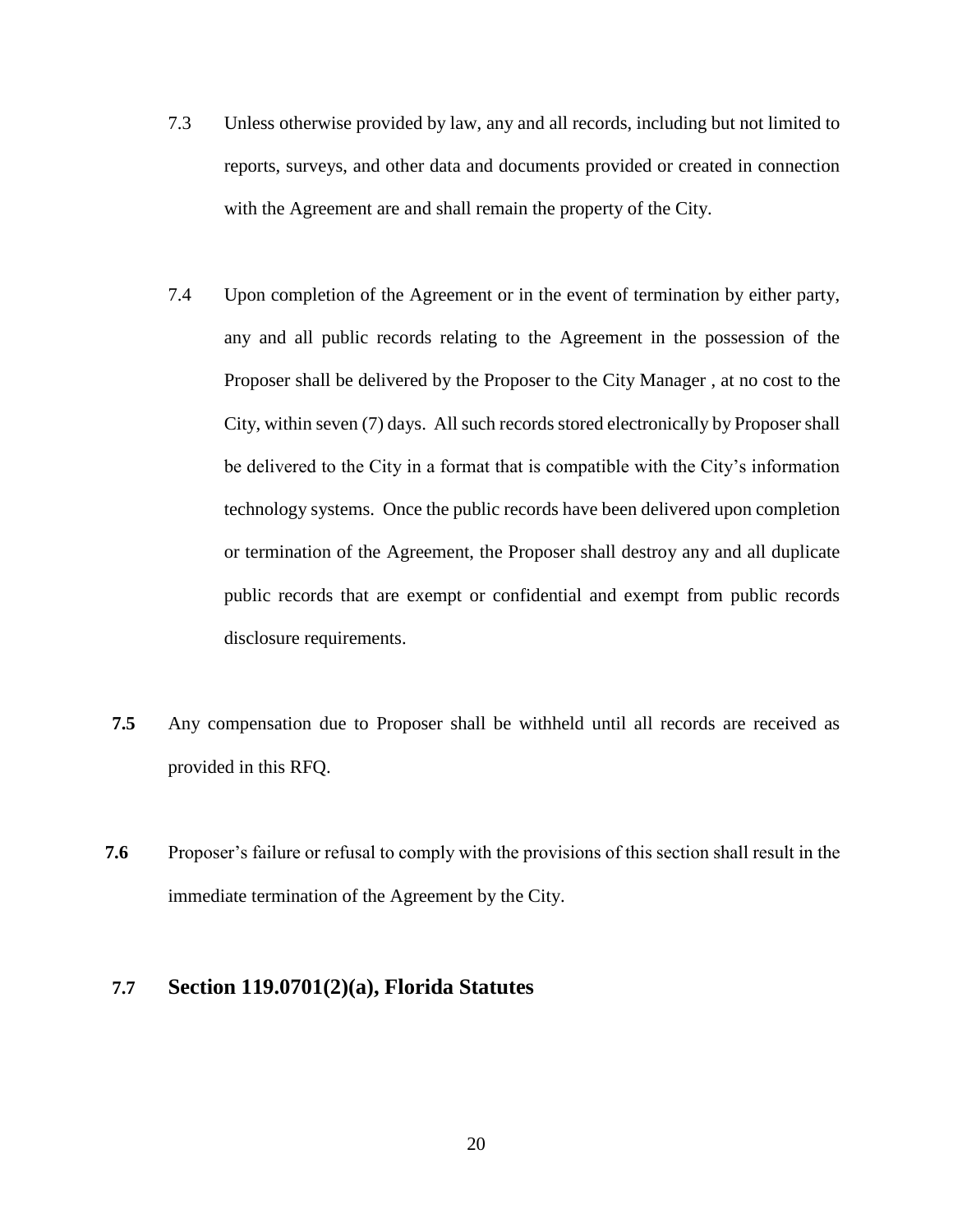- 7.3 Unless otherwise provided by law, any and all records, including but not limited to reports, surveys, and other data and documents provided or created in connection with the Agreement are and shall remain the property of the City.
- 7.4 Upon completion of the Agreement or in the event of termination by either party, any and all public records relating to the Agreement in the possession of the Proposer shall be delivered by the Proposer to the City Manager , at no cost to the City, within seven (7) days. All such records stored electronically by Proposer shall be delivered to the City in a format that is compatible with the City's information technology systems. Once the public records have been delivered upon completion or termination of the Agreement, the Proposer shall destroy any and all duplicate public records that are exempt or confidential and exempt from public records disclosure requirements.
- **7.5** Any compensation due to Proposer shall be withheld until all records are received as provided in this RFQ.
- **7.6** Proposer's failure or refusal to comply with the provisions of this section shall result in the immediate termination of the Agreement by the City.

## **7.7 Section 119.0701(2)(a), Florida Statutes**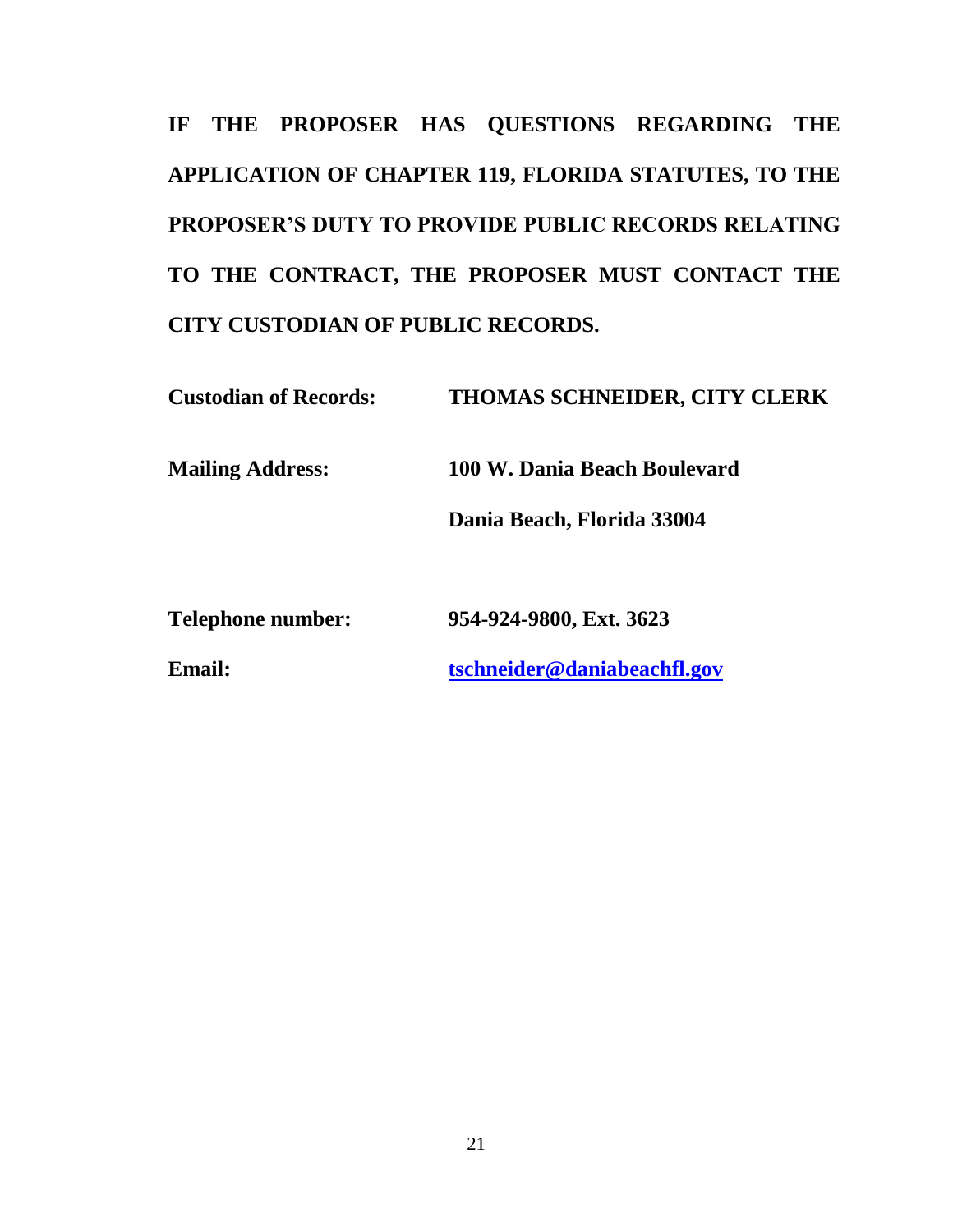**IF THE PROPOSER HAS QUESTIONS REGARDING THE APPLICATION OF CHAPTER 119, FLORIDA STATUTES, TO THE PROPOSER'S DUTY TO PROVIDE PUBLIC RECORDS RELATING TO THE CONTRACT, THE PROPOSER MUST CONTACT THE CITY CUSTODIAN OF PUBLIC RECORDS.**

**Custodian of Records: THOMAS SCHNEIDER, CITY CLERK Mailing Address: 100 W. Dania Beach Boulevard Dania Beach, Florida 33004**

**Telephone number: 954-924-9800, Ext. 3623**

**Email: [tschneider@daniabeachfl.gov](mailto:tschneider@daniabeachfl.gov)**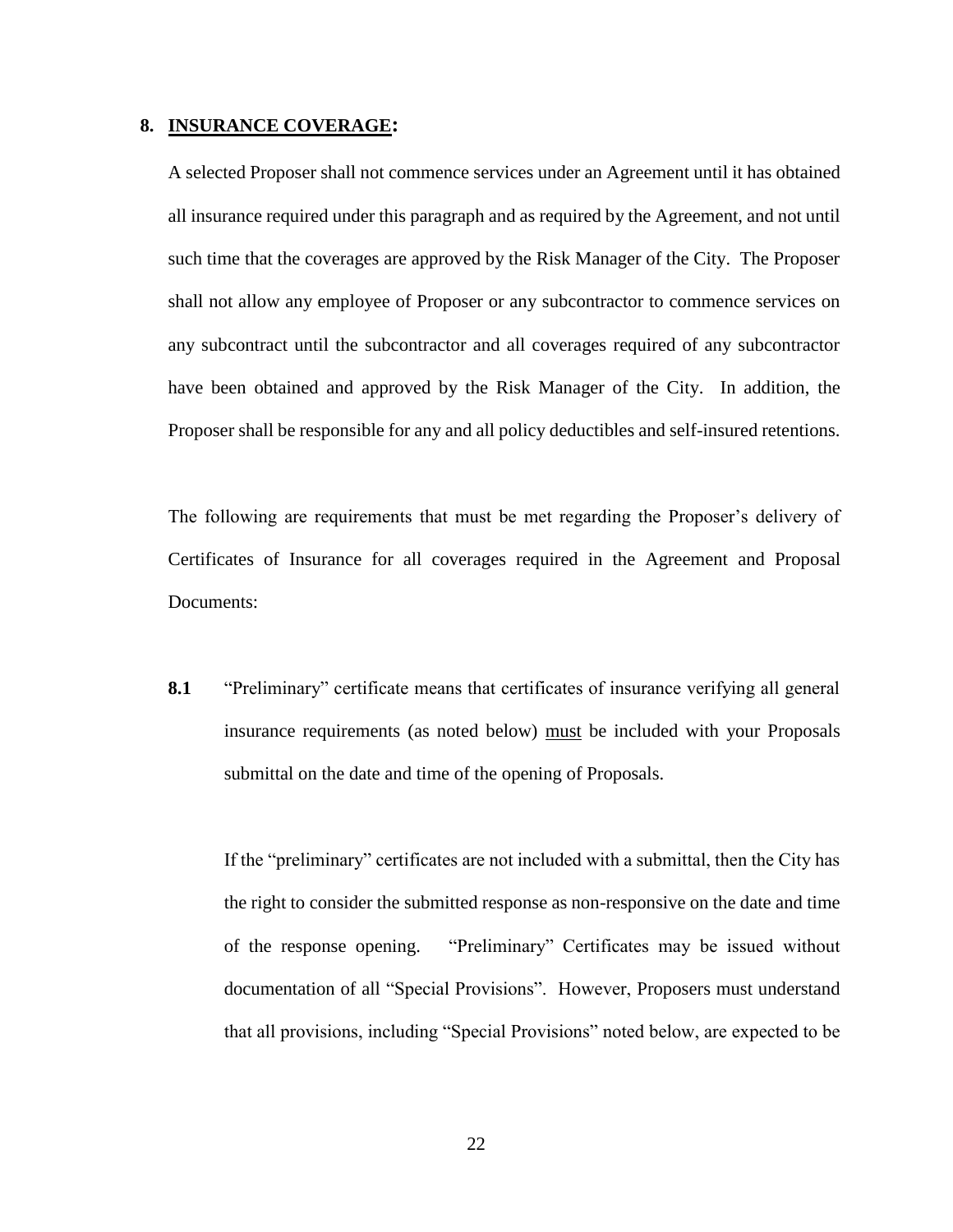#### **8. INSURANCE COVERAGE:**

A selected Proposer shall not commence services under an Agreement until it has obtained all insurance required under this paragraph and as required by the Agreement, and not until such time that the coverages are approved by the Risk Manager of the City. The Proposer shall not allow any employee of Proposer or any subcontractor to commence services on any subcontract until the subcontractor and all coverages required of any subcontractor have been obtained and approved by the Risk Manager of the City. In addition, the Proposer shall be responsible for any and all policy deductibles and self-insured retentions.

The following are requirements that must be met regarding the Proposer's delivery of Certificates of Insurance for all coverages required in the Agreement and Proposal Documents:

**8.1** "Preliminary" certificate means that certificates of insurance verifying all general insurance requirements (as noted below) must be included with your Proposals submittal on the date and time of the opening of Proposals.

If the "preliminary" certificates are not included with a submittal, then the City has the right to consider the submitted response as non-responsive on the date and time of the response opening. "Preliminary" Certificates may be issued without documentation of all "Special Provisions". However, Proposers must understand that all provisions, including "Special Provisions" noted below, are expected to be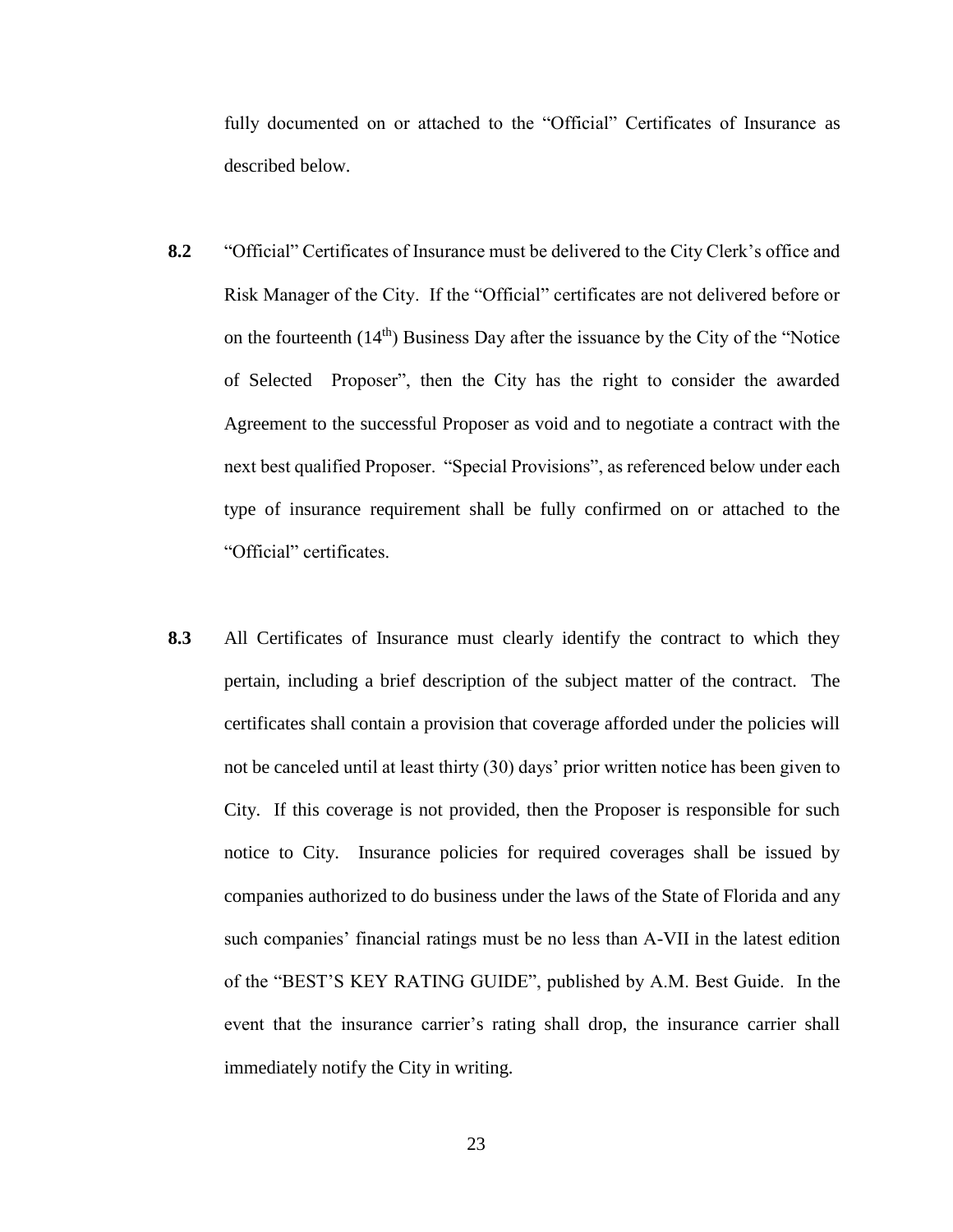fully documented on or attached to the "Official" Certificates of Insurance as described below.

- **8.2** "Official" Certificates of Insurance must be delivered to the City Clerk's office and Risk Manager of the City. If the "Official" certificates are not delivered before or on the fourteenth  $(14<sup>th</sup>)$  Business Day after the issuance by the City of the "Notice" of Selected Proposer", then the City has the right to consider the awarded Agreement to the successful Proposer as void and to negotiate a contract with the next best qualified Proposer. "Special Provisions", as referenced below under each type of insurance requirement shall be fully confirmed on or attached to the "Official" certificates.
- **8.3** All Certificates of Insurance must clearly identify the contract to which they pertain, including a brief description of the subject matter of the contract. The certificates shall contain a provision that coverage afforded under the policies will not be canceled until at least thirty (30) days' prior written notice has been given to City. If this coverage is not provided, then the Proposer is responsible for such notice to City. Insurance policies for required coverages shall be issued by companies authorized to do business under the laws of the State of Florida and any such companies' financial ratings must be no less than A-VII in the latest edition of the "BEST'S KEY RATING GUIDE", published by A.M. Best Guide. In the event that the insurance carrier's rating shall drop, the insurance carrier shall immediately notify the City in writing.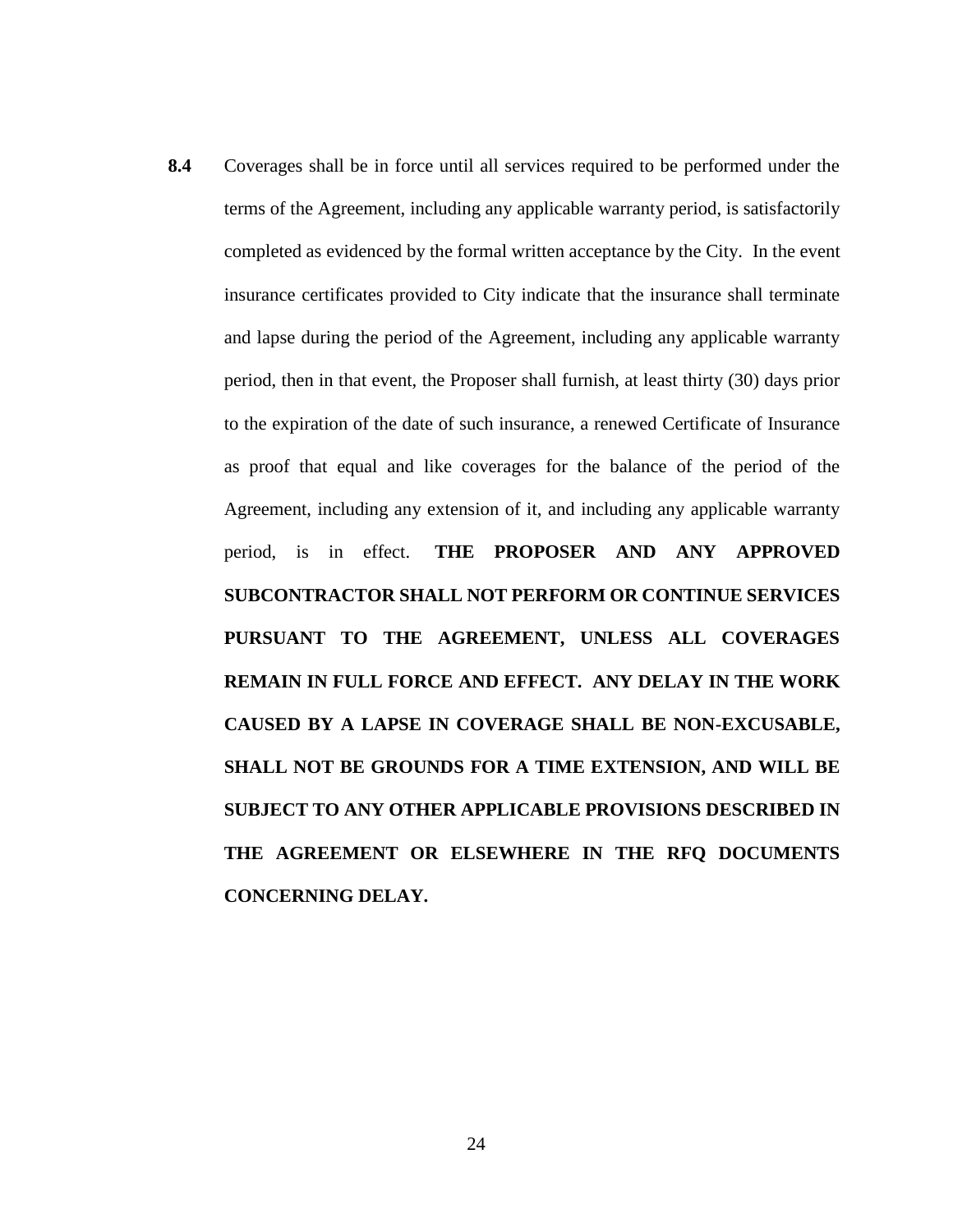**8.4** Coverages shall be in force until all services required to be performed under the terms of the Agreement, including any applicable warranty period, is satisfactorily completed as evidenced by the formal written acceptance by the City. In the event insurance certificates provided to City indicate that the insurance shall terminate and lapse during the period of the Agreement, including any applicable warranty period, then in that event, the Proposer shall furnish, at least thirty (30) days prior to the expiration of the date of such insurance, a renewed Certificate of Insurance as proof that equal and like coverages for the balance of the period of the Agreement, including any extension of it, and including any applicable warranty period, is in effect. **THE PROPOSER AND ANY APPROVED SUBCONTRACTOR SHALL NOT PERFORM OR CONTINUE SERVICES PURSUANT TO THE AGREEMENT, UNLESS ALL COVERAGES REMAIN IN FULL FORCE AND EFFECT. ANY DELAY IN THE WORK CAUSED BY A LAPSE IN COVERAGE SHALL BE NON-EXCUSABLE, SHALL NOT BE GROUNDS FOR A TIME EXTENSION, AND WILL BE SUBJECT TO ANY OTHER APPLICABLE PROVISIONS DESCRIBED IN THE AGREEMENT OR ELSEWHERE IN THE RFQ DOCUMENTS CONCERNING DELAY.**

24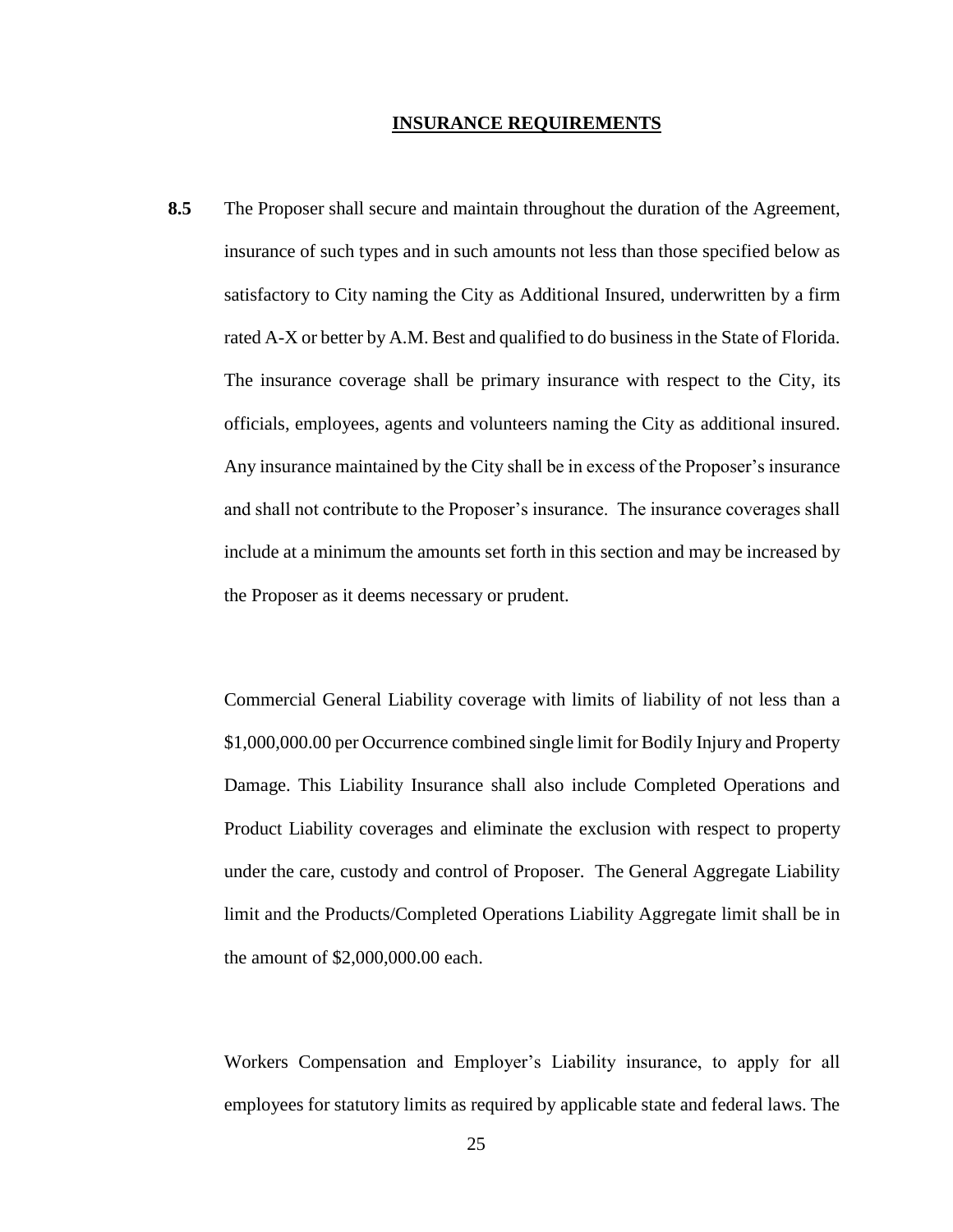#### **INSURANCE REQUIREMENTS**

**8.5** The Proposer shall secure and maintain throughout the duration of the Agreement, insurance of such types and in such amounts not less than those specified below as satisfactory to City naming the City as Additional Insured, underwritten by a firm rated A-X or better by A.M. Best and qualified to do business in the State of Florida. The insurance coverage shall be primary insurance with respect to the City, its officials, employees, agents and volunteers naming the City as additional insured. Any insurance maintained by the City shall be in excess of the Proposer's insurance and shall not contribute to the Proposer's insurance. The insurance coverages shall include at a minimum the amounts set forth in this section and may be increased by the Proposer as it deems necessary or prudent.

Commercial General Liability coverage with limits of liability of not less than a \$1,000,000.00 per Occurrence combined single limit for Bodily Injury and Property Damage. This Liability Insurance shall also include Completed Operations and Product Liability coverages and eliminate the exclusion with respect to property under the care, custody and control of Proposer. The General Aggregate Liability limit and the Products/Completed Operations Liability Aggregate limit shall be in the amount of \$2,000,000.00 each.

Workers Compensation and Employer's Liability insurance, to apply for all employees for statutory limits as required by applicable state and federal laws. The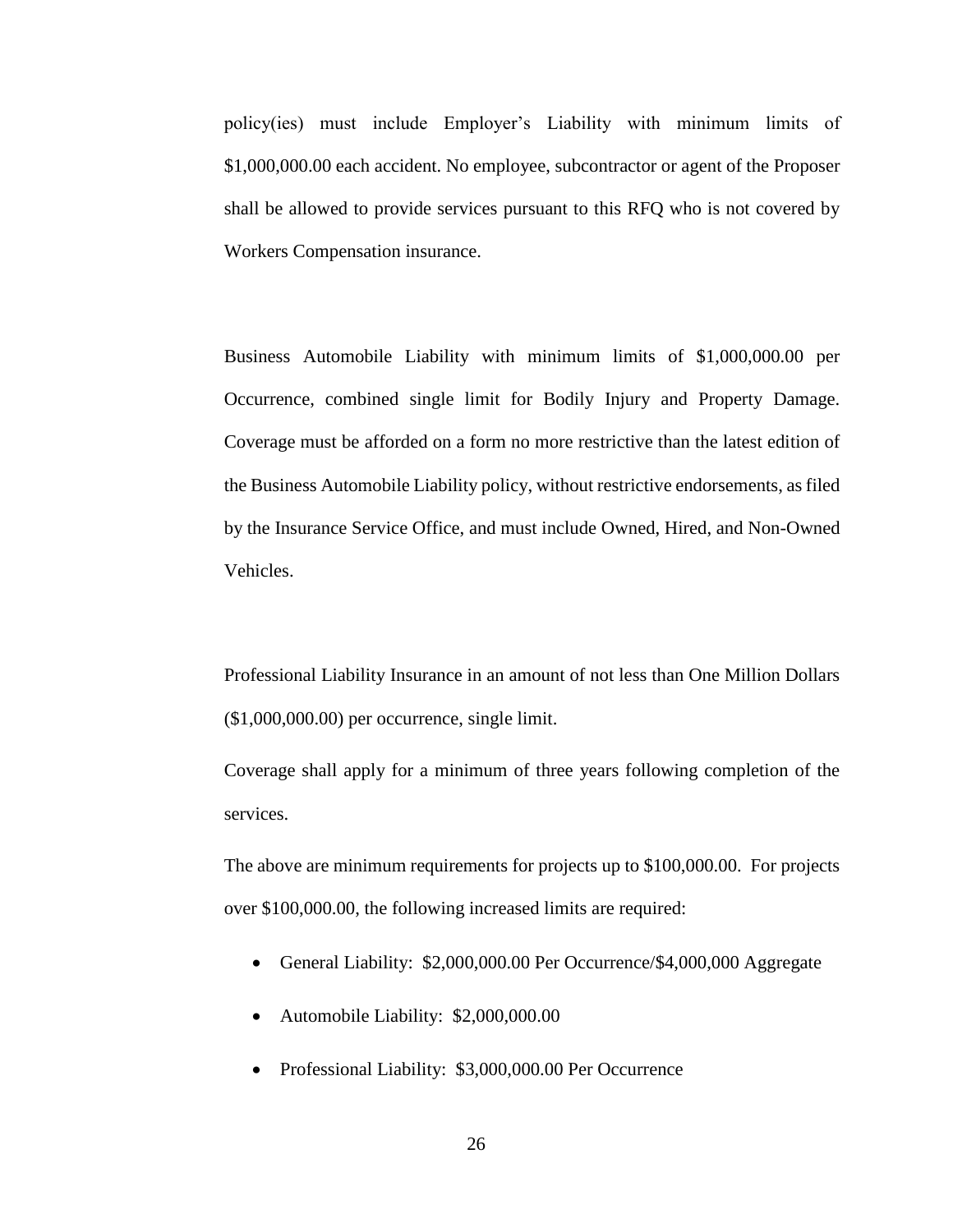policy(ies) must include Employer's Liability with minimum limits of \$1,000,000.00 each accident. No employee, subcontractor or agent of the Proposer shall be allowed to provide services pursuant to this RFQ who is not covered by Workers Compensation insurance.

Business Automobile Liability with minimum limits of \$1,000,000.00 per Occurrence, combined single limit for Bodily Injury and Property Damage. Coverage must be afforded on a form no more restrictive than the latest edition of the Business Automobile Liability policy, without restrictive endorsements, as filed by the Insurance Service Office, and must include Owned, Hired, and Non-Owned Vehicles.

Professional Liability Insurance in an amount of not less than One Million Dollars (\$1,000,000.00) per occurrence, single limit.

Coverage shall apply for a minimum of three years following completion of the services.

The above are minimum requirements for projects up to \$100,000.00. For projects over \$100,000.00, the following increased limits are required:

- General Liability: \$2,000,000.00 Per Occurrence/\$4,000,000 Aggregate
- Automobile Liability: \$2,000,000.00
- Professional Liability: \$3,000,000.00 Per Occurrence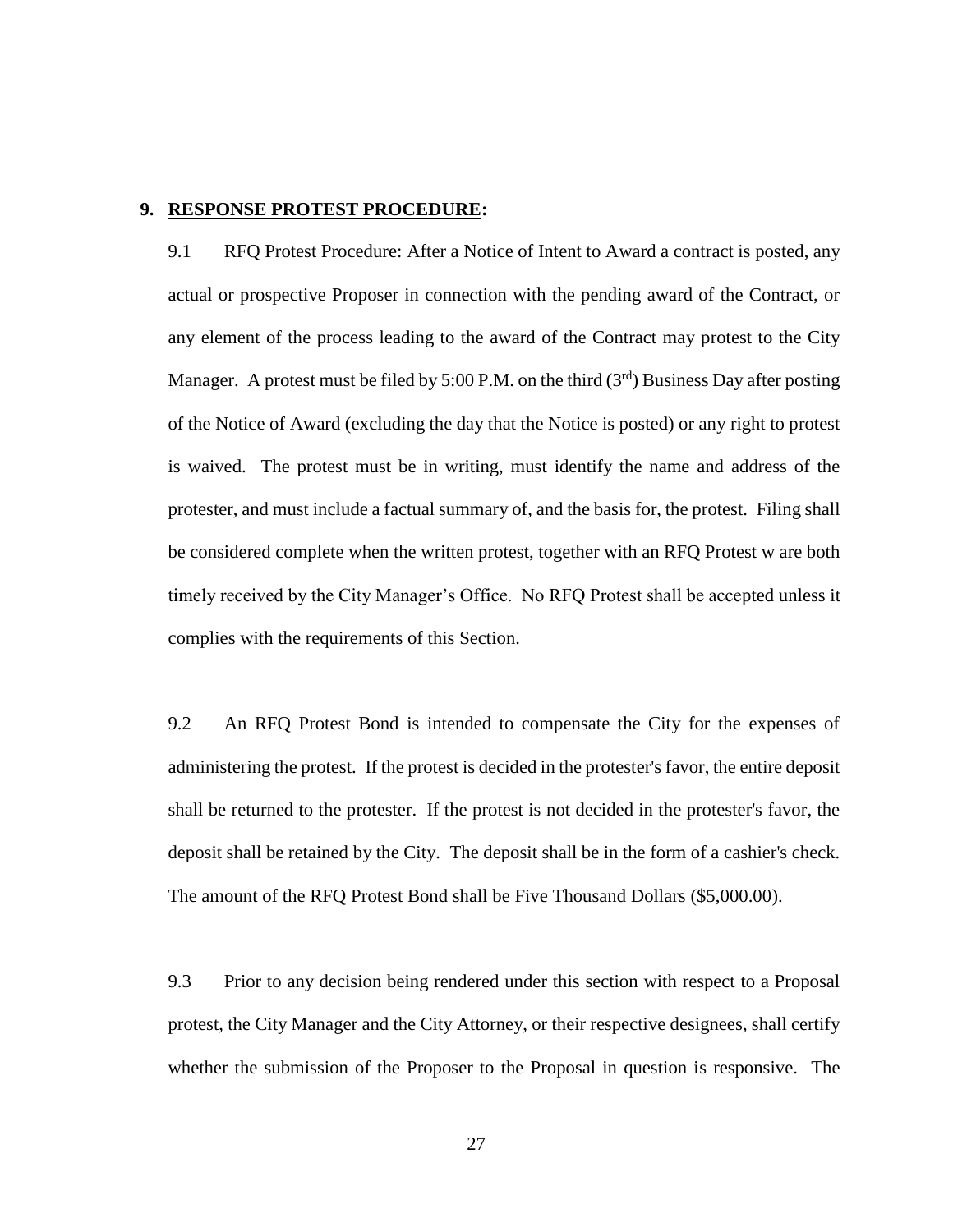#### **9. RESPONSE PROTEST PROCEDURE:**

9.1 RFQ Protest Procedure: After a Notice of Intent to Award a contract is posted, any actual or prospective Proposer in connection with the pending award of the Contract, or any element of the process leading to the award of the Contract may protest to the City Manager. A protest must be filed by 5:00 P.M. on the third  $(3<sup>rd</sup>)$  Business Day after posting of the Notice of Award (excluding the day that the Notice is posted) or any right to protest is waived. The protest must be in writing, must identify the name and address of the protester, and must include a factual summary of, and the basis for, the protest. Filing shall be considered complete when the written protest, together with an RFQ Protest w are both timely received by the City Manager's Office. No RFQ Protest shall be accepted unless it complies with the requirements of this Section.

9.2 An RFQ Protest Bond is intended to compensate the City for the expenses of administering the protest. If the protest is decided in the protester's favor, the entire deposit shall be returned to the protester. If the protest is not decided in the protester's favor, the deposit shall be retained by the City. The deposit shall be in the form of a cashier's check. The amount of the RFQ Protest Bond shall be Five Thousand Dollars (\$5,000.00).

9.3 Prior to any decision being rendered under this section with respect to a Proposal protest, the City Manager and the City Attorney, or their respective designees, shall certify whether the submission of the Proposer to the Proposal in question is responsive. The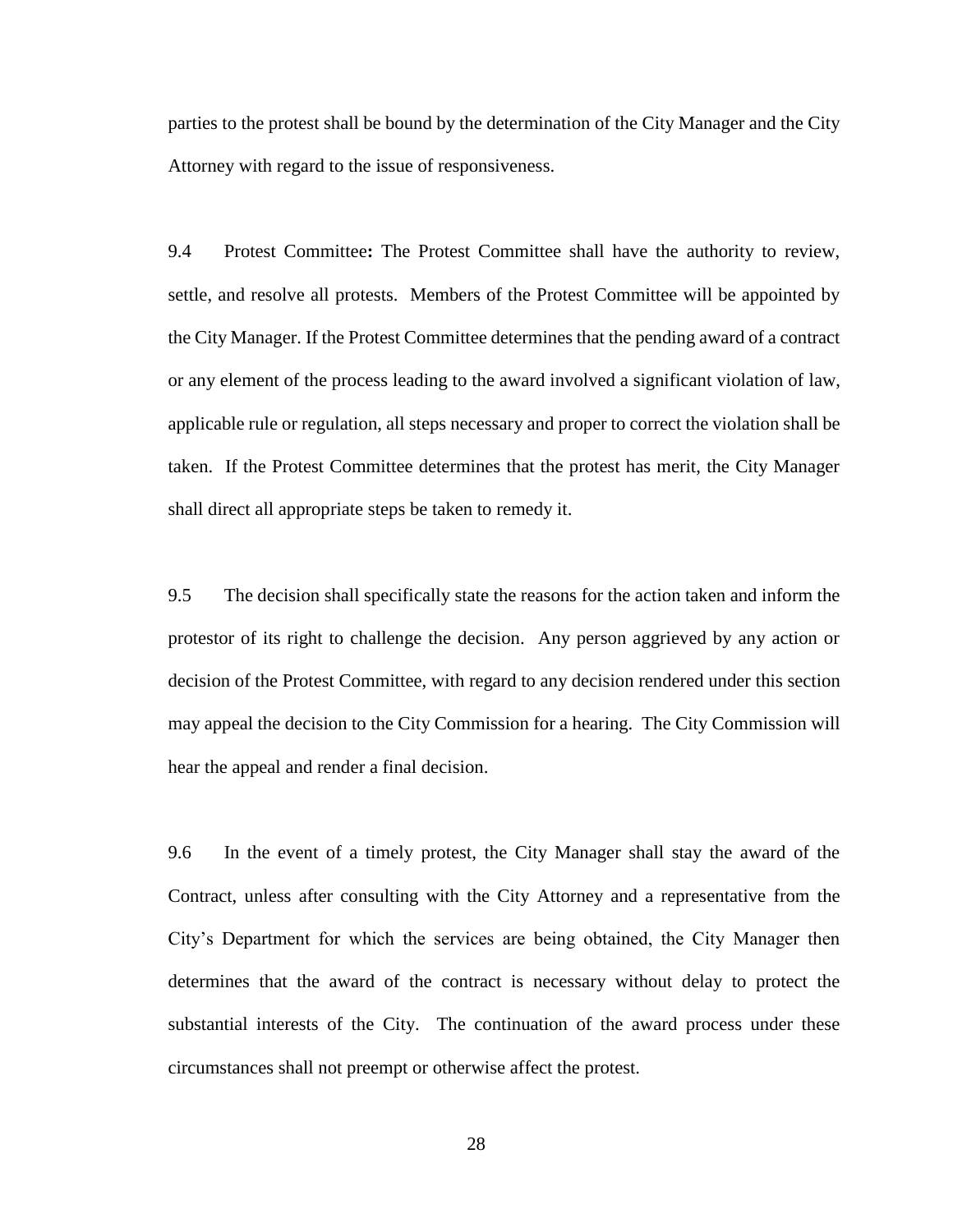parties to the protest shall be bound by the determination of the City Manager and the City Attorney with regard to the issue of responsiveness.

9.4 Protest Committee**:** The Protest Committee shall have the authority to review, settle, and resolve all protests. Members of the Protest Committee will be appointed by the City Manager. If the Protest Committee determines that the pending award of a contract or any element of the process leading to the award involved a significant violation of law, applicable rule or regulation, all steps necessary and proper to correct the violation shall be taken. If the Protest Committee determines that the protest has merit, the City Manager shall direct all appropriate steps be taken to remedy it.

9.5 The decision shall specifically state the reasons for the action taken and inform the protestor of its right to challenge the decision. Any person aggrieved by any action or decision of the Protest Committee, with regard to any decision rendered under this section may appeal the decision to the City Commission for a hearing. The City Commission will hear the appeal and render a final decision.

9.6 In the event of a timely protest, the City Manager shall stay the award of the Contract, unless after consulting with the City Attorney and a representative from the City's Department for which the services are being obtained, the City Manager then determines that the award of the contract is necessary without delay to protect the substantial interests of the City. The continuation of the award process under these circumstances shall not preempt or otherwise affect the protest.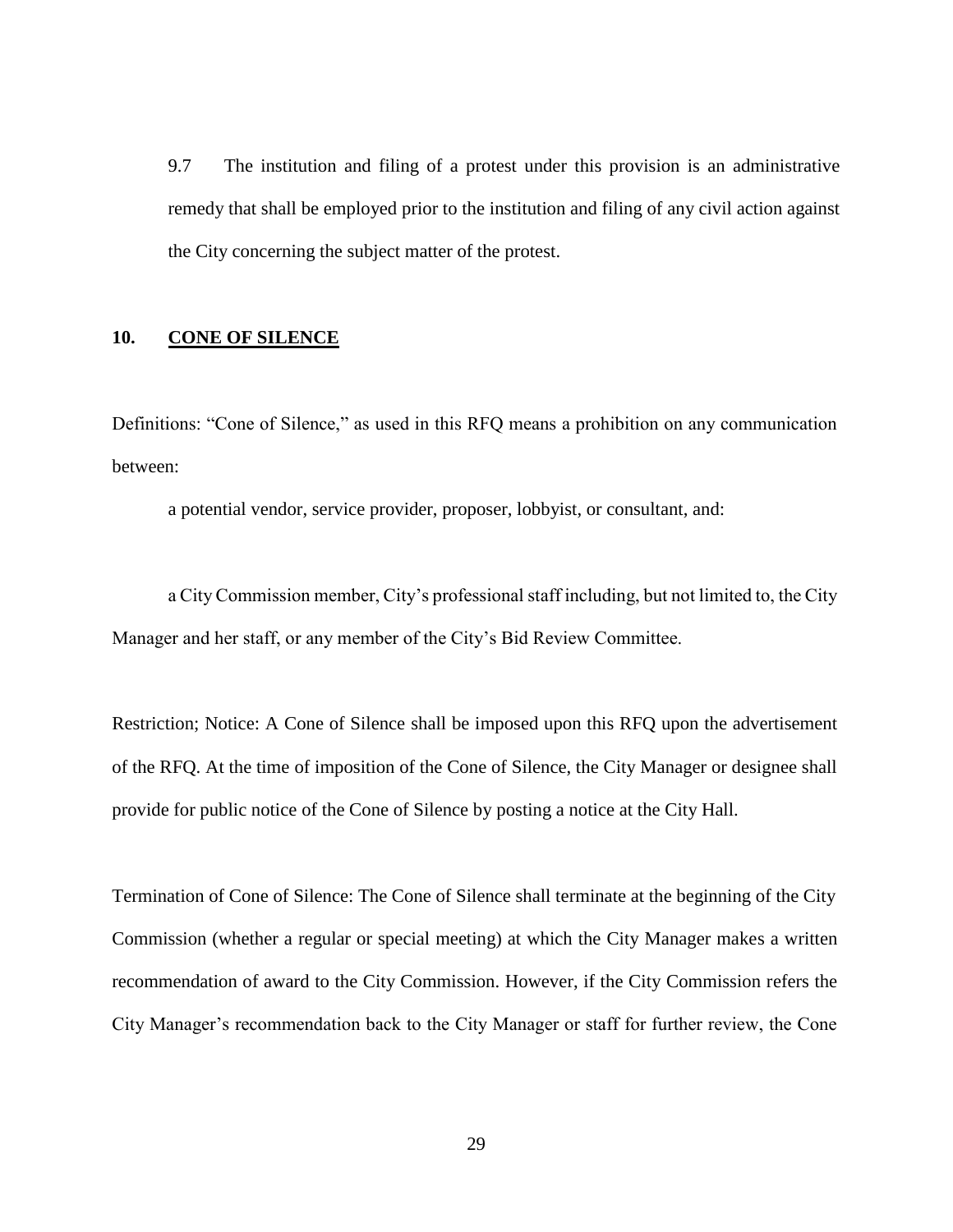9.7 The institution and filing of a protest under this provision is an administrative remedy that shall be employed prior to the institution and filing of any civil action against the City concerning the subject matter of the protest.

#### **10. CONE OF SILENCE**

Definitions: "Cone of Silence," as used in this RFQ means a prohibition on any communication between:

a potential vendor, service provider, proposer, lobbyist, or consultant, and:

a City Commission member, City's professional staff including, but not limited to, the City Manager and her staff, or any member of the City's Bid Review Committee.

Restriction; Notice: A Cone of Silence shall be imposed upon this RFQ upon the advertisement of the RFQ. At the time of imposition of the Cone of Silence, the City Manager or designee shall provide for public notice of the Cone of Silence by posting a notice at the City Hall.

Termination of Cone of Silence: The Cone of Silence shall terminate at the beginning of the City Commission (whether a regular or special meeting) at which the City Manager makes a written recommendation of award to the City Commission. However, if the City Commission refers the City Manager's recommendation back to the City Manager or staff for further review, the Cone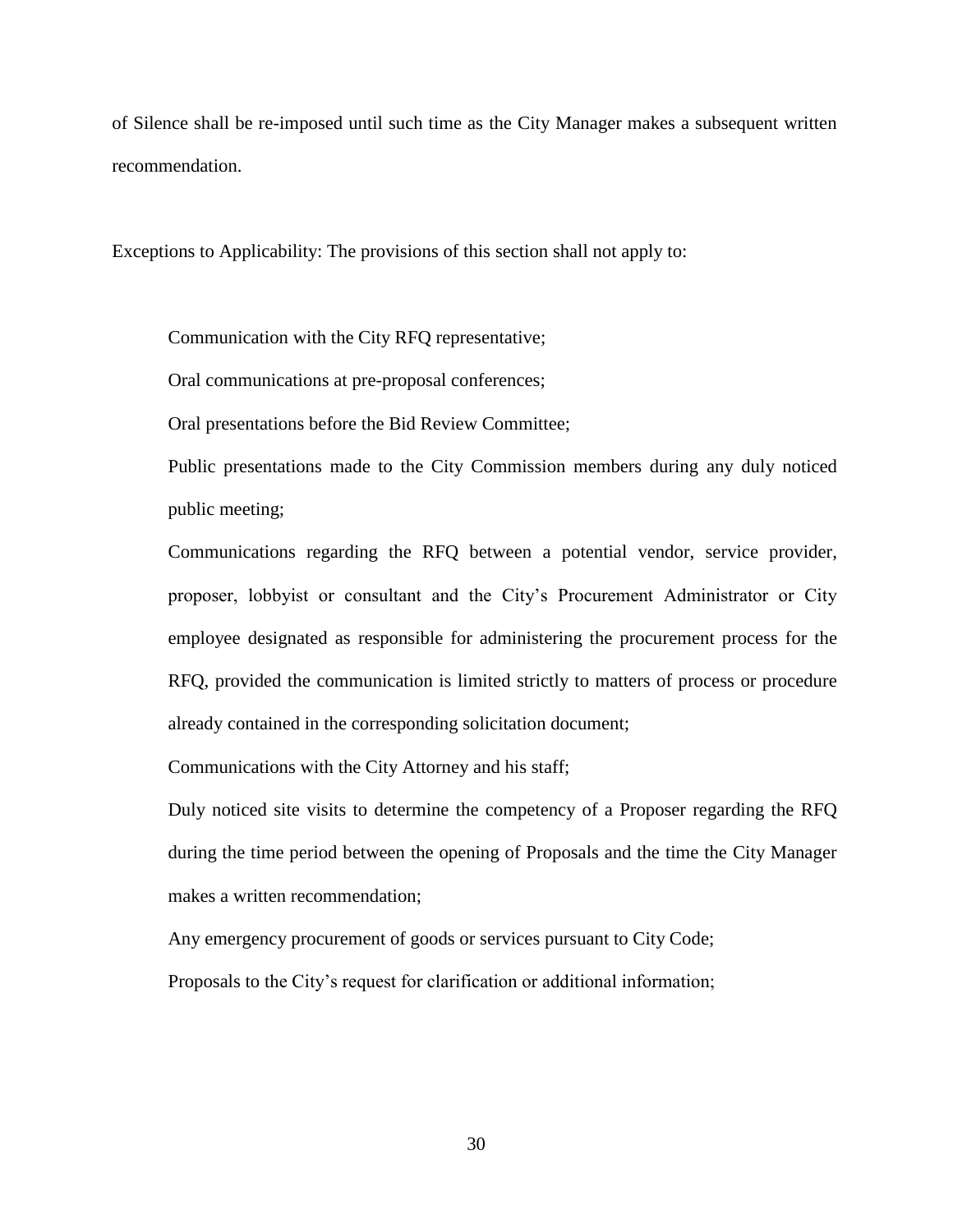of Silence shall be re-imposed until such time as the City Manager makes a subsequent written recommendation.

Exceptions to Applicability: The provisions of this section shall not apply to:

Communication with the City RFQ representative;

Oral communications at pre-proposal conferences;

Oral presentations before the Bid Review Committee;

Public presentations made to the City Commission members during any duly noticed public meeting;

Communications regarding the RFQ between a potential vendor, service provider, proposer, lobbyist or consultant and the City's Procurement Administrator or City employee designated as responsible for administering the procurement process for the RFQ, provided the communication is limited strictly to matters of process or procedure already contained in the corresponding solicitation document;

Communications with the City Attorney and his staff;

Duly noticed site visits to determine the competency of a Proposer regarding the RFQ during the time period between the opening of Proposals and the time the City Manager makes a written recommendation;

Any emergency procurement of goods or services pursuant to City Code;

Proposals to the City's request for clarification or additional information;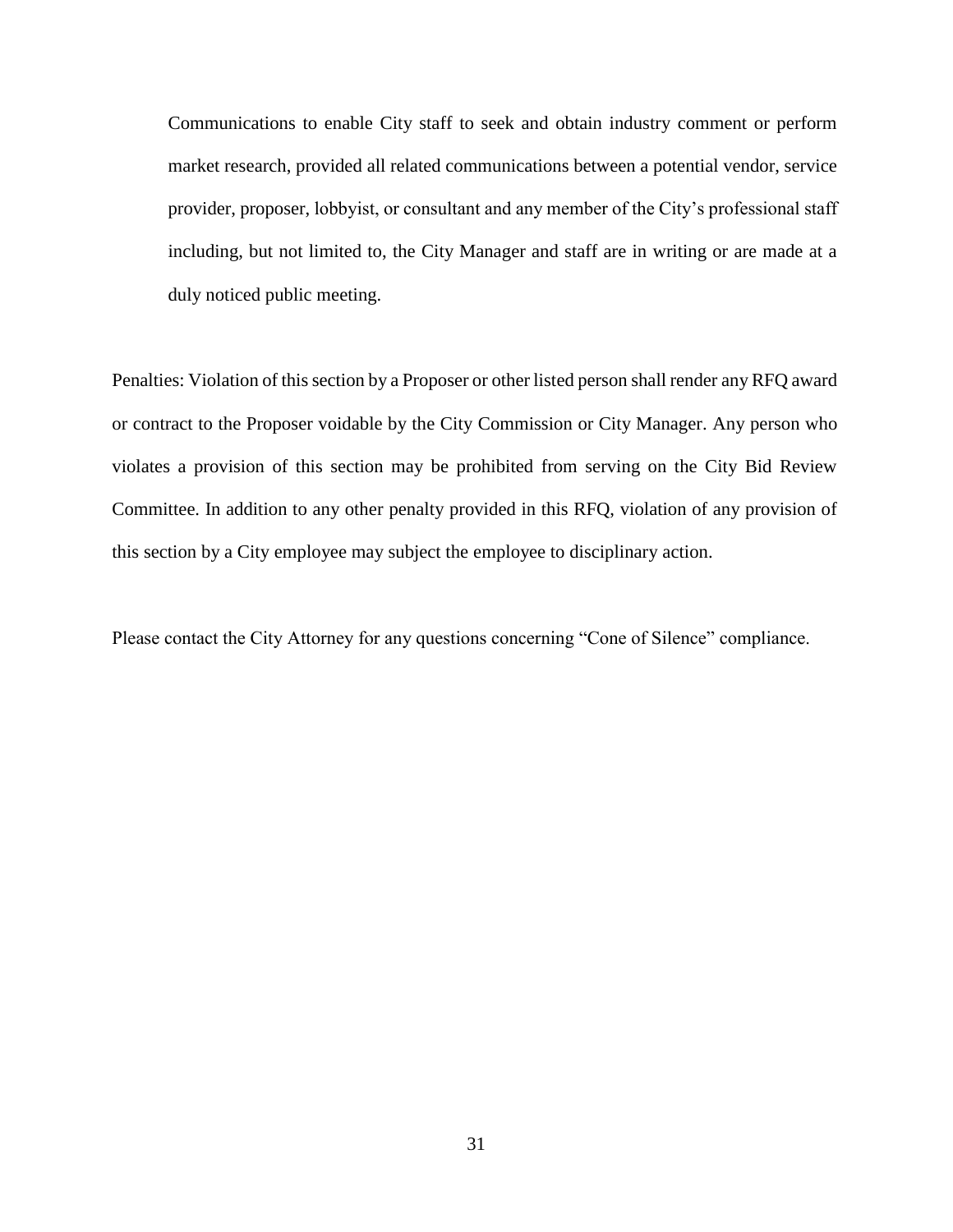Communications to enable City staff to seek and obtain industry comment or perform market research, provided all related communications between a potential vendor, service provider, proposer, lobbyist, or consultant and any member of the City's professional staff including, but not limited to, the City Manager and staff are in writing or are made at a duly noticed public meeting.

Penalties: Violation of this section by a Proposer or other listed person shall render any RFQ award or contract to the Proposer voidable by the City Commission or City Manager. Any person who violates a provision of this section may be prohibited from serving on the City Bid Review Committee. In addition to any other penalty provided in this RFQ, violation of any provision of this section by a City employee may subject the employee to disciplinary action.

Please contact the City Attorney for any questions concerning "Cone of Silence" compliance.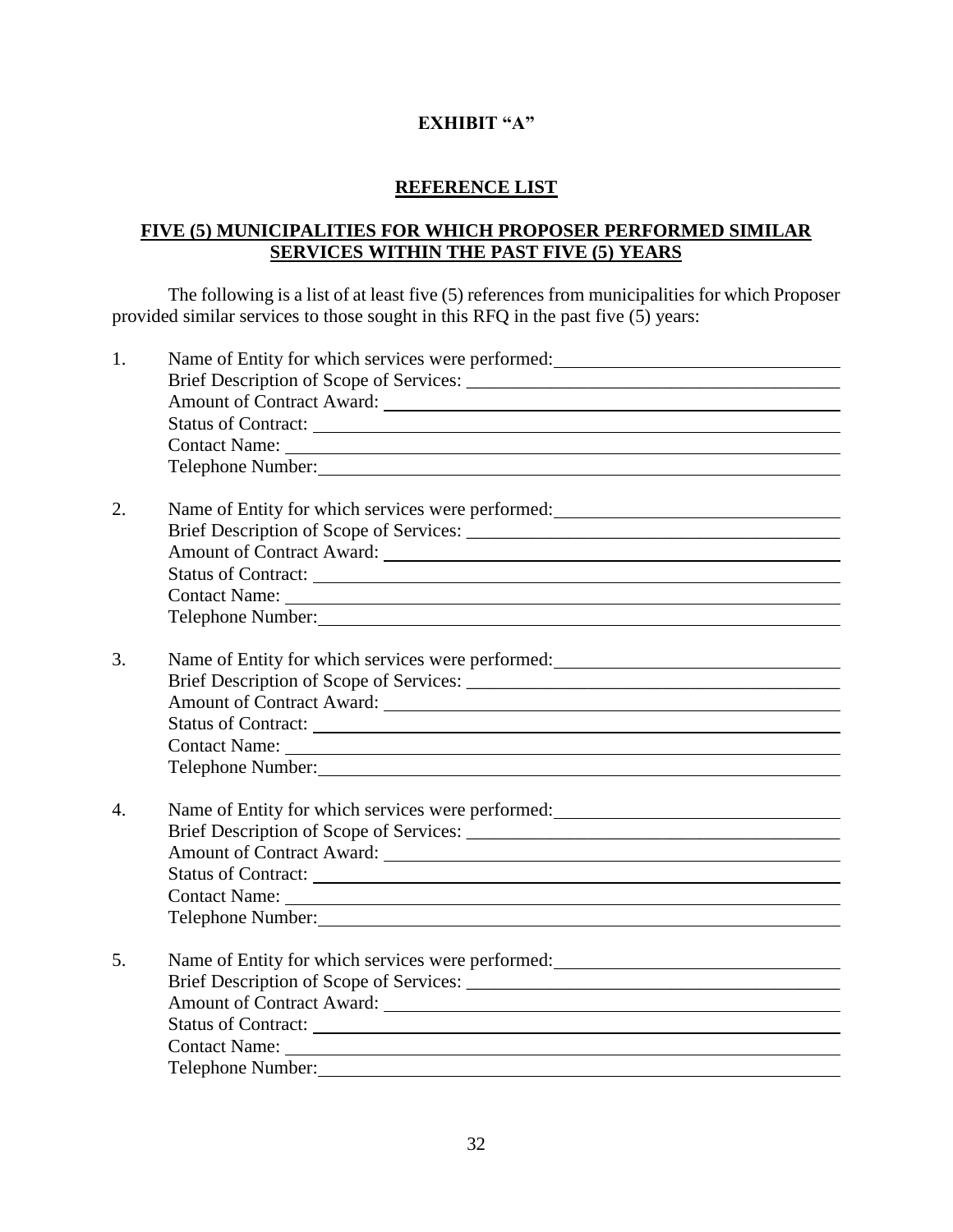## **EXHIBIT "A"**

## **REFERENCE LIST**

## **FIVE (5) MUNICIPALITIES FOR WHICH PROPOSER PERFORMED SIMILAR SERVICES WITHIN THE PAST FIVE (5) YEARS**

The following is a list of at least five (5) references from municipalities for which Proposer provided similar services to those sought in this RFQ in the past five (5) years:

| 1.               | Name of Entity for which services were performed:<br><u>Name</u> of Entity for which services were performed:                                                                                                                        |
|------------------|--------------------------------------------------------------------------------------------------------------------------------------------------------------------------------------------------------------------------------------|
|                  | Telephone Number: 1999 and 1999 and 1999 and 1999 and 1999 and 1999 and 1999 and 1999 and 1999 and 1999 and 19                                                                                                                       |
| 2.               | Name of Entity for which services were performed: _______________________________                                                                                                                                                    |
|                  |                                                                                                                                                                                                                                      |
|                  |                                                                                                                                                                                                                                      |
|                  | Telephone Number: 1988 and 1988 and 1988 and 1988 and 1988 and 1988 and 1988 and 1988 and 1988 and 1988 and 1988 and 1988 and 1988 and 1988 and 1988 and 1988 and 1988 and 1988 and 1988 and 1988 and 1988 and 1988 and 1988 a       |
|                  |                                                                                                                                                                                                                                      |
| 3.               | Name of Entity for which services were performed:<br><u>Letter and the services</u> were performed:                                                                                                                                  |
|                  |                                                                                                                                                                                                                                      |
|                  |                                                                                                                                                                                                                                      |
|                  |                                                                                                                                                                                                                                      |
|                  |                                                                                                                                                                                                                                      |
|                  | Telephone Number: <u>contract and the set of the set of the set of the set of the set of the set of the set of the set of the set of the set of the set of the set of the set of the set of the set of the set of the set of the</u> |
| $\overline{4}$ . | Name of Entity for which services were performed:<br><u>Name</u> of Entity for which services were performed:                                                                                                                        |
|                  |                                                                                                                                                                                                                                      |
|                  |                                                                                                                                                                                                                                      |
|                  | Status of Contract: New York Contract:                                                                                                                                                                                               |
|                  |                                                                                                                                                                                                                                      |
|                  | Telephone Number: New York Channels and School Channels and School Channels and School Channels and School Channels and School Channels and School Channels and School Channels and School Channels and School Channels and Sc       |
| 5.               | Name of Entity for which services were performed:<br><u>Name</u> of Entity for which services were performed:                                                                                                                        |
|                  |                                                                                                                                                                                                                                      |
|                  |                                                                                                                                                                                                                                      |
|                  |                                                                                                                                                                                                                                      |
|                  |                                                                                                                                                                                                                                      |
|                  | Telephone Number:                                                                                                                                                                                                                    |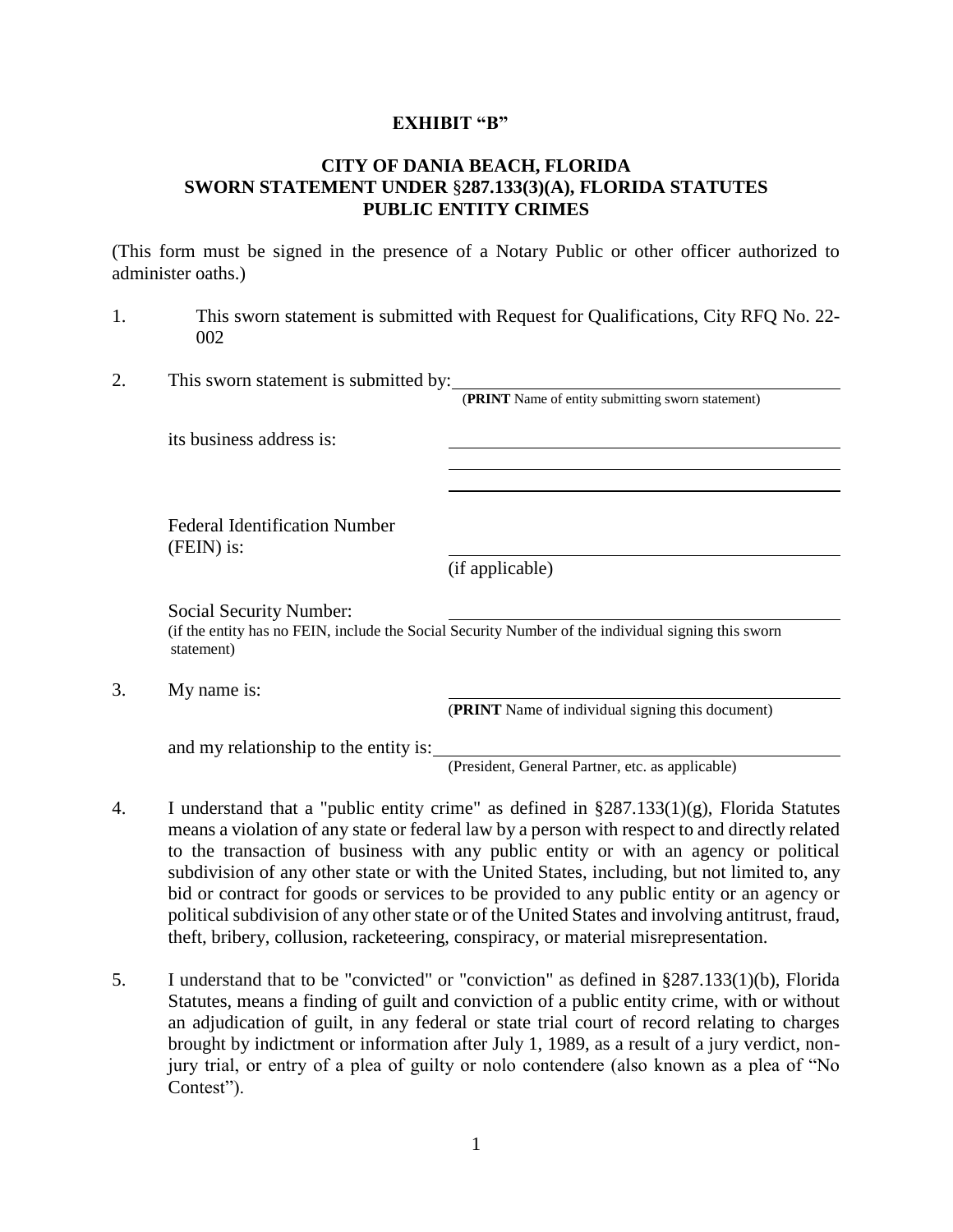#### **EXHIBIT "B"**

## **CITY OF DANIA BEACH, FLORIDA SWORN STATEMENT UNDER** §**287.133(3)(A), FLORIDA STATUTES PUBLIC ENTITY CRIMES**

(This form must be signed in the presence of a Notary Public or other officer authorized to administer oaths.)

- 1. This sworn statement is submitted with Request for Qualifications, City RFQ No. 22- 002
- 2. This sworn statement is submitted by:

(**PRINT** Name of entity submitting sworn statement)

its business address is:

Federal Identification Number (FEIN) is:

(if applicable)

Social Security Number:

(if the entity has no FEIN, include the Social Security Number of the individual signing this sworn statement)

3. My name is:

(**PRINT** Name of individual signing this document)

and my relationship to the entity is:

(President, General Partner, etc. as applicable)

- 4. I understand that a "public entity crime" as defined in §287.133(1)(g), Florida Statutes means a violation of any state or federal law by a person with respect to and directly related to the transaction of business with any public entity or with an agency or political subdivision of any other state or with the United States, including, but not limited to, any bid or contract for goods or services to be provided to any public entity or an agency or political subdivision of any other state or of the United States and involving antitrust, fraud, theft, bribery, collusion, racketeering, conspiracy, or material misrepresentation.
- 5. I understand that to be "convicted" or "conviction" as defined in §287.133(1)(b), Florida Statutes, means a finding of guilt and conviction of a public entity crime, with or without an adjudication of guilt, in any federal or state trial court of record relating to charges brought by indictment or information after July 1, 1989, as a result of a jury verdict, nonjury trial, or entry of a plea of guilty or nolo contendere (also known as a plea of "No Contest").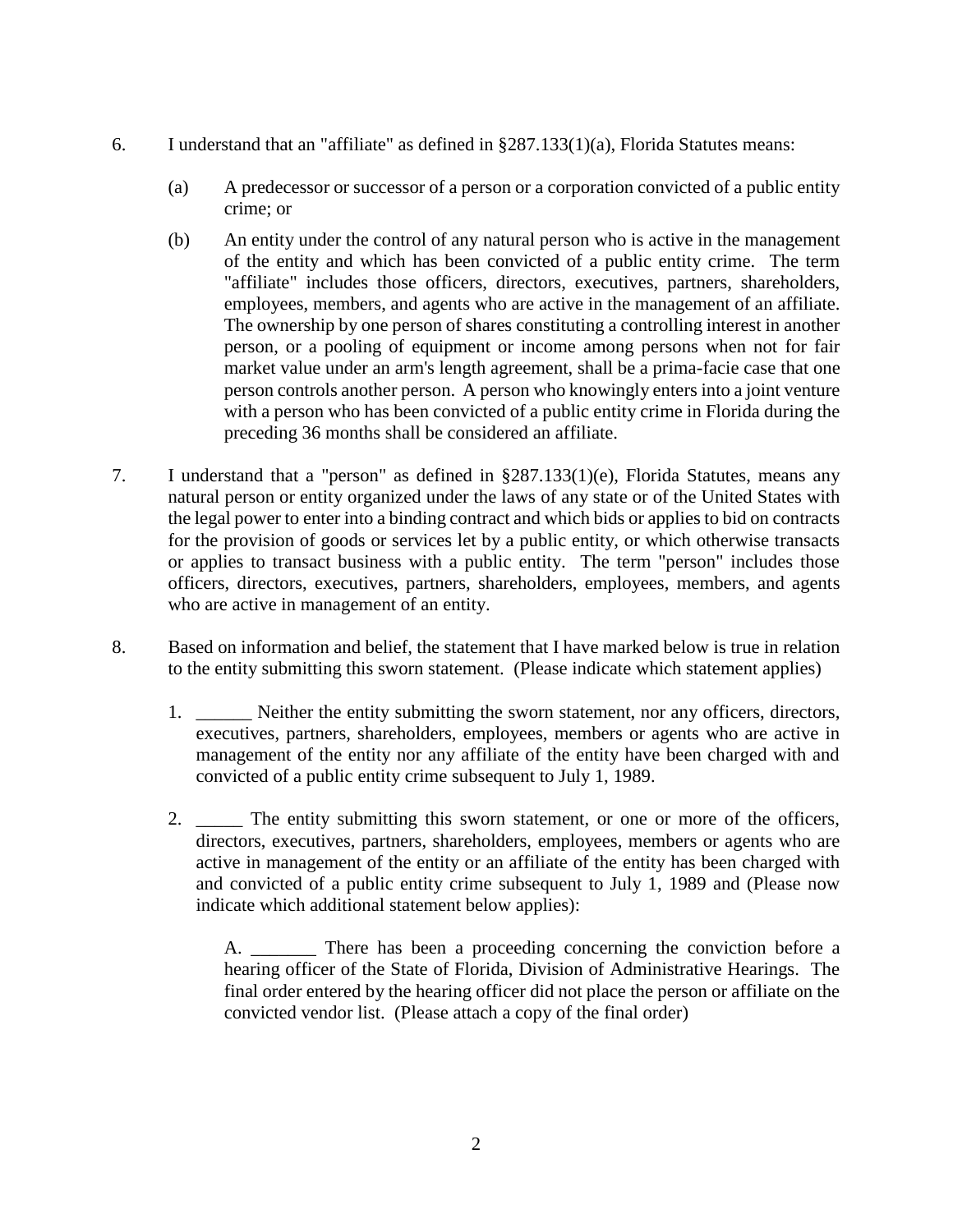- 6. I understand that an "affiliate" as defined in §287.133(1)(a), Florida Statutes means:
	- (a) A predecessor or successor of a person or a corporation convicted of a public entity crime; or
	- (b) An entity under the control of any natural person who is active in the management of the entity and which has been convicted of a public entity crime. The term "affiliate" includes those officers, directors, executives, partners, shareholders, employees, members, and agents who are active in the management of an affiliate. The ownership by one person of shares constituting a controlling interest in another person, or a pooling of equipment or income among persons when not for fair market value under an arm's length agreement, shall be a prima-facie case that one person controls another person. A person who knowingly enters into a joint venture with a person who has been convicted of a public entity crime in Florida during the preceding 36 months shall be considered an affiliate.
- 7. I understand that a "person" as defined in §287.133(1)(e), Florida Statutes, means any natural person or entity organized under the laws of any state or of the United States with the legal power to enter into a binding contract and which bids or applies to bid on contracts for the provision of goods or services let by a public entity, or which otherwise transacts or applies to transact business with a public entity. The term "person" includes those officers, directors, executives, partners, shareholders, employees, members, and agents who are active in management of an entity.
- 8. Based on information and belief, the statement that I have marked below is true in relation to the entity submitting this sworn statement. (Please indicate which statement applies)
	- 1. Neither the entity submitting the sworn statement, nor any officers, directors, executives, partners, shareholders, employees, members or agents who are active in management of the entity nor any affiliate of the entity have been charged with and convicted of a public entity crime subsequent to July 1, 1989.
	- 2. \_\_\_\_\_ The entity submitting this sworn statement, or one or more of the officers, directors, executives, partners, shareholders, employees, members or agents who are active in management of the entity or an affiliate of the entity has been charged with and convicted of a public entity crime subsequent to July 1, 1989 and (Please now indicate which additional statement below applies):

A. There has been a proceeding concerning the conviction before a hearing officer of the State of Florida, Division of Administrative Hearings. The final order entered by the hearing officer did not place the person or affiliate on the convicted vendor list. (Please attach a copy of the final order)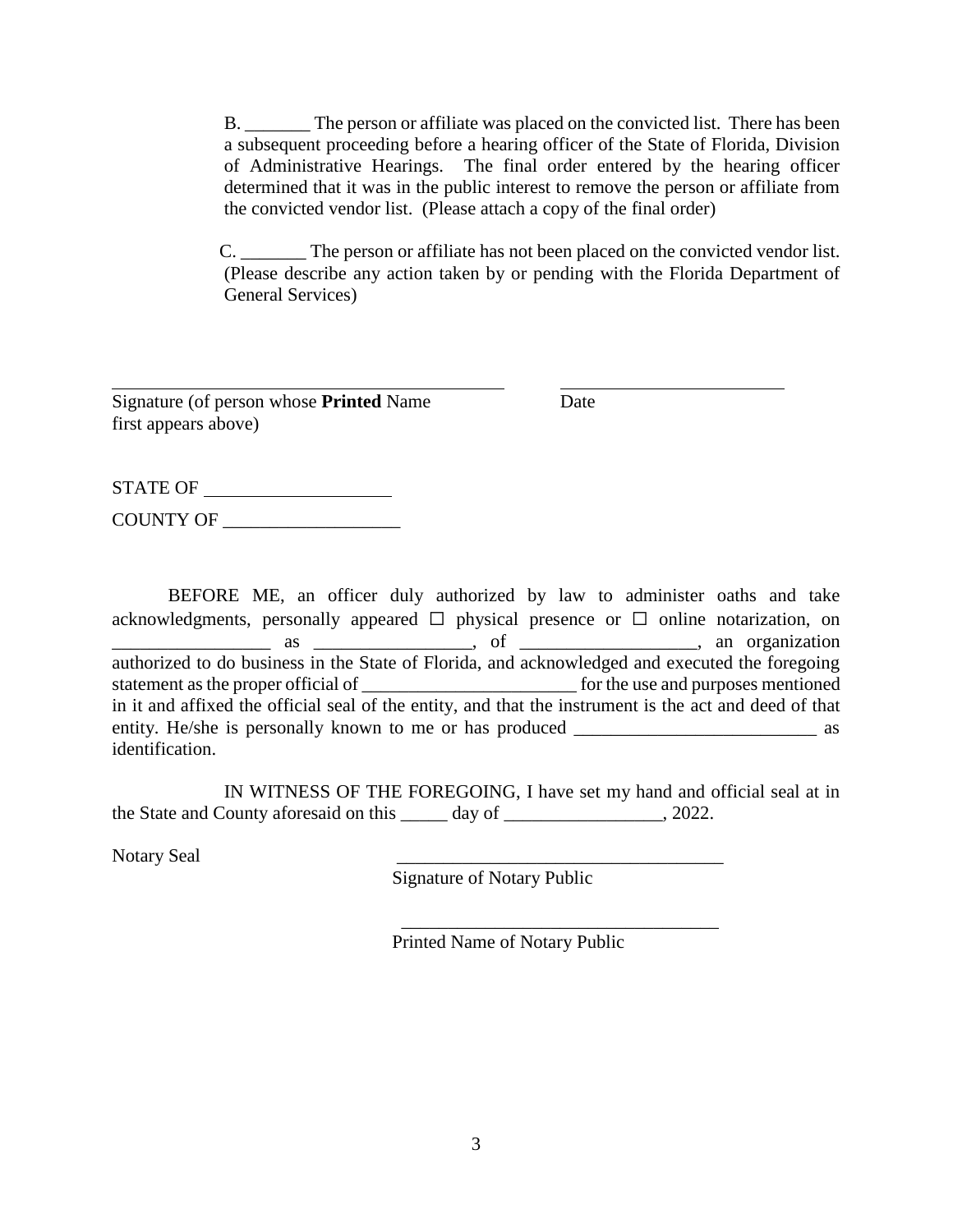B. \_\_\_\_\_\_\_ The person or affiliate was placed on the convicted list. There has been a subsequent proceeding before a hearing officer of the State of Florida, Division of Administrative Hearings. The final order entered by the hearing officer determined that it was in the public interest to remove the person or affiliate from the convicted vendor list. (Please attach a copy of the final order)

C. The person or affiliate has not been placed on the convicted vendor list. (Please describe any action taken by or pending with the Florida Department of General Services)

Signature (of person whose **Printed** Name Date first appears above)

STATE OF COUNTY OF \_\_\_\_\_\_\_\_\_\_\_\_\_\_\_\_\_\_\_

BEFORE ME, an officer duly authorized by law to administer oaths and take acknowledgments, personally appeared  $\Box$  physical presence or  $\Box$  online notarization, on  $\overline{\phantom{a}}$  as  $\overline{\phantom{a}}$  as  $\overline{\phantom{a}}$  are  $\overline{\phantom{a}}$  as  $\overline{\phantom{a}}$  as  $\overline{\phantom{a}}$  as  $\overline{\phantom{a}}$  and  $\overline{\phantom{a}}$  and  $\overline{\phantom{a}}$  and  $\overline{\phantom{a}}$  and  $\overline{\phantom{a}}$  and  $\overline{\phantom{a}}$  and  $\overline{\phantom{a}}$  and  $\overline{\phantom{a}}$  and  $\$ authorized to do business in the State of Florida, and acknowledged and executed the foregoing statement as the proper official of \_\_\_\_\_\_\_\_\_\_\_\_\_\_\_\_\_\_\_\_\_\_\_ for the use and purposes mentioned in it and affixed the official seal of the entity, and that the instrument is the act and deed of that entity. He/she is personally known to me or has produced \_\_\_\_\_\_\_\_\_\_\_\_\_\_\_\_\_\_\_\_\_\_\_\_\_\_ as identification.

IN WITNESS OF THE FOREGOING, I have set my hand and official seal at in the State and County aforesaid on this day of \_\_\_\_\_\_\_\_\_\_\_\_\_\_\_\_\_\_, 2022.

Notary Seal

Signature of Notary Public

 $\frac{1}{2}$  , and the contract of the contract of the contract of the contract of the contract of the contract of the contract of the contract of the contract of the contract of the contract of the contract of the contract

Printed Name of Notary Public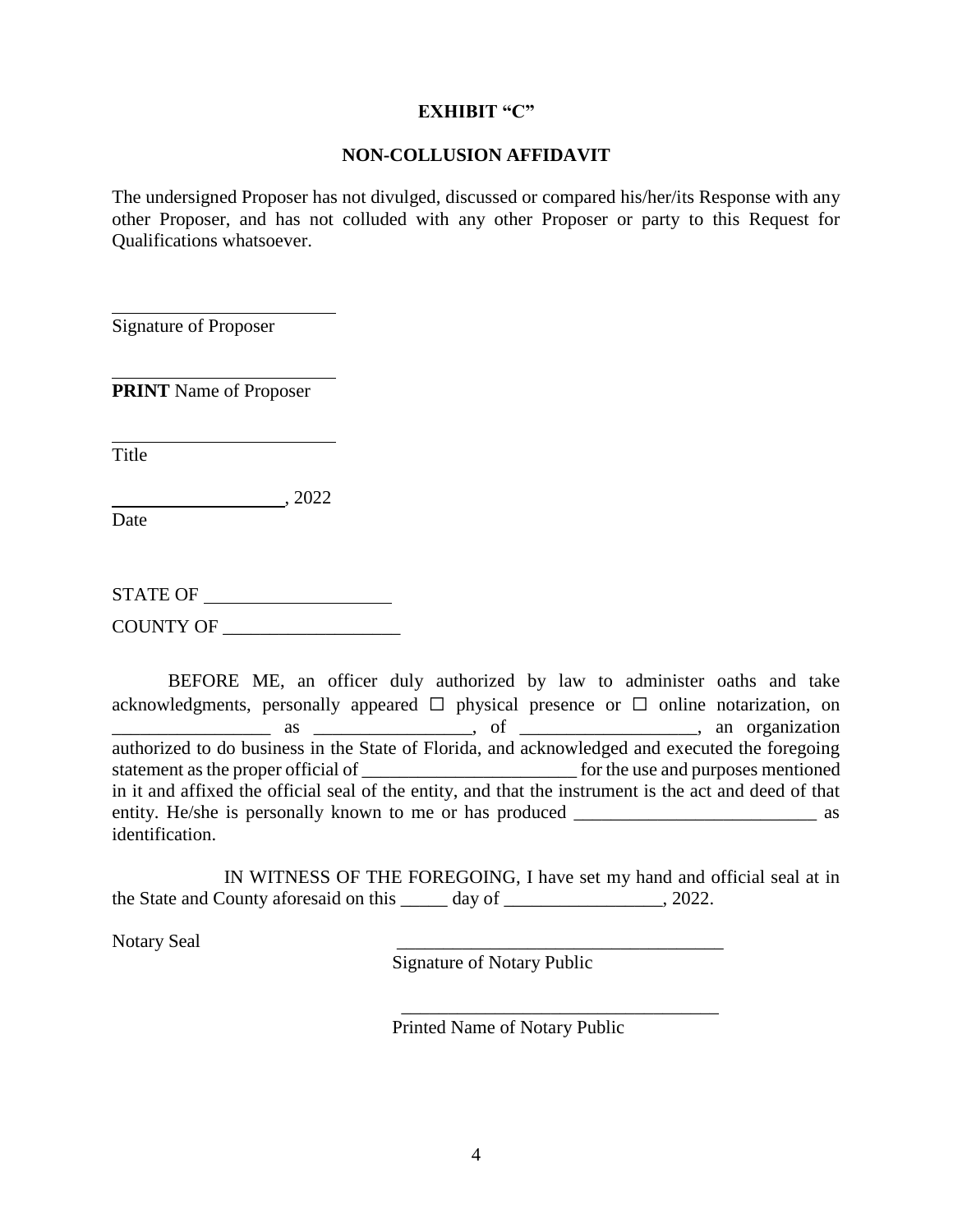#### **EXHIBIT "C"**

#### **NON-COLLUSION AFFIDAVIT**

The undersigned Proposer has not divulged, discussed or compared his/her/its Response with any other Proposer, and has not colluded with any other Proposer or party to this Request for Qualifications whatsoever.

Signature of Proposer

**PRINT** Name of Proposer

Title

 $, 2022$ 

Date

STATE OF COUNTY OF \_\_\_\_\_\_\_\_\_\_\_\_\_\_\_\_\_\_\_

BEFORE ME, an officer duly authorized by law to administer oaths and take acknowledgments, personally appeared  $\Box$  physical presence or  $\Box$  online notarization, on \_\_\_\_\_\_\_\_\_\_\_\_\_\_\_\_\_ as \_\_\_\_\_\_\_\_\_\_\_\_\_\_\_\_\_, of \_\_\_\_\_\_\_\_\_\_\_\_\_\_\_\_\_\_\_, an organization authorized to do business in the State of Florida, and acknowledged and executed the foregoing statement as the proper official of \_\_\_\_\_\_\_\_\_\_\_\_\_\_\_\_\_\_\_\_\_\_\_ for the use and purposes mentioned in it and affixed the official seal of the entity, and that the instrument is the act and deed of that entity. He/she is personally known to me or has produced \_\_\_\_\_\_\_\_\_\_\_\_\_\_\_\_\_\_\_\_\_\_\_\_\_\_ as identification.

IN WITNESS OF THE FOREGOING, I have set my hand and official seal at in the State and County aforesaid on this day of \_\_\_\_\_\_\_\_\_\_\_\_\_\_\_\_\_\_, 2022.

 $\overline{\phantom{a}}$  , and the contract of the contract of the contract of the contract of the contract of the contract of the contract of the contract of the contract of the contract of the contract of the contract of the contrac

Notary Seal

Signature of Notary Public

Printed Name of Notary Public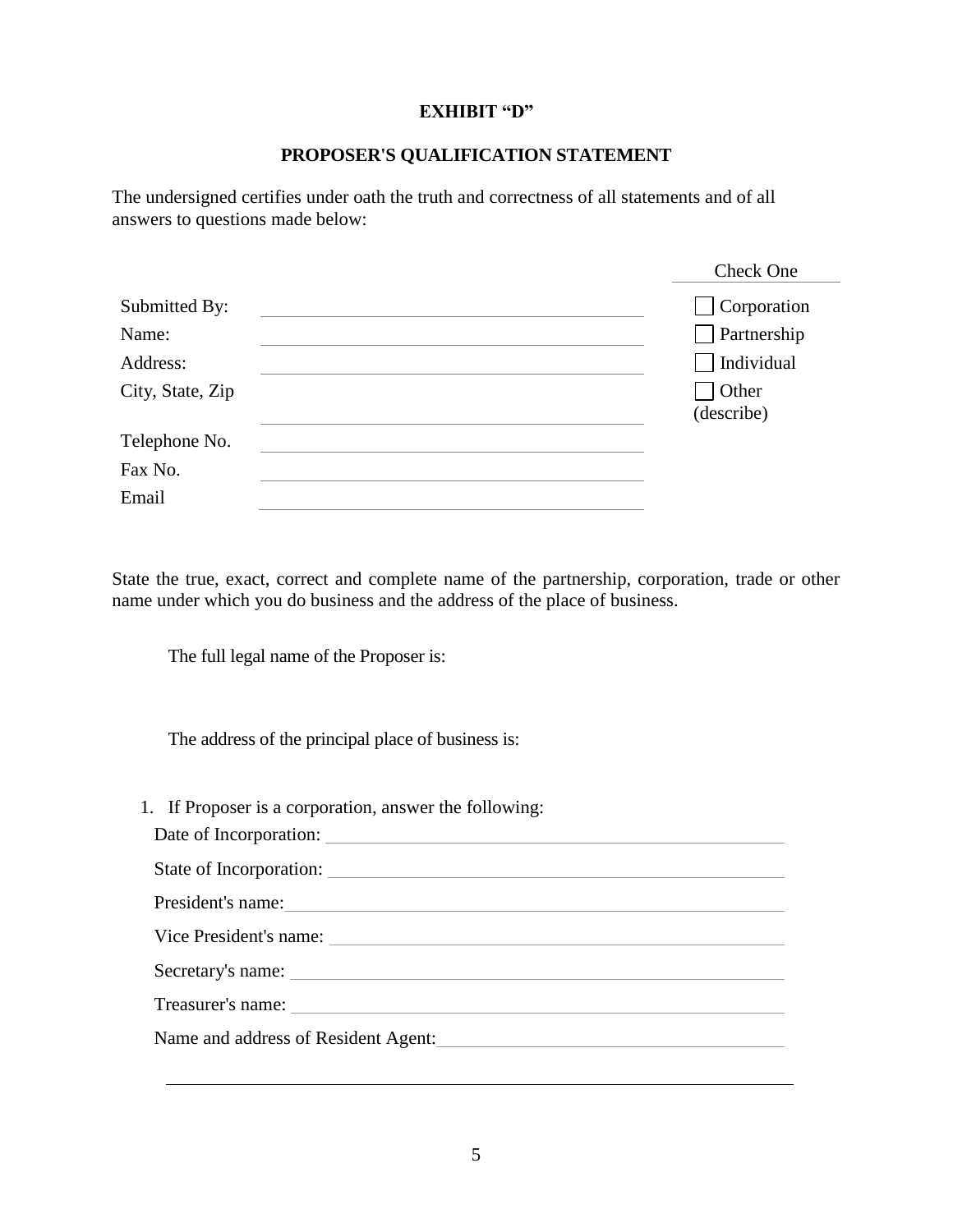## **EXHIBIT "D"**

## **PROPOSER'S QUALIFICATION STATEMENT**

The undersigned certifies under oath the truth and correctness of all statements and of all answers to questions made below:

|                  | Check One          |
|------------------|--------------------|
| Submitted By:    | $\Box$ Corporation |
| Name:            | $\Box$ Partnership |
| Address:         | Individual         |
| City, State, Zip | $\exists$ Other    |
|                  | (describe)         |
| Telephone No.    |                    |
| Fax No.          |                    |
| Email            |                    |

State the true, exact, correct and complete name of the partnership, corporation, trade or other name under which you do business and the address of the place of business.

The full legal name of the Proposer is:

The address of the principal place of business is:

1. If Proposer is a corporation, answer the following:

| Date of Incorporation: |
|------------------------|
|                        |
| President's name:      |
|                        |
| Secretary's name:      |
|                        |
|                        |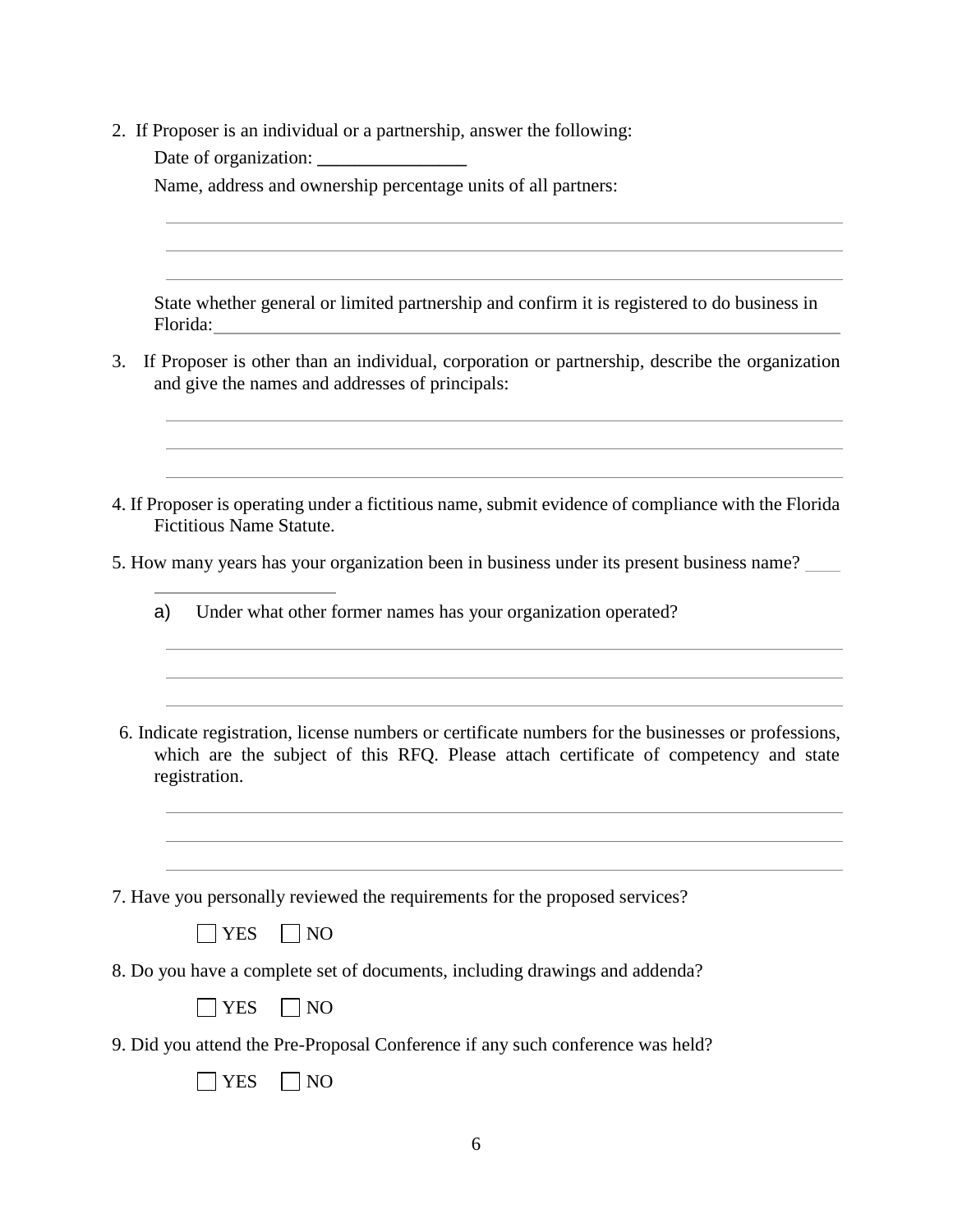- 2. If Proposer is an individual or a partnership, answer the following:
	- Date of organization:

Name, address and ownership percentage units of all partners:

State whether general or limited partnership and confirm it is registered to do business in Florida:

- 3. If Proposer is other than an individual, corporation or partnership, describe the organization and give the names and addresses of principals:
- 4. If Proposer is operating under a fictitious name, submit evidence of compliance with the Florida Fictitious Name Statute.
- 5. How many years has your organization been in business under its present business name?
	- a) Under what other former names has your organization operated?

J

- 6. Indicate registration, license numbers or certificate numbers for the businesses or professions, which are the subject of this RFQ. Please attach certificate of competency and state registration.
- 7. Have you personally reviewed the requirements for the proposed services?
	- $\Box$  YES  $\Box$  NO
- 8. Do you have a complete set of documents, including drawings and addenda?
	- $\Box$  YES  $\Box$  NO
- 9. Did you attend the Pre-Proposal Conference if any such conference was held?

|  | N/ |
|--|----|
|--|----|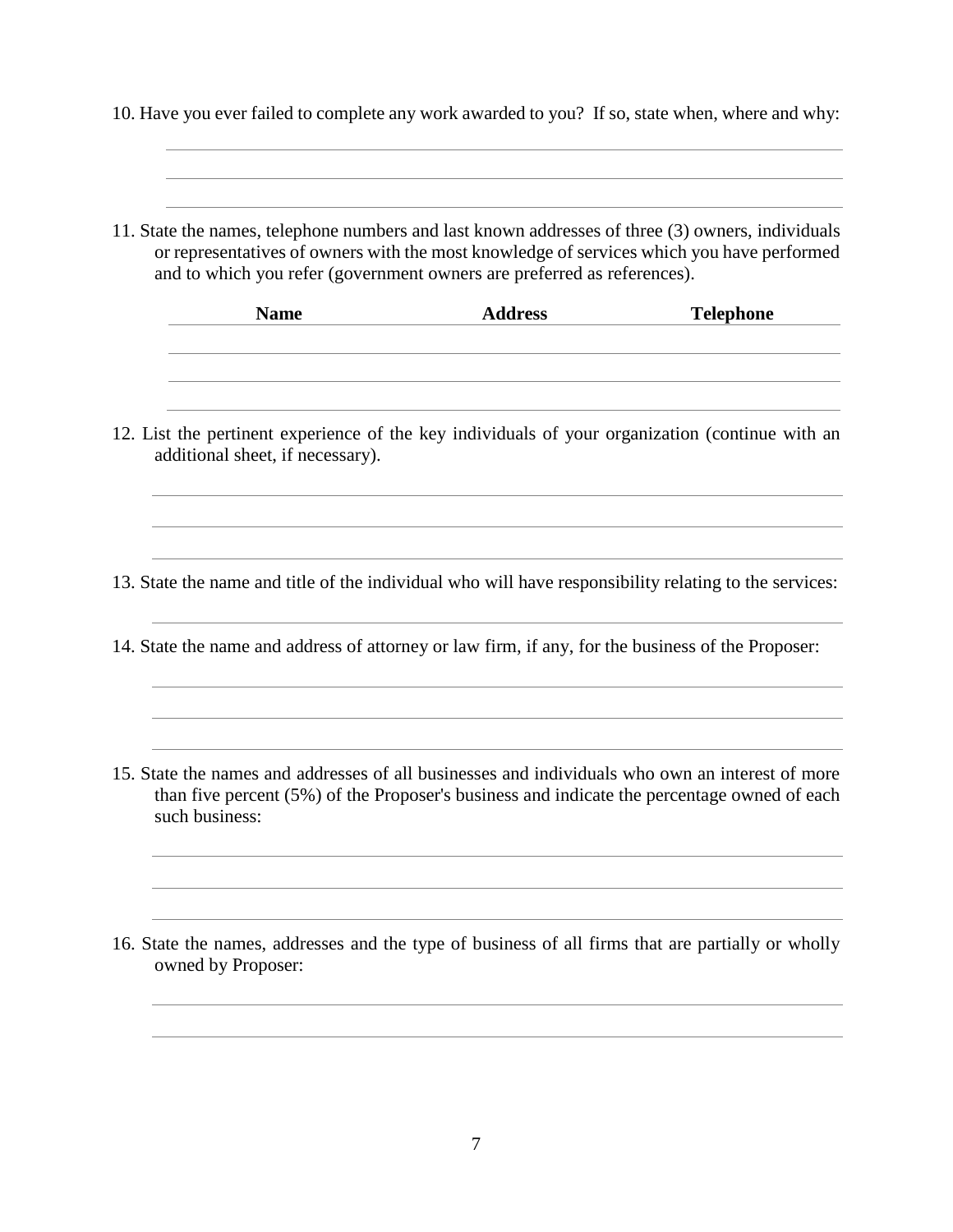10. Have you ever failed to complete any work awarded to you? If so, state when, where and why:

11. State the names, telephone numbers and last known addresses of three (3) owners, individuals or representatives of owners with the most knowledge of services which you have performed and to which you refer (government owners are preferred as references).

| <b>Name</b> | <b>Address</b> | <b>Telephone</b> |
|-------------|----------------|------------------|
|             |                |                  |
|             |                |                  |

12. List the pertinent experience of the key individuals of your organization (continue with an additional sheet, if necessary).

13. State the name and title of the individual who will have responsibility relating to the services:

- 14. State the name and address of attorney or law firm, if any, for the business of the Proposer:
- 15. State the names and addresses of all businesses and individuals who own an interest of more than five percent (5%) of the Proposer's business and indicate the percentage owned of each such business:
- 16. State the names, addresses and the type of business of all firms that are partially or wholly owned by Proposer: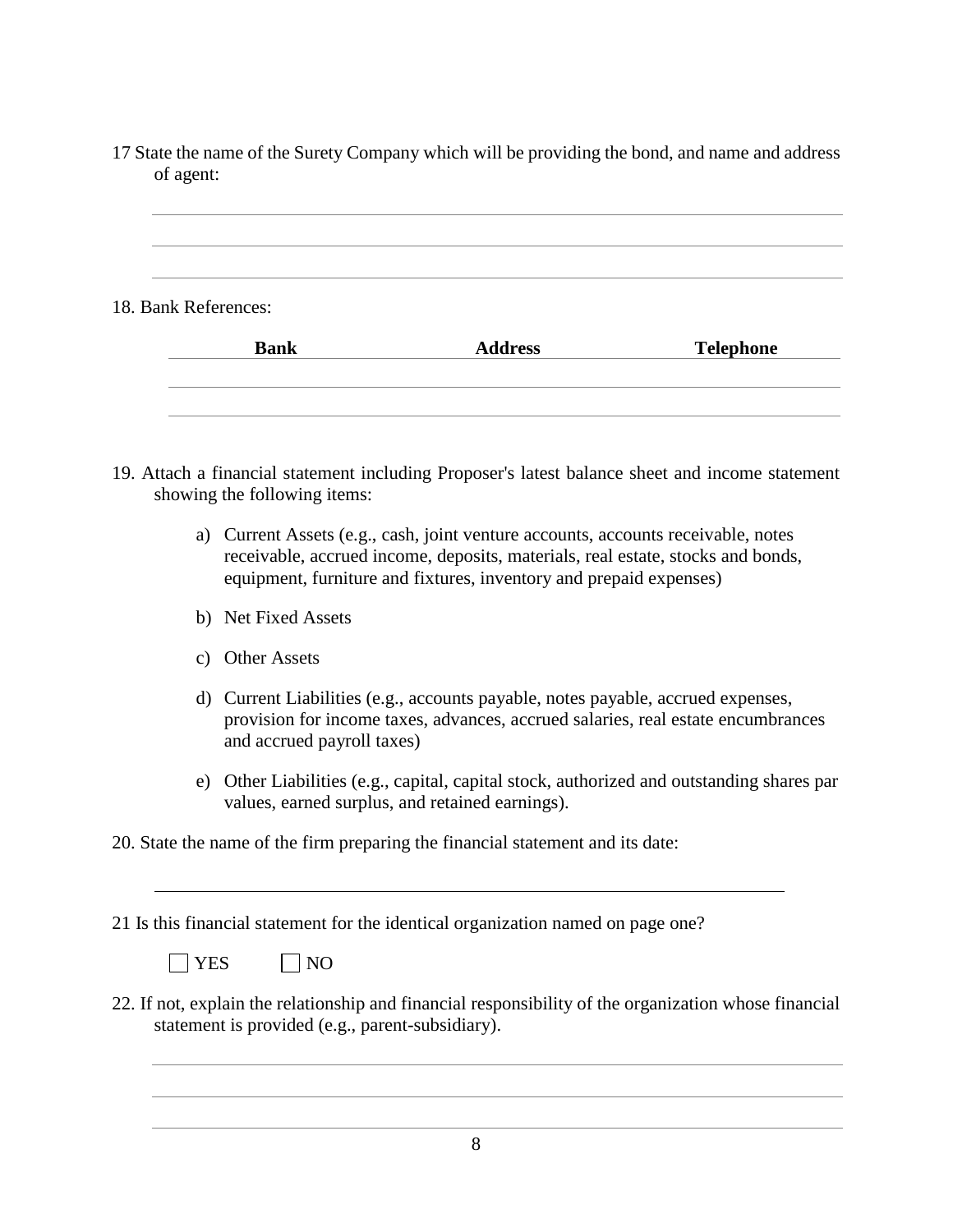17 State the name of the Surety Company which will be providing the bond, and name and address of agent:

| n in c |  |  |  |
|--------|--|--|--|

## 18. Bank References:

| <b>Bank</b> | <b>Address</b> | <b>Telephone</b> |
|-------------|----------------|------------------|
|             |                |                  |
|             |                |                  |

- 19. Attach a financial statement including Proposer's latest balance sheet and income statement showing the following items:
	- a) Current Assets (e.g., cash, joint venture accounts, accounts receivable, notes receivable, accrued income, deposits, materials, real estate, stocks and bonds, equipment, furniture and fixtures, inventory and prepaid expenses)
	- b) Net Fixed Assets
	- c) Other Assets
	- d) Current Liabilities (e.g., accounts payable, notes payable, accrued expenses, provision for income taxes, advances, accrued salaries, real estate encumbrances and accrued payroll taxes)
	- e) Other Liabilities (e.g., capital, capital stock, authorized and outstanding shares par values, earned surplus, and retained earnings).

20. State the name of the firm preparing the financial statement and its date:

21 Is this financial statement for the identical organization named on page one?

|  | N6 |
|--|----|
|--|----|

22. If not, explain the relationship and financial responsibility of the organization whose financial statement is provided (e.g., parent-subsidiary).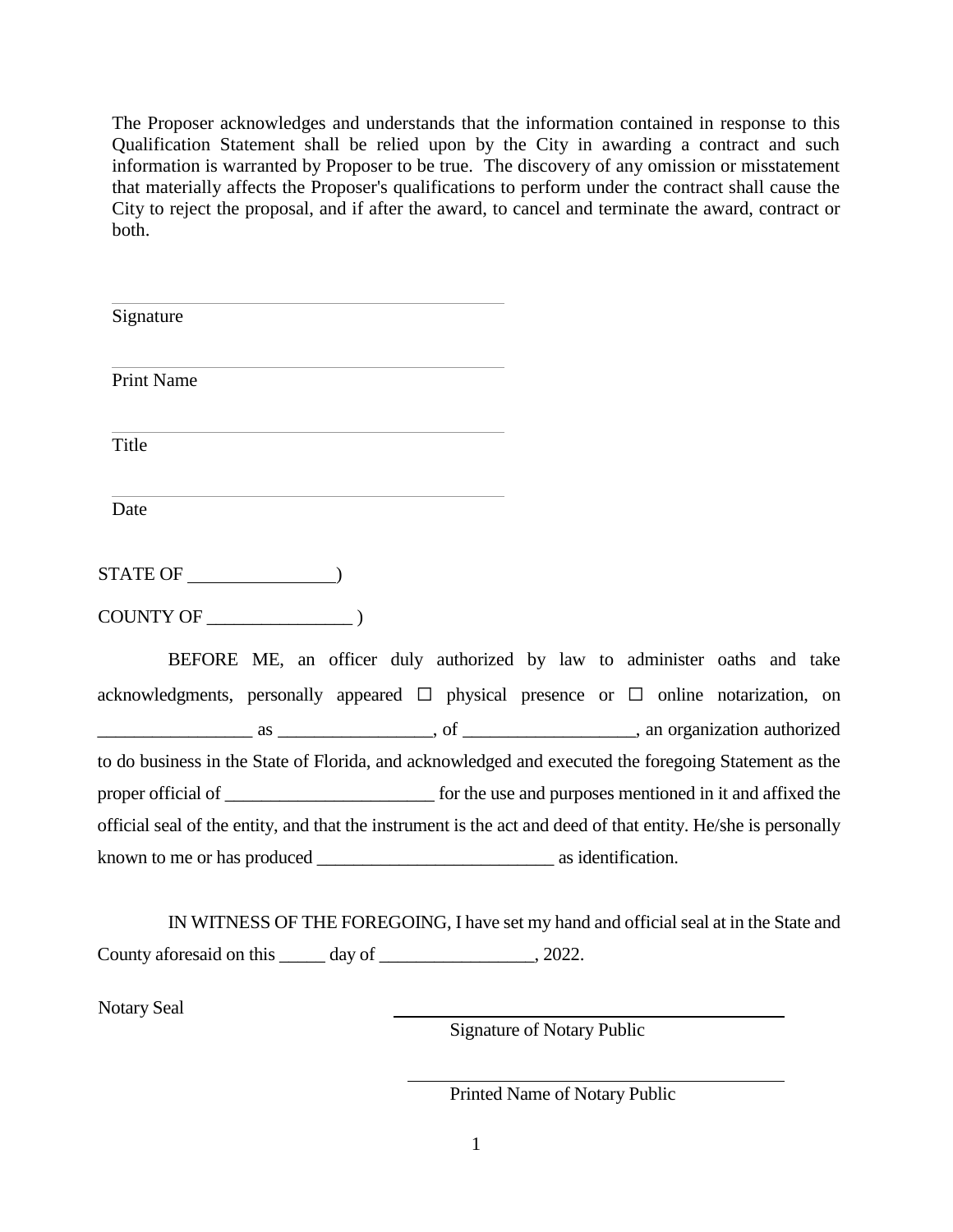The Proposer acknowledges and understands that the information contained in response to this Qualification Statement shall be relied upon by the City in awarding a contract and such information is warranted by Proposer to be true. The discovery of any omission or misstatement that materially affects the Proposer's qualifications to perform under the contract shall cause the City to reject the proposal, and if after the award, to cancel and terminate the award, contract or both.

| Signature                                                                                                                 |                                                                           |
|---------------------------------------------------------------------------------------------------------------------------|---------------------------------------------------------------------------|
| <b>Print Name</b>                                                                                                         |                                                                           |
| and the control of the control of the control of the control of the control of the control of the control of the<br>Title |                                                                           |
| and the control of the control of the control of the control of the control of the control of the control of the<br>Date  |                                                                           |
|                                                                                                                           |                                                                           |
|                                                                                                                           |                                                                           |
|                                                                                                                           | BEFORE ME, an officer duly authorized by law to administer oaths and take |
| acknowledgments, personally appeared $\square$ physical presence or $\square$ online notarization, on                     |                                                                           |
|                                                                                                                           |                                                                           |
| to do business in the State of Florida, and acknowledged and executed the foregoing Statement as the                      |                                                                           |
| proper official of <u>contract the second</u> of the use and purposes mentioned in it and affixed the                     |                                                                           |
| official seal of the entity, and that the instrument is the act and deed of that entity. He/she is personally             |                                                                           |
|                                                                                                                           |                                                                           |

IN WITNESS OF THE FOREGOING, I have set my hand and official seal at in the State and County aforesaid on this \_\_\_\_\_ day of \_\_\_\_\_\_\_\_\_\_\_\_\_\_\_, 2022.

Notary Seal

Signature of Notary Public

Printed Name of Notary Public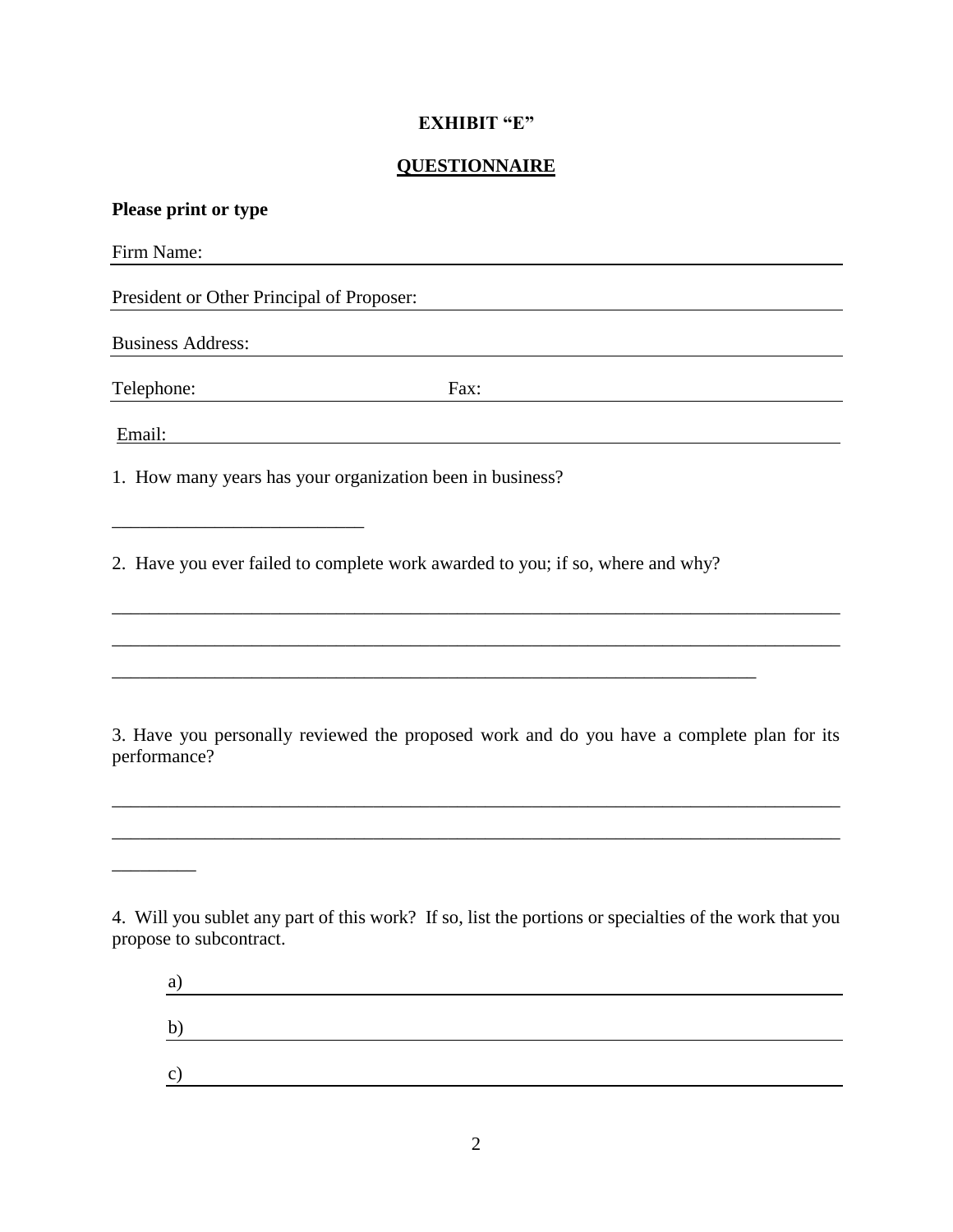## **EXHIBIT "E"**

## **QUESTIONNAIRE**

| Please print or type                                                                                                                                                                                                                                            |  |
|-----------------------------------------------------------------------------------------------------------------------------------------------------------------------------------------------------------------------------------------------------------------|--|
| Firm Name:                                                                                                                                                                                                                                                      |  |
| President or Other Principal of Proposer:                                                                                                                                                                                                                       |  |
| <b>Business Address:</b>                                                                                                                                                                                                                                        |  |
| Telephone:<br>Fax:                                                                                                                                                                                                                                              |  |
| Email:                                                                                                                                                                                                                                                          |  |
| 1. How many years has your organization been in business?                                                                                                                                                                                                       |  |
| 2. Have you ever failed to complete work awarded to you; if so, where and why?                                                                                                                                                                                  |  |
| 3. Have you personally reviewed the proposed work and do you have a complete plan for its<br>performance?                                                                                                                                                       |  |
| 4. Will you sublet any part of this work? If so, list the portions or specialties of the work that you<br>propose to subcontract.<br>a)<br><u> 1980 - Johann Barn, mars ann an t-Amhain Aonaich an t-Aonaich an t-Aonaich ann an t-Aonaich ann an t-Aonaich</u> |  |
| $\mathbf{b}$                                                                                                                                                                                                                                                    |  |

c)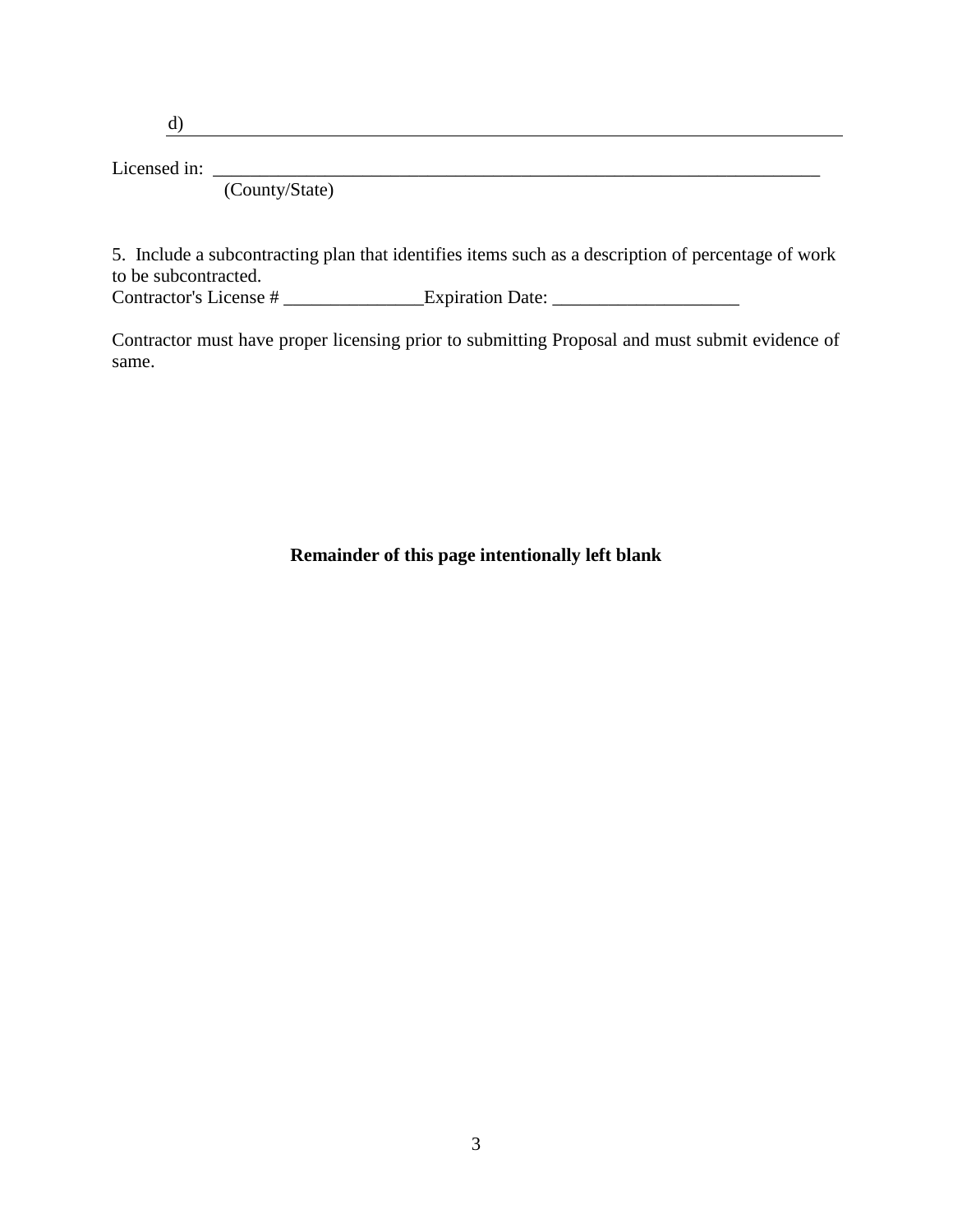d)

Licensed in: \_\_\_\_\_\_\_\_\_\_\_\_\_\_\_\_\_\_\_\_\_\_\_\_\_\_\_\_\_\_\_\_\_\_\_\_\_\_\_\_\_\_\_\_\_\_\_\_\_\_\_\_\_\_\_\_\_\_\_\_\_\_\_\_\_

(County/State)

5. Include a subcontracting plan that identifies items such as a description of percentage of work to be subcontracted. Contractor's License # \_\_\_\_\_\_\_\_\_\_\_\_\_\_\_Expiration Date: \_\_\_\_\_\_\_\_\_\_\_\_\_\_\_\_\_\_\_\_

Contractor must have proper licensing prior to submitting Proposal and must submit evidence of same.

**Remainder of this page intentionally left blank**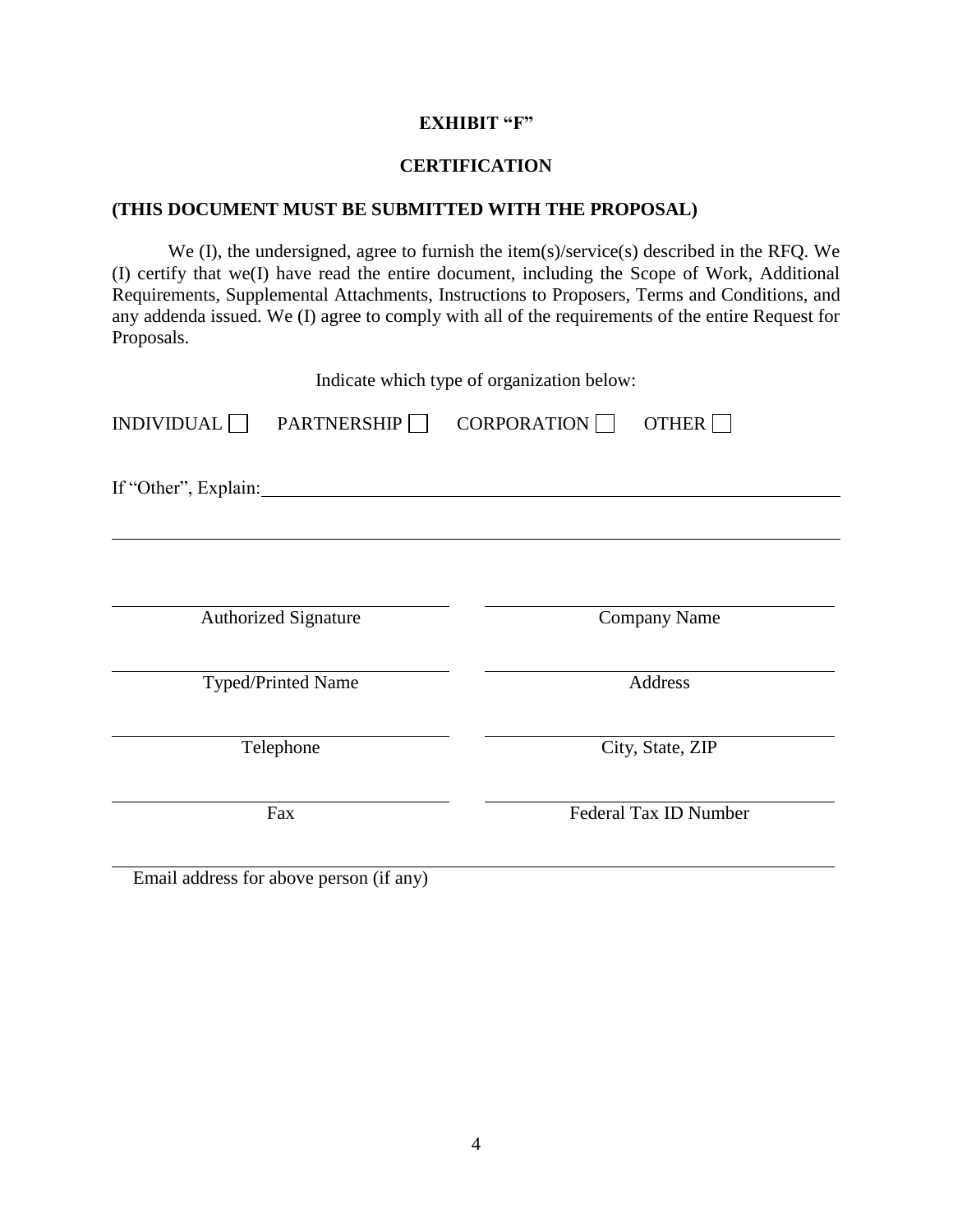## **EXHIBIT "F"**

#### **CERTIFICATION**

#### **(THIS DOCUMENT MUST BE SUBMITTED WITH THE PROPOSAL)**

We (I), the undersigned, agree to furnish the item(s)/service(s) described in the RFQ. We (I) certify that we(I) have read the entire document, including the Scope of Work, Additional Requirements, Supplemental Attachments, Instructions to Proposers, Terms and Conditions, and any addenda issued. We (I) agree to comply with all of the requirements of the entire Request for Proposals.

| Indicate which type of organization below:     |                             |                       |                     |
|------------------------------------------------|-----------------------------|-----------------------|---------------------|
| INDIVIDUAL<br><b>PARTNERSHIP</b><br>CORPORTION |                             |                       | OTHER $\Box$        |
|                                                | If "Other", Explain:        |                       |                     |
|                                                | <b>Authorized Signature</b> |                       | <b>Company Name</b> |
|                                                | Typed/Printed Name          | Address               |                     |
| Telephone                                      |                             | City, State, ZIP      |                     |
| Fax                                            |                             | Federal Tax ID Number |                     |

Email address for above person (if any)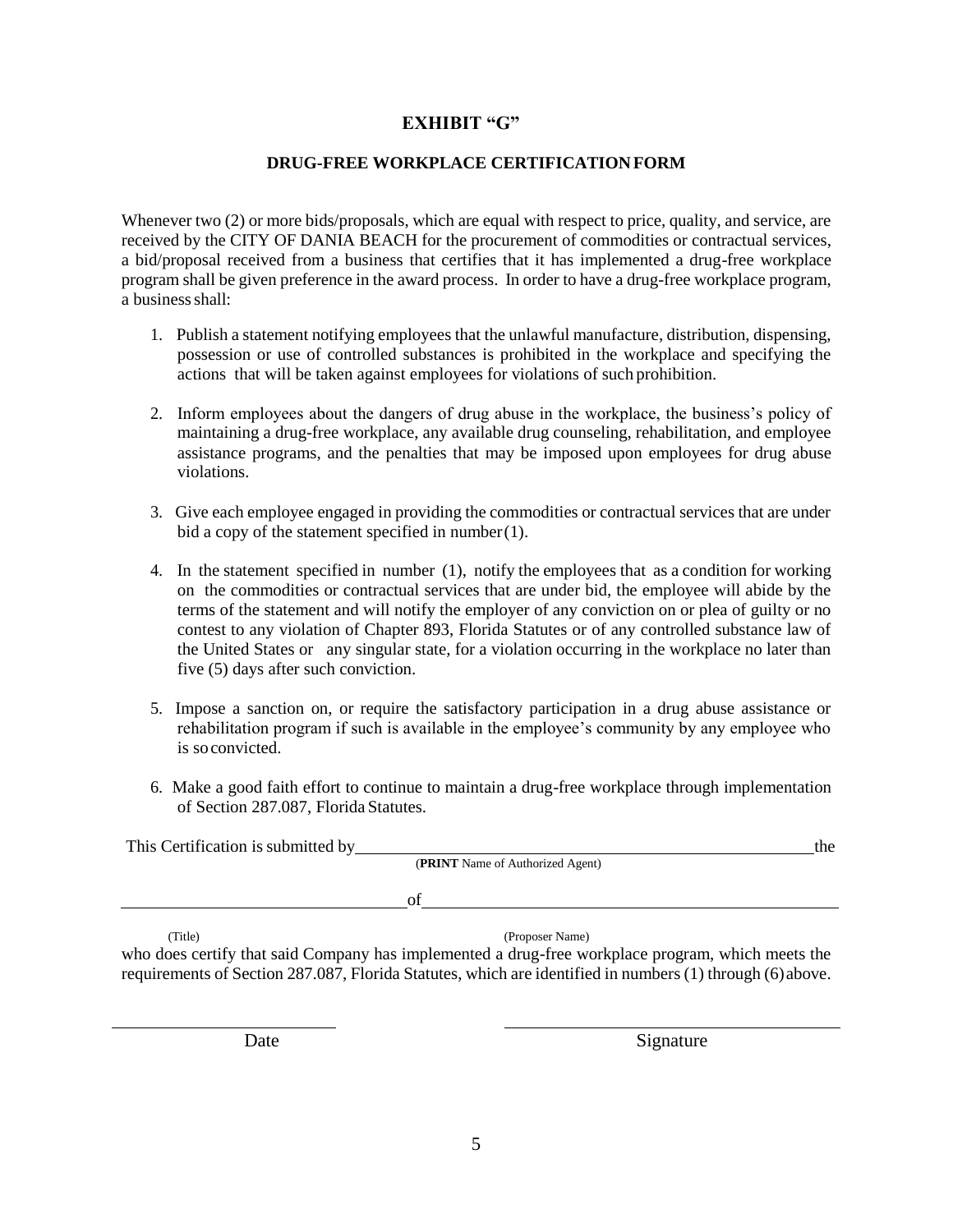## **EXHIBIT "G"**

#### **DRUG-FREE WORKPLACE CERTIFICATIONFORM**

Whenever two (2) or more bids/proposals, which are equal with respect to price, quality, and service, are received by the CITY OF DANIA BEACH for the procurement of commodities or contractual services, a bid/proposal received from a business that certifies that it has implemented a drug-free workplace program shall be given preference in the award process. In order to have a drug-free workplace program, a business shall:

- 1. Publish a statement notifying employees that the unlawful manufacture, distribution, dispensing, possession or use of controlled substances is prohibited in the workplace and specifying the actions that will be taken against employees for violations of such prohibition.
- 2. Inform employees about the dangers of drug abuse in the workplace, the business's policy of maintaining a drug-free workplace, any available drug counseling, rehabilitation, and employee assistance programs, and the penalties that may be imposed upon employees for drug abuse violations.
- 3. Give each employee engaged in providing the commodities or contractual services that are under bid a copy of the statement specified in number(1).
- 4. In the statement specified in number (1), notify the employees that as a condition for working on the commodities or contractual services that are under bid, the employee will abide by the terms of the statement and will notify the employer of any conviction on or plea of guilty or no contest to any violation of Chapter 893, Florida Statutes or of any controlled substance law of the United States or any singular state, for a violation occurring in the workplace no later than five (5) days after such conviction.
- 5. Impose a sanction on, or require the satisfactory participation in a drug abuse assistance or rehabilitation program if such is available in the employee's community by any employee who is soconvicted.
- 6. Make a good faith effort to continue to maintain a drug-free workplace through implementation of Section 287.087, Florida Statutes.

| This Certification is submitted by                                                                | the                                                                                                       |  |  |
|---------------------------------------------------------------------------------------------------|-----------------------------------------------------------------------------------------------------------|--|--|
| <b>(PRINT</b> Name of Authorized Agent)                                                           |                                                                                                           |  |  |
|                                                                                                   | οf                                                                                                        |  |  |
| (Title)                                                                                           | (Proposer Name)                                                                                           |  |  |
| who does certify that said Company has implemented a drug-free workplace program, which meets the |                                                                                                           |  |  |
|                                                                                                   | requirements of Section 287.087, Florida Statutes, which are identified in numbers (1) through (6) above. |  |  |

Date Signature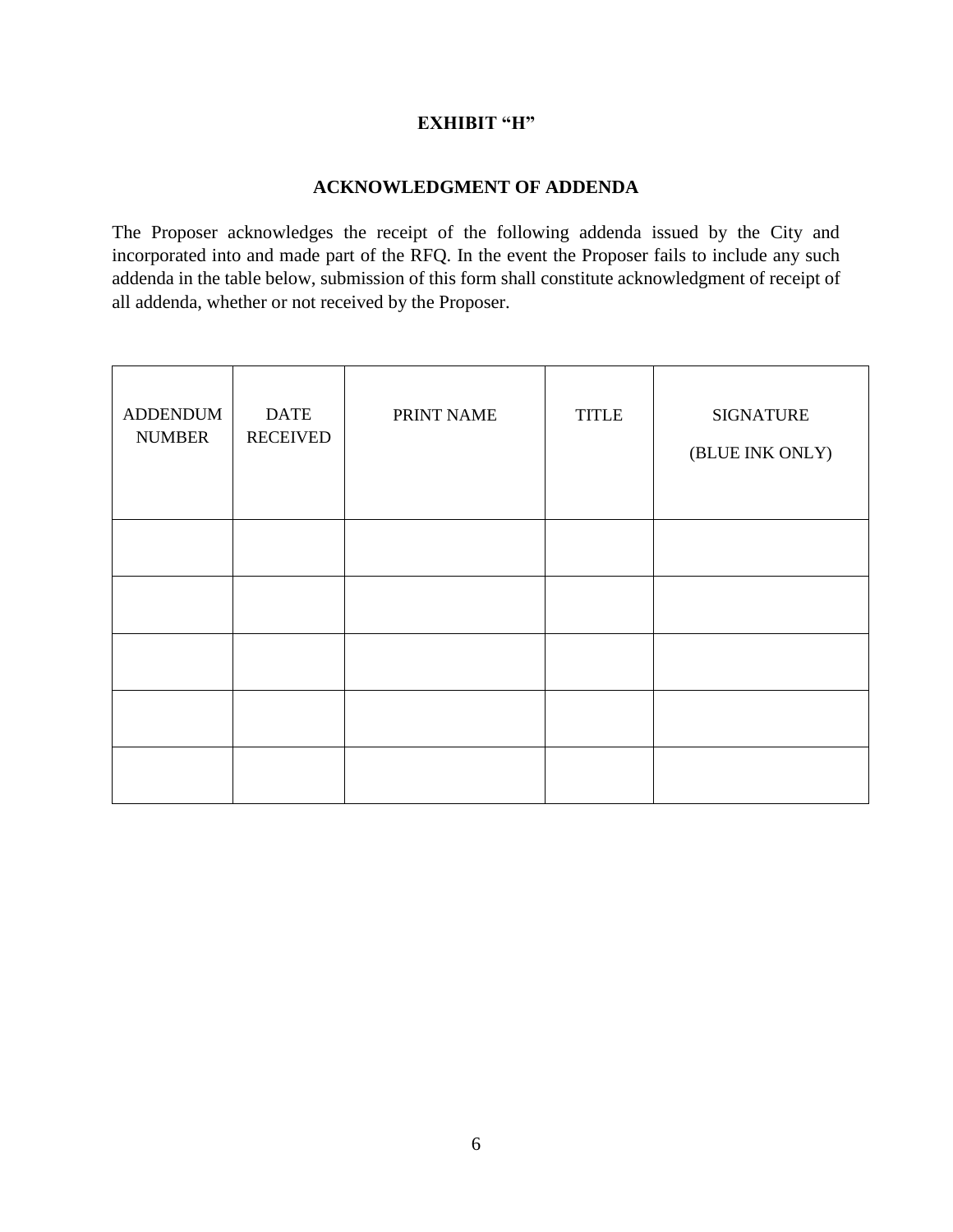## **EXHIBIT "H"**

## **ACKNOWLEDGMENT OF ADDENDA**

The Proposer acknowledges the receipt of the following addenda issued by the City and incorporated into and made part of the RFQ. In the event the Proposer fails to include any such addenda in the table below, submission of this form shall constitute acknowledgment of receipt of all addenda, whether or not received by the Proposer.

| <b>ADDENDUM</b><br><b>NUMBER</b> | <b>DATE</b><br><b>RECEIVED</b> | PRINT NAME | <b>TITLE</b> | <b>SIGNATURE</b><br>(BLUE INK ONLY) |
|----------------------------------|--------------------------------|------------|--------------|-------------------------------------|
|                                  |                                |            |              |                                     |
|                                  |                                |            |              |                                     |
|                                  |                                |            |              |                                     |
|                                  |                                |            |              |                                     |
|                                  |                                |            |              |                                     |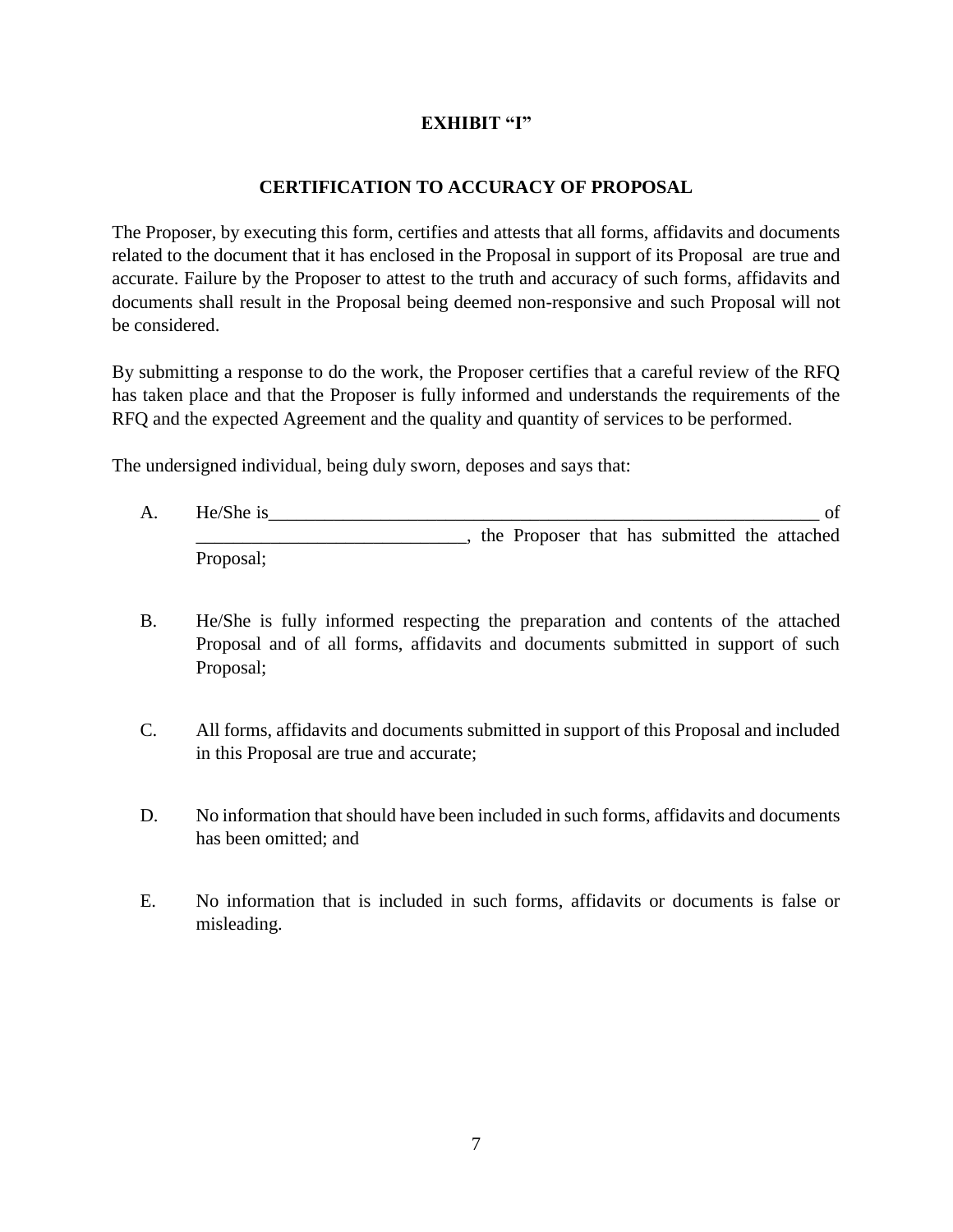## **EXHIBIT "I"**

## **CERTIFICATION TO ACCURACY OF PROPOSAL**

The Proposer, by executing this form, certifies and attests that all forms, affidavits and documents related to the document that it has enclosed in the Proposal in support of its Proposal are true and accurate. Failure by the Proposer to attest to the truth and accuracy of such forms, affidavits and documents shall result in the Proposal being deemed non-responsive and such Proposal will not be considered.

By submitting a response to do the work, the Proposer certifies that a careful review of the RFQ has taken place and that the Proposer is fully informed and understands the requirements of the RFQ and the expected Agreement and the quality and quantity of services to be performed.

The undersigned individual, being duly sworn, deposes and says that:

- A. He/She is of \_\_\_\_\_\_\_\_\_\_\_\_\_\_\_\_\_\_\_\_\_\_\_\_\_\_\_\_\_, the Proposer that has submitted the attached Proposal;
- B. He/She is fully informed respecting the preparation and contents of the attached Proposal and of all forms, affidavits and documents submitted in support of such Proposal;
- C. All forms, affidavits and documents submitted in support of this Proposal and included in this Proposal are true and accurate;
- D. No information that should have been included in such forms, affidavits and documents has been omitted; and
- E. No information that is included in such forms, affidavits or documents is false or misleading.